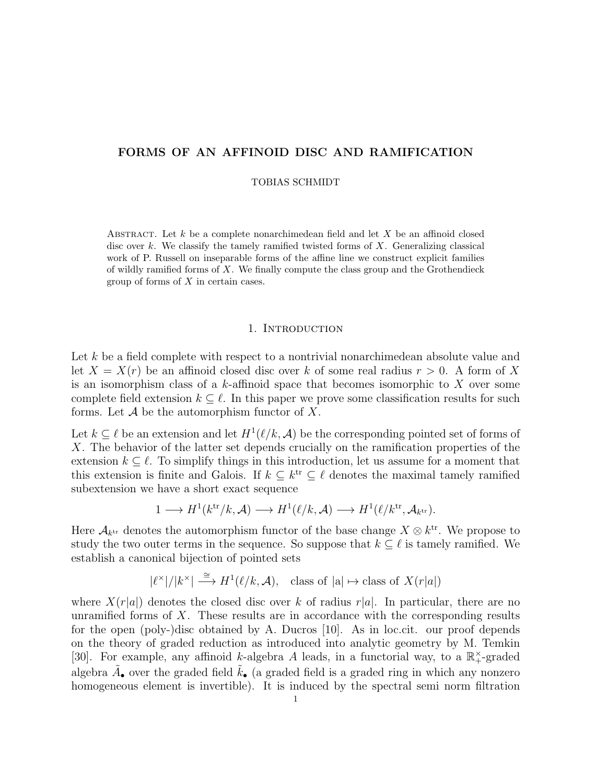# FORMS OF AN AFFINOID DISC AND RAMIFICATION

### TOBIAS SCHMIDT

ABSTRACT. Let  $k$  be a complete nonarchimedean field and let  $X$  be an affinoid closed disc over k. We classify the tamely ramified twisted forms of  $X$ . Generalizing classical work of P. Russell on inseparable forms of the affine line we construct explicit families of wildly ramified forms of X. We finally compute the class group and the Grothendieck group of forms of X in certain cases.

### 1. INTRODUCTION

Let k be a field complete with respect to a nontrivial nonarchimedean absolute value and let  $X = X(r)$  be an affinoid closed disc over k of some real radius  $r > 0$ . A form of X is an isomorphism class of a  $k$ -affinoid space that becomes isomorphic to  $X$  over some complete field extension  $k \subseteq \ell$ . In this paper we prove some classification results for such forms. Let  $A$  be the automorphism functor of X.

Let  $k \subseteq \ell$  be an extension and let  $H^1(\ell/k, \mathcal{A})$  be the corresponding pointed set of forms of X. The behavior of the latter set depends crucially on the ramification properties of the extension  $k \subseteq \ell$ . To simplify things in this introduction, let us assume for a moment that this extension is finite and Galois. If  $k \subseteq k^{\text{tr}} \subseteq \ell$  denotes the maximal tamely ramified subextension we have a short exact sequence

$$
1 \longrightarrow H^{1}(k^{\text{tr}}/k, \mathcal{A}) \longrightarrow H^{1}(\ell/k, \mathcal{A}) \longrightarrow H^{1}(\ell/k^{\text{tr}}, \mathcal{A}_{k^{\text{tr}}}).
$$

Here  $\mathcal{A}_{k^{tr}}$  denotes the automorphism functor of the base change  $X \otimes k^{tr}$ . We propose to study the two outer terms in the sequence. So suppose that  $k \subseteq \ell$  is tamely ramified. We establish a canonical bijection of pointed sets

 $|\ell^{\times}|/|k^{\times}| \stackrel{\cong}{\longrightarrow} H^{1}(\ell/k, \mathcal{A}),$  class of  $|a| \mapsto$  class of  $X(r|a|)$ 

where  $X(r|a|)$  denotes the closed disc over k of radius r|a|. In particular, there are no unramified forms of X. These results are in accordance with the corresponding results for the open (poly-)disc obtained by A. Ducros [10]. As in loc.cit. our proof depends on the theory of graded reduction as introduced into analytic geometry by M. Temkin [30]. For example, any affinoid k-algebra A leads, in a functorial way, to a  $\mathbb{R}^{\times}$ -graded algebra  $\tilde{A}_{\bullet}$  over the graded field  $\tilde{k}_{\bullet}$  (a graded field is a graded ring in which any nonzero homogeneous element is invertible). It is induced by the spectral semi norm filtration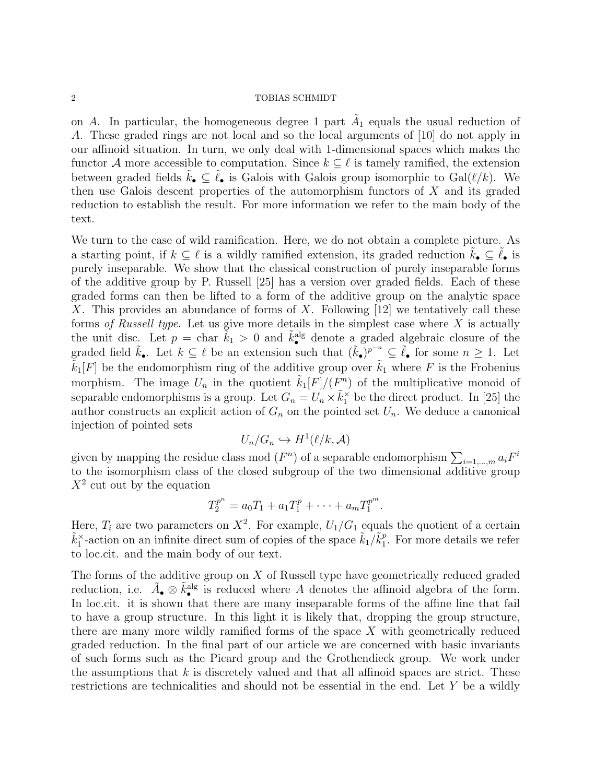### $\begin{tabular}{c} 2 \\ \hline \end{tabular} \begin{tabular}{c} \bf 2 \\ \bf 1 \\ \bf 2 \\ \end{tabular} \begin{tabular}{c} \bf 2 \\ \bf 3 \\ \bf 4 \\ \bf 5 \\ \bf 6 \\ \bf 7 \\ \bf 8 \\ \bf 9 \\ \bf 10 \\ \bf 11 \\ \bf 12 \\ \bf 13 \\ \bf 14 \\ \bf 15 \\ \bf 16 \\ \bf 17 \\ \bf 18 \\ \bf 19 \\ \bf 19 \\ \bf 10 \\ \bf 10 \\ \bf 11 \\ \bf 13 \\ \bf 18 \\ \bf 19 \\ \bf 19 \\ \bf 10 \\ \bf 13 \\ \bf$

on A. In particular, the homogeneous degree 1 part  $\tilde{A}_1$  equals the usual reduction of A. These graded rings are not local and so the local arguments of [10] do not apply in our affinoid situation. In turn, we only deal with 1-dimensional spaces which makes the functor A more accessible to computation. Since  $k \subseteq \ell$  is tamely ramified, the extension between graded fields  $k_{\bullet} \subseteq \ell_{\bullet}$  is Galois with Galois group isomorphic to Gal( $\ell/k$ ). We then use Galois descent properties of the automorphism functors of  $X$  and its graded reduction to establish the result. For more information we refer to the main body of the text.

We turn to the case of wild ramification. Here, we do not obtain a complete picture. As a starting point, if  $k \subseteq \ell$  is a wildly ramified extension, its graded reduction  $k_{\bullet} \subseteq \ell_{\bullet}$  is purely inseparable. We show that the classical construction of purely inseparable forms of the additive group by P. Russell [25] has a version over graded fields. Each of these graded forms can then be lifted to a form of the additive group on the analytic space X. This provides an abundance of forms of X. Following  $[12]$  we tentatively call these forms of Russell type. Let us give more details in the simplest case where  $X$  is actually the unit disc. Let  $p = \text{char } \tilde{k}_1 > 0$  and  $\tilde{k}^{\text{alg}}$  denote a graded algebraic closure of the graded field  $\tilde{k}_\bullet$ . Let  $k \subseteq \ell$  be an extension such that  $(\tilde{k}_\bullet)^{p^{-n}} \subseteq \tilde{\ell}_\bullet$  for some  $n \geq 1$ . Let  $\tilde{k}_1[F]$  be the endomorphism ring of the additive group over  $\tilde{k}_1$  where F is the Frobenius morphism. The image  $U_n$  in the quotient  $\tilde{k}_1[F]/(F^n)$  of the multiplicative monoid of separable endomorphisms is a group. Let  $G_n = U_n \times \tilde{k}_1^{\times}$  be the direct product. In [25] the author constructs an explicit action of  $G_n$  on the pointed set  $U_n$ . We deduce a canonical injection of pointed sets

$$
U_n/G_n \hookrightarrow H^1(\ell/k, \mathcal{A})
$$

given by mapping the residue class mod  $(F^n)$  of a separable endomorphism  $\sum_{i=1,\dots,m} a_i F^i$ to the isomorphism class of the closed subgroup of the two dimensional additive group  $X^2$  cut out by the equation

$$
T_2^{p^n} = a_0 T_1 + a_1 T_1^p + \cdots + a_m T_1^{p^m}.
$$

Here,  $T_i$  are two parameters on  $X^2$ . For example,  $U_1/G_1$  equals the quotient of a certain  $\tilde{k}_1^{\times}$ -action on an infinite direct sum of copies of the space  $\tilde{k}_1/\tilde{k}_1^p$  $_1^p$ . For more details we refer to loc.cit. and the main body of our text.

The forms of the additive group on X of Russell type have geometrically reduced graded reduction, i.e.  $\tilde{A}_{\bullet} \otimes \tilde{k}_{\bullet}^{\text{alg}}$  is reduced where A denotes the affinoid algebra of the form. In loc.cit. it is shown that there are many inseparable forms of the affine line that fail to have a group structure. In this light it is likely that, dropping the group structure, there are many more wildly ramified forms of the space X with geometrically reduced graded reduction. In the final part of our article we are concerned with basic invariants of such forms such as the Picard group and the Grothendieck group. We work under the assumptions that  $k$  is discretely valued and that all affinoid spaces are strict. These restrictions are technicalities and should not be essential in the end. Let Y be a wildly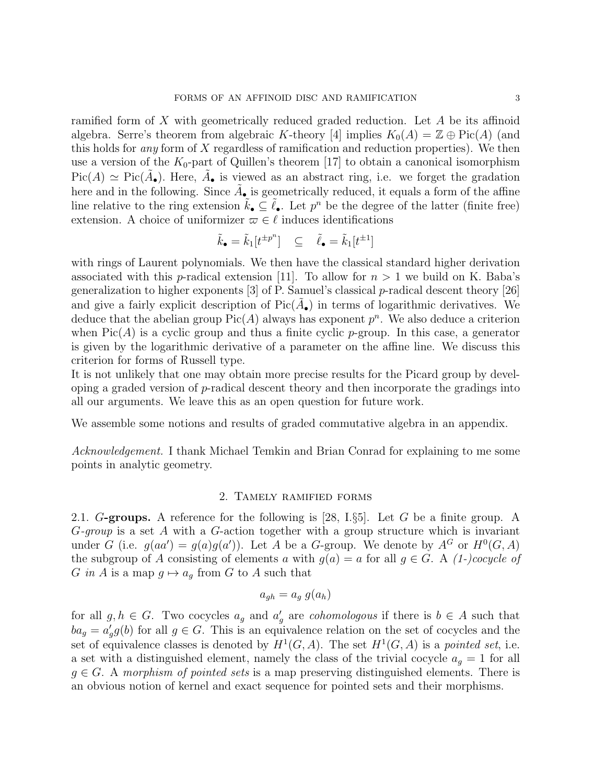ramified form of X with geometrically reduced graded reduction. Let A be its affinoid algebra. Serre's theorem from algebraic K-theory [4] implies  $K_0(A) = \mathbb{Z} \oplus Pic(A)$  (and this holds for any form of X regardless of ramification and reduction properties). We then use a version of the  $K_0$ -part of Quillen's theorem [17] to obtain a canonical isomorphism  $Pic(A) \simeq Pic(\tilde{A}_{\bullet}).$  Here,  $\tilde{A}_{\bullet}$  is viewed as an abstract ring, i.e. we forget the gradation here and in the following. Since  $\tilde{A}_{\bullet}$  is geometrically reduced, it equals a form of the affine line relative to the ring extension  $\tilde{k}_\bullet \subseteq \tilde{\ell}_\bullet$ . Let  $p^n$  be the degree of the latter (finite free) extension. A choice of uniformizer  $\varpi \in \ell$  induces identifications

$$
\tilde{k}_\bullet = \tilde{k}_1[t^{\pm p^n}] \quad \subseteq \quad \tilde{\ell}_\bullet = \tilde{k}_1[t^{\pm 1}]
$$

with rings of Laurent polynomials. We then have the classical standard higher derivation associated with this *p*-radical extension [11]. To allow for  $n > 1$  we build on K. Baba's generalization to higher exponents [3] of P. Samuel's classical p-radical descent theory [26] and give a fairly explicit description of  $Pic(\tilde{A}_{\bullet})$  in terms of logarithmic derivatives. We deduce that the abelian group  $Pic(A)$  always has exponent  $p^n$ . We also deduce a criterion when  $Pic(A)$  is a cyclic group and thus a finite cyclic p-group. In this case, a generator is given by the logarithmic derivative of a parameter on the affine line. We discuss this criterion for forms of Russell type.

It is not unlikely that one may obtain more precise results for the Picard group by devel- $\phi$  oping a graded version of p-radical descent theory and then incorporate the gradings into all our arguments. We leave this as an open question for future work.

We assemble some notions and results of graded commutative algebra in an appendix.

Acknowledgement. I thank Michael Temkin and Brian Conrad for explaining to me some points in analytic geometry.

### 2. Tamely ramified forms

2.1. G-groups. A reference for the following is  $[28, 1.55]$ . Let G be a finite group. A  $G$ -group is a set A with a  $G$ -action together with a group structure which is invariant under G (i.e.  $g(aa') = g(a)g(a')$ ). Let A be a G-group. We denote by  $A^G$  or  $H^0(G, A)$ the subgroup of A consisting of elements a with  $g(a) = a$  for all  $g \in G$ . A (1-)cocycle of G in A is a map  $g \mapsto a_g$  from G to A such that

$$
a_{gh} = a_g \ g(a_h)
$$

for all  $g, h \in G$ . Two cocycles  $a_g$  and  $a'_g$  are *cohomologous* if there is  $b \in A$  such that  $ba_g = a'_g g(b)$  for all  $g \in G$ . This is an equivalence relation on the set of cocycles and the set of equivalence classes is denoted by  $H^1(G, A)$ . The set  $H^1(G, A)$  is a pointed set, i.e. a set with a distinguished element, namely the class of the trivial cocycle  $a_q = 1$  for all  $g \in G$ . A morphism of pointed sets is a map preserving distinguished elements. There is an obvious notion of kernel and exact sequence for pointed sets and their morphisms.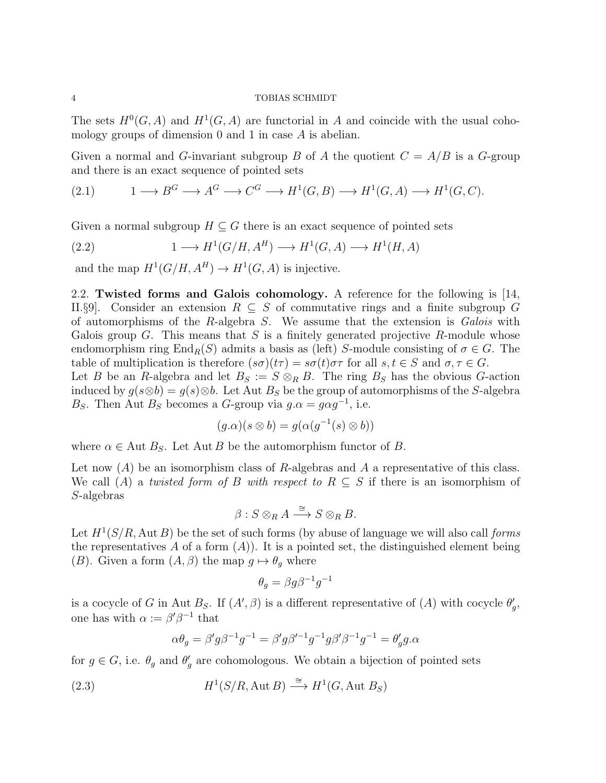The sets  $H^0(G, A)$  and  $H^1(G, A)$  are functorial in A and coincide with the usual cohomology groups of dimension 0 and 1 in case A is abelian.

Given a normal and G-invariant subgroup B of A the quotient  $C = A/B$  is a G-group and there is an exact sequence of pointed sets

$$
(2.1) \t 1 \longrightarrow B^G \longrightarrow A^G \longrightarrow C^G \longrightarrow H^1(G, B) \longrightarrow H^1(G, A) \longrightarrow H^1(G, C).
$$

Given a normal subgroup  $H \subseteq G$  there is an exact sequence of pointed sets

(2.2) 
$$
1 \longrightarrow H^1(G/H, A^H) \longrightarrow H^1(G, A) \longrightarrow H^1(H, A)
$$

and the map  $H^1(G/H, A^H) \to H^1(G, A)$  is injective.

2.2. Twisted forms and Galois cohomology. A reference for the following is [14, II.§9. Consider an extension  $R \subseteq S$  of commutative rings and a finite subgroup G of automorphisms of the R-algebra  $S$ . We assume that the extension is *Galois* with Galois group G. This means that S is a finitely generated projective R-module whose endomorphism ring End<sub>R</sub>(S) admits a basis as (left) S-module consisting of  $\sigma \in G$ . The table of multiplication is therefore  $(s\sigma)(t\tau) = s\sigma(t)\sigma\tau$  for all  $s, t \in S$  and  $\sigma, \tau \in G$ . Let B be an R-algebra and let  $B_S := S \otimes_R B$ . The ring  $B_S$  has the obvious G-action induced by  $g(s\otimes b) = g(s)\otimes b$ . Let Aut B<sub>S</sub> be the group of automorphisms of the S-algebra B<sub>S</sub>. Then Aut B<sub>S</sub> becomes a G-group via  $g \cdot \alpha = g \alpha g^{-1}$ , i.e.

$$
(g.\alpha)(s \otimes b) = g(\alpha(g^{-1}(s) \otimes b))
$$

where  $\alpha \in$  Aut  $B<sub>S</sub>$ . Let Aut B be the automorphism functor of B.

Let now  $(A)$  be an isomorphism class of R-algebras and A a representative of this class. We call (A) a twisted form of B with respect to  $R \subseteq S$  if there is an isomorphism of S-algebras

$$
\beta: S \otimes_R A \stackrel{\cong}{\longrightarrow} S \otimes_R B.
$$

Let  $H^1(S/R, \text{Aut }B)$  be the set of such forms (by abuse of language we will also call forms the representatives A of a form  $(A)$ ). It is a pointed set, the distinguished element being (B). Given a form  $(A, \beta)$  the map  $g \mapsto \theta_g$  where

$$
\theta_g = \beta g \beta^{-1} g^{-1}
$$

is a cocycle of G in Aut  $B_s$ . If  $(A', \beta)$  is a different representative of  $(A)$  with cocycle  $\theta'_g$ , one has with  $\alpha := \beta' \beta^{-1}$  that

$$
\alpha \theta_g = \beta' g \beta^{-1} g^{-1} = \beta' g \beta'^{-1} g^{-1} g \beta' \beta^{-1} g^{-1} = \theta'_g g \alpha
$$

for  $g \in G$ , i.e.  $\theta_g$  and  $\theta'_g$  are cohomologous. We obtain a bijection of pointed sets

(2.3) 
$$
H^1(S/R, \text{Aut } B) \stackrel{\cong}{\longrightarrow} H^1(G, \text{Aut } B_S)
$$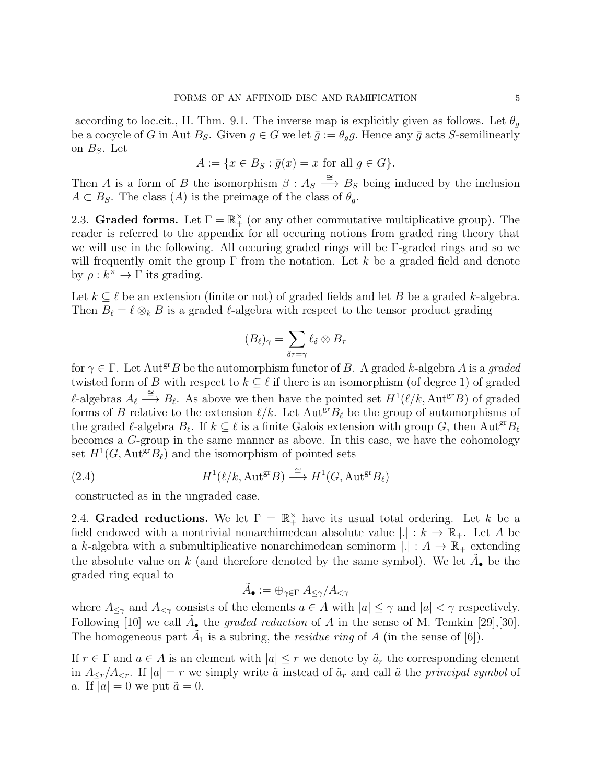according to loc.cit., II. Thm. 9.1. The inverse map is explicitly given as follows. Let  $\theta_a$ be a cocycle of G in Aut  $B_S$ . Given  $g \in G$  we let  $\bar{g} := \theta_g g$ . Hence any  $\bar{g}$  acts S-semilinearly on  $B<sub>S</sub>$ . Let

$$
A := \{ x \in B_S : \overline{g}(x) = x \text{ for all } g \in G \}.
$$

Then A is a form of B the isomorphism  $\beta : A_S \stackrel{\cong}{\longrightarrow} B_S$  being induced by the inclusion  $A \subset B_S$ . The class  $(A)$  is the preimage of the class of  $\theta_a$ .

2.3. Graded forms. Let  $\Gamma = \mathbb{R}^{\times}_+$  (or any other commutative multiplicative group). The reader is referred to the appendix for all occuring notions from graded ring theory that we will use in the following. All occuring graded rings will be Γ-graded rings and so we will frequently omit the group  $\Gamma$  from the notation. Let k be a graded field and denote by  $\rho: k^{\times} \to \Gamma$  its grading.

Let  $k \subseteq \ell$  be an extension (finite or not) of graded fields and let B be a graded k-algebra. Then  $B_\ell = \ell \otimes_k B$  is a graded  $\ell$ -algebra with respect to the tensor product grading

$$
(B_{\ell})_{\gamma} = \sum_{\delta \tau = \gamma} \ell_{\delta} \otimes B_{\tau}
$$

for  $\gamma \in \Gamma$ . Let Aut<sup>gr</sup>B be the automorphism functor of B. A graded k-algebra A is a graded twisted form of B with respect to  $k \subseteq \ell$  if there is an isomorphism (of degree 1) of graded  $\ell$ -algebras  $A_{\ell} \stackrel{\cong}{\longrightarrow} B_{\ell}$ . As above we then have the pointed set  $H^1(\ell/k, \text{Aut}^{gr}B)$  of graded forms of B relative to the extension  $\ell/k$ . Let  $Aut<sup>gr</sup>B<sub>\ell</sub>$  be the group of automorphisms of the graded  $\ell$ -algebra  $B_\ell$ . If  $k \subseteq \ell$  is a finite Galois extension with group G, then Aut<sup>gr</sup> $B_\ell$ becomes a G-group in the same manner as above. In this case, we have the cohomology set  $H^1(G, \text{Aut}^{\text{gr}}B_\ell)$  and the isomorphism of pointed sets

(2.4) 
$$
H^1(\ell/k, \text{Aut}^{\text{gr}}B) \stackrel{\cong}{\longrightarrow} H^1(G, \text{Aut}^{\text{gr}}B_{\ell})
$$

constructed as in the ungraded case.

2.4. Graded reductions. We let  $\Gamma = \mathbb{R}_+^{\times}$  have its usual total ordering. Let k be a field endowed with a nontrivial nonarchimedean absolute value  $|.| : k \to \mathbb{R}_+$ . Let A be a k-algebra with a submultiplicative nonarchimedean seminorm  $|.|: A \to \mathbb{R}_+$  extending the absolute value on k (and therefore denoted by the same symbol). We let  $\tilde{A}_{\bullet}$  be the graded ring equal to

$$
\tilde{A}_{\bullet} := \oplus_{\gamma \in \Gamma} A_{\leq \gamma}/A_{<\gamma}
$$

where  $A_{\leq \gamma}$  and  $A_{\leq \gamma}$  consists of the elements  $a \in A$  with  $|a| \leq \gamma$  and  $|a| < \gamma$  respectively. Following [10] we call  $\tilde{A}_{\bullet}$  the graded reduction of A in the sense of M. Temkin [29], [30]. The homogeneous part  $\tilde{A}_1$  is a subring, the *residue ring* of A (in the sense of [6]).

If  $r \in \Gamma$  and  $a \in A$  is an element with  $|a| \leq r$  we denote by  $\tilde{a}_r$  the corresponding element in  $A_{\leq r}/A_{\leq r}$ . If  $|a|=r$  we simply write  $\tilde{a}$  instead of  $\tilde{a}_r$  and call  $\tilde{a}$  the principal symbol of a. If  $|a| = 0$  we put  $\tilde{a} = 0$ .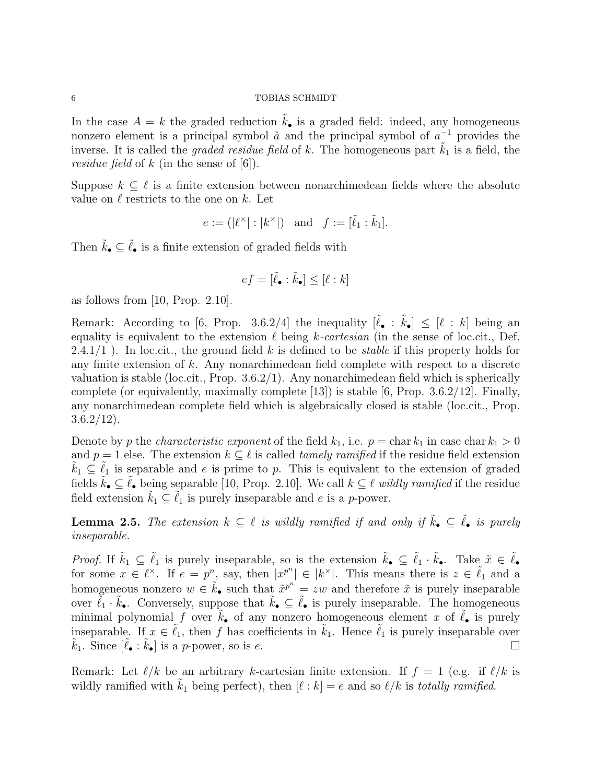In the case  $A = k$  the graded reduction  $k_{\bullet}$  is a graded field: indeed, any homogeneous nonzero element is a principal symbol  $\tilde{a}$  and the principal symbol of  $a^{-1}$  provides the inverse. It is called the *graded residue field* of k. The homogeneous part  $k_1$  is a field, the *residue field* of k (in the sense of  $[6]$ ).

Suppose  $k \subseteq \ell$  is a finite extension between nonarchimedean fields where the absolute value on  $\ell$  restricts to the one on k. Let

$$
e := (|\ell^{\times}| : |k^{\times}|) \text{ and } f := [\tilde{\ell}_1 : \tilde{k}_1].
$$

Then  $\tilde{k}_{\bullet} \subseteq \tilde{\ell}_{\bullet}$  is a finite extension of graded fields with

$$
ef = [\tilde{\ell}_\bullet : \tilde{k}_\bullet] \leq [\ell : k]
$$

as follows from  $[10, Prop. 2.10]$ .

Remark: According to [6, Prop. 3.6.2/4] the inequality  $[\tilde{\ell}_{\bullet} : \tilde{k}_{\bullet}] \leq [\ell : k]$  being an equality is equivalent to the extension  $\ell$  being k-cartesian (in the sense of loc.cit., Def. 2.4.1/1). In loc.cit., the ground field k is defined to be *stable* if this property holds for any finite extension of k. Any nonarchimedean field complete with respect to a discrete valuation is stable (loc.cit., Prop. 3.6.2/1). Any nonarchimedean field which is spherically complete (or equivalently, maximally complete  $[13]$ ) is stable  $[6, Prop. 3.6.2/12]$ . Finally, any nonarchimedean complete field which is algebraically closed is stable (loc.cit., Prop.  $3.6.2/12$ ).

Denote by p the *characteristic exponent* of the field  $k_1$ , i.e.  $p = \text{char } k_1$  in case char  $k_1 > 0$ and  $p = 1$  else. The extension  $k \subseteq \ell$  is called *tamely ramified* if the residue field extension  $k_1 \subseteq \ell_1$  is separable and e is prime to p. This is equivalent to the extension of graded fields  $\tilde{k}_\bullet \subseteq \tilde{\ell}_\bullet$  being separable [10, Prop. 2.10]. We call  $k \subseteq \ell$  wildly ramified if the residue field extension  $k_1 \subseteq \ell_1$  is purely inseparable and e is a p-power.

**Lemma 2.5.** The extension  $k \subseteq \ell$  is wildly ramified if and only if  $\tilde{k}_\bullet \subseteq \tilde{\ell}_\bullet$  is purely inseparable.

*Proof.* If  $\tilde{k}_1 \subseteq \tilde{\ell}_1$  is purely inseparable, so is the extension  $\tilde{k}_\bullet \subseteq \tilde{\ell}_1 \cdot \tilde{k}_\bullet$ . Take  $\tilde{x} \in \tilde{\ell}_\bullet$ for some  $x \in \ell^{\times}$ . If  $e = p^n$ , say, then  $|x^{p^n}| \in |k^{\times}|$ . This means there is  $z \in \tilde{\ell}_1$  and a homogeneous nonzero  $w \in \tilde{k}_{\bullet}$  such that  $\tilde{x}^{p^n} = zw$  and therefore  $\tilde{x}$  is purely inseparable over  $\tilde{\ell}_1 \cdot \tilde{k}_\bullet$ . Conversely, suppose that  $\tilde{k}_\bullet \subseteq \tilde{\ell}_\bullet$  is purely inseparable. The homogeneous minimal polynomial f over  $k_{\bullet}$  of any nonzero homogeneous element x of  $\ell_{\bullet}$  is purely inseparable. If  $x \in \tilde{\ell}_1$ , then f has coefficients in  $\tilde{k}_1$ . Hence  $\tilde{\ell}_1$  is purely inseparable over  $\tilde{k}_1$ . Since  $[\tilde{\ell}_\bullet : \tilde{k}_\bullet]$  is a p-power, so is e.

Remark: Let  $\ell/k$  be an arbitrary k-cartesian finite extension. If  $f = 1$  (e.g. if  $\ell/k$  is wildly ramified with  $\tilde{k}_1$  being perfect), then  $[\ell : k] = e$  and so  $\ell/k$  is totally ramified.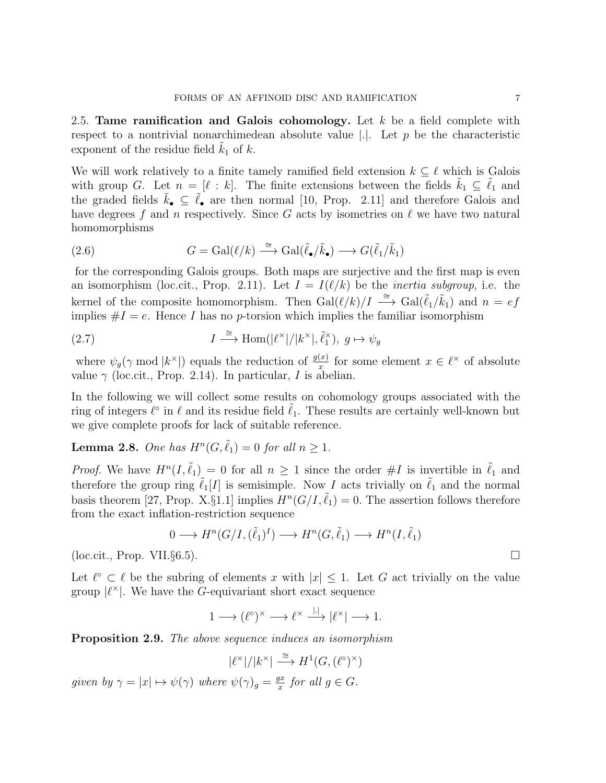2.5. Tame ramification and Galois cohomology. Let  $k$  be a field complete with respect to a nontrivial nonarchimedean absolute value  $|.|$ . Let p be the characteristic exponent of the residue field  $k_1$  of  $k$ .

We will work relatively to a finite tamely ramified field extension  $k \subseteq \ell$  which is Galois with group G. Let  $n = [\ell : k]$ . The finite extensions between the fields  $\tilde{k}_1 \subseteq \tilde{\ell}_1$  and the graded fields  $\tilde{k}_{\bullet} \subseteq \tilde{\ell}_{\bullet}$  are then normal [10, Prop. 2.11] and therefore Galois and have degrees f and n respectively. Since G acts by isometries on  $\ell$  we have two natural homomorphisms

(2.6) 
$$
G = \text{Gal}(\ell/k) \stackrel{\cong}{\longrightarrow} \text{Gal}(\tilde{\ell}_{\bullet}/\tilde{k}_{\bullet}) \longrightarrow G(\tilde{\ell}_{1}/\tilde{k}_{1})
$$

for the corresponding Galois groups. Both maps are surjective and the first map is even an isomorphism (loc.cit., Prop. 2.11). Let  $I = I(\ell/k)$  be the *inertia subgroup*, i.e. the kernel of the composite homomorphism. Then  $Gal(\ell/k)/I \stackrel{\cong}{\longrightarrow} Gal(\tilde{\ell}_1/\tilde{k}_1)$  and  $n = ef$ implies  $\#I = e$ . Hence I has no p-torsion which implies the familiar isomorphism

(2.7) 
$$
I \stackrel{\cong}{\longrightarrow} \text{Hom}(|\ell^{\times}|/|k^{\times}|, \tilde{\ell}_1^{\times}), \ g \mapsto \psi_g
$$

where  $\psi_g(\gamma \mod |k^{\times}|)$  equals the reduction of  $\frac{g(x)}{x}$  for some element  $x \in \ell^{\times}$  of absolute value  $\gamma$  (loc.cit., Prop. 2.14). In particular, I is abelian.

In the following we will collect some results on cohomology groups associated with the ring of integers  $\ell^{\circ}$  in  $\ell$  and its residue field  $\tilde{\ell}_1$ . These results are certainly well-known but we give complete proofs for lack of suitable reference.

# **Lemma 2.8.** One has  $H^n(G, \tilde{\ell}_1) = 0$  for all  $n \geq 1$ .

*Proof.* We have  $H^n(I, \tilde{\ell}_1) = 0$  for all  $n \geq 1$  since the order  $\#I$  is invertible in  $\tilde{\ell}_1$  and therefore the group ring  $\tilde{\ell}_1[I]$  is semisimple. Now I acts trivially on  $\tilde{\ell}_1$  and the normal basis theorem [27, Prop. X.§1.1] implies  $H^n(G/I, \tilde{\ell}_1) = 0$ . The assertion follows therefore from the exact inflation-restriction sequence

$$
0 \longrightarrow H^n(G/I, (\tilde{\ell}_1)^I) \longrightarrow H^n(G, \tilde{\ell}_1) \longrightarrow H^n(I, \tilde{\ell}_1)
$$

 $(\text{loc. cit.}, \text{Prop. VII.} \S6.5)$ .

Let  $\ell^{\circ} \subset \ell$  be the subring of elements x with  $|x| \leq 1$ . Let G act trivially on the value group  $|\ell^{\times}|$ . We have the G-equivariant short exact sequence

$$
1 \longrightarrow (\ell^{\circ})^{\times} \longrightarrow \ell^{\times} \stackrel{|\cdot|}{\longrightarrow} |\ell^{\times}| \longrightarrow 1.
$$

Proposition 2.9. The above sequence induces an isomorphism

$$
|\ell^{\times}|/|k^{\times}| \stackrel{\cong}{\longrightarrow} H^1(G, (\ell^{\circ})^{\times})
$$

given by  $\gamma = |x| \mapsto \psi(\gamma)$  where  $\psi(\gamma)_{g} = \frac{gx}{x}$  $\frac{dx}{x}$  for all  $g \in G$ .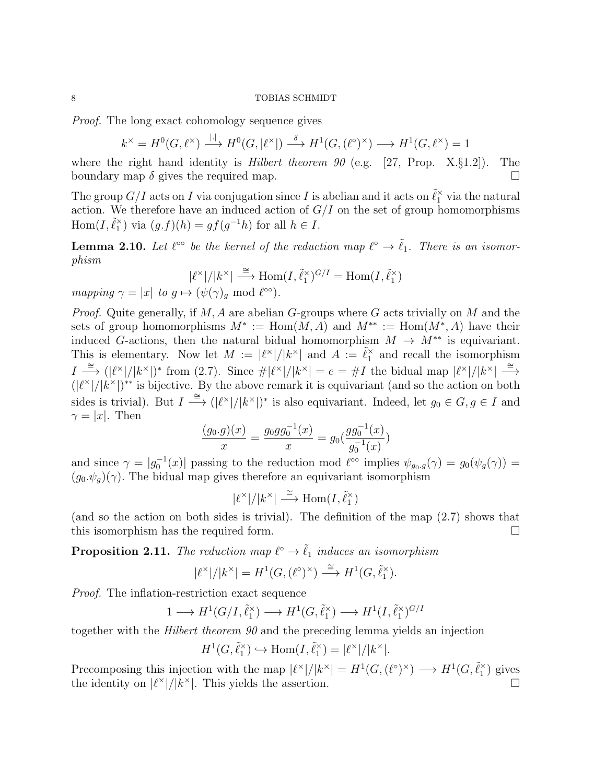Proof. The long exact cohomology sequence gives

$$
k^{\times} = H^{0}(G, \ell^{\times}) \xrightarrow{\ | \cdot \|} H^{0}(G, |\ell^{\times}|) \xrightarrow{\delta} H^{1}(G, (\ell^{\circ})^{\times}) \longrightarrow H^{1}(G, \ell^{\times}) = 1
$$

where the right hand identity is *Hilbert theorem 90* (e.g. [27, Prop. X. $\S 1.2$ ]). The boundary map  $\delta$  gives the required map.

The group  $G/I$  acts on  $I$  via conjugation since  $I$  is abelian and it acts on  $\tilde{\ell}_1^\times$  via the natural action. We therefore have an induced action of  $G/I$  on the set of group homomorphisms Hom $(I, \tilde{\ell}_1^{\times})$  via  $(g.f)(h) = gf(g^{-1}h)$  for all  $h \in I$ .

**Lemma 2.10.** Let  $\ell^{\infty}$  be the kernel of the reduction map  $\ell^{\infty} \to \tilde{\ell}_1$ . There is an isomorphism

$$
|\ell^{\times}|/|k^{\times}| \stackrel{\cong}{\longrightarrow} \text{Hom}(I, \tilde{\ell}_1^{\times})^{G/I} = \text{Hom}(I, \tilde{\ell}_1^{\times})
$$
  
and  $\ell^{\otimes 0}$ 

mapping  $\gamma = |x|$  to  $g \mapsto (\psi(\gamma))_g \mod \ell^{\infty}$ .

*Proof.* Quite generally, if  $M$ ,  $A$  are abelian  $G$ -groups where  $G$  acts trivially on  $M$  and the sets of group homomorphisms  $M^* := \text{Hom}(M, A)$  and  $M^{**} := \text{Hom}(M^*, A)$  have their induced G-actions, then the natural bidual homomorphism  $M \to M^{**}$  is equivariant. This is elementary. Now let  $M := |\ell^*|/|k^*|$  and  $A := \tilde{\ell}_1^*$  and recall the isomorphism  $I \stackrel{\cong}{\longrightarrow} (|\ell^{\times}|/|k^{\times}|)^*$  from (2.7). Since  $\#\ell^{\times}|/|k^{\times}| = e = \#I$  the bidual map  $|\ell^{\times}|/|k^{\times}| \stackrel{\cong}{\longrightarrow}$  $(|\ell^{\times}|/|k^{\times}|)^{**}$  is bijective. By the above remark it is equivariant (and so the action on both sides is trivial). But  $I \stackrel{\cong}{\longrightarrow} (|\ell^{\times}|/|k^{\times}|)^*$  is also equivariant. Indeed, let  $g_0 \in G, g \in I$  and  $\gamma = |x|$ . Then

$$
\frac{(g_0.g)(x)}{x} = \frac{g_0gg_0^{-1}(x)}{x} = g_0(\frac{gg_0^{-1}(x)}{g_0^{-1}(x)})
$$

and since  $\gamma = |g_0^{-1}(x)|$  passing to the reduction mod  $\ell^{\infty}$  implies  $\psi_{g_0,g}(\gamma) = g_0(\psi_g(\gamma)) =$  $(g_0.\psi_a)(\gamma)$ . The bidual map gives therefore an equivariant isomorphism

$$
|\ell^{\times}|/|k^{\times}| \stackrel{\cong}{\longrightarrow} \text{Hom}(I, \tilde{\ell}_1^{\times})
$$

(and so the action on both sides is trivial). The definition of the map (2.7) shows that this isomorphism has the required form.

**Proposition 2.11.** The reduction map  $\ell^{\circ} \to \tilde{\ell}_1$  induces an isomorphism

$$
|\ell^{\times}|/|k^{\times}|=H^1(G,(\ell^{\circ})^{\times})\stackrel{\cong}{\longrightarrow} H^1(G,\tilde{\ell}_1^{\times}).
$$

Proof. The inflation-restriction exact sequence

$$
1 \longrightarrow H^1(G/I, \tilde{\ell}_1^{\times}) \longrightarrow H^1(G, \tilde{\ell}_1^{\times}) \longrightarrow H^1(I, \tilde{\ell}_1^{\times})^{G/I}
$$

together with the Hilbert theorem 90 and the preceding lemma yields an injection

$$
H^1(G,\tilde{\ell}_1^\times) \hookrightarrow \text{Hom}(I,\tilde{\ell}_1^\times) = |\ell^\times| / |k^\times|.
$$

Precomposing this injection with the map  $|\ell^{\times}|/|k^{\times}| = H^1(G, (\ell^{\circ})^{\times}) \longrightarrow H^1(G, \tilde{\ell}_1^{\times})$  gives the identity on  $|\ell^{\times}|/|k^{\times}|$ . This yields the assertion.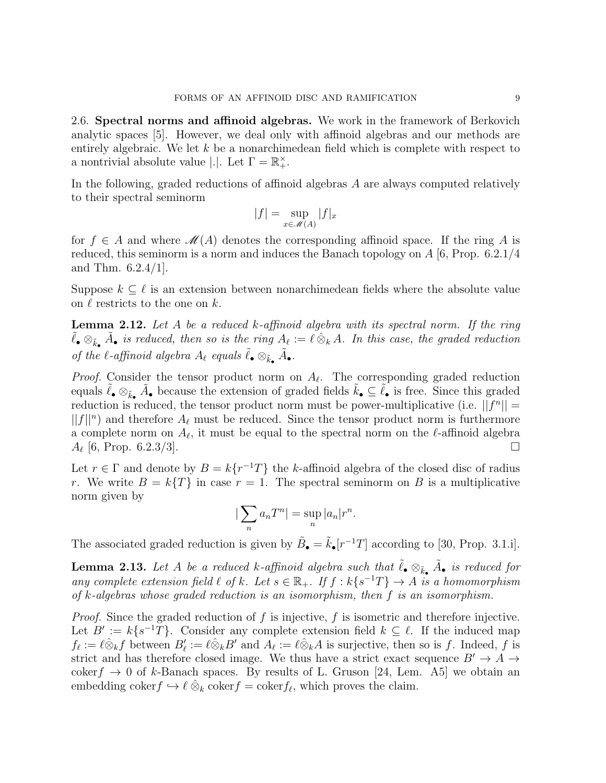2.6. Spectral norms and affinoid algebras. We work in the framework of Berkovich analytic spaces [5]. However, we deal only with affinoid algebras and our methods are entirely algebraic. We let  $k$  be a nonarchimedean field which is complete with respect to a nontrivial absolute value  $|.|$ . Let  $\Gamma = \mathbb{R}^{\times}_+$ .

In the following, graded reductions of affinoid algebras A are always computed relatively to their spectral seminorm

$$
|f| = \sup_{x \in \mathcal{M}(A)} |f|_x
$$

for  $f \in A$  and where  $\mathcal{M}(A)$  denotes the corresponding affinoid space. If the ring A is reduced, this seminorm is a norm and induces the Banach topology on  $A$  [6, Prop. 6.2.1/4] and Thm. 6.2.4/1].

Suppose  $k \subseteq \ell$  is an extension between nonarchimedean fields where the absolute value on  $\ell$  restricts to the one on k.

**Lemma 2.12.** Let A be a reduced k-affinoid algebra with its spectral norm. If the ring  $\tilde{\ell}_{\bullet} \otimes_{\tilde{k}_{\bullet}} \tilde{A}_{\bullet}$  is reduced, then so is the ring  $A_{\ell} := \ell \otimes_k A$ . In this case, the graded reduction of the  $\ell$ -affinoid algebra  $A_{\ell}$  equals  $\tilde{\ell}_{\bullet} \otimes_{\tilde{k}_{\bullet}} \tilde{A}_{\bullet}$ .

*Proof.* Consider the tensor product norm on  $A_{\ell}$ . The corresponding graded reduction equals  $\tilde{\ell}_{\bullet} \otimes_{\tilde{k}_{\bullet}} \tilde{A}_{\bullet}$  because the extension of graded fields  $\tilde{k}_{\bullet} \subseteq \tilde{\ell}_{\bullet}$  is free. Since this graded reduction is reduced, the tensor product norm must be power-multiplicative (i.e.  $||f^n|| =$  $||f||^n$  and therefore  $A_\ell$  must be reduced. Since the tensor product norm is furthermore a complete norm on  $A_{\ell}$ , it must be equal to the spectral norm on the  $\ell$ -affinoid algebra  $A_{\ell}$  [6, Prop. 6.2.3/3].

Let  $r \in \Gamma$  and denote by  $B = k\{r^{-1}T\}$  the k-affinoid algebra of the closed disc of radius r. We write  $B = k\{T\}$  in case  $r = 1$ . The spectral seminorm on B is a multiplicative norm given by

$$
\left|\sum_{n} a_n T^n\right| = \sup_{n} |a_n| r^n.
$$

The associated graded reduction is given by  $\tilde{B}_{\bullet} = \tilde{k}_{\bullet}[r^{-1}T]$  according to [30, Prop. 3.1.i].

**Lemma 2.13.** Let A be a reduced k-affinoid algebra such that  $\tilde{\ell}_\bullet \otimes_{\tilde{k}_\bullet} \tilde{A}_\bullet$  is reduced for any complete extension field  $\ell$  of k. Let  $s \in \mathbb{R}_+$ . If  $f : k\{s^{-1}T\} \to A$  is a homomorphism of k-algebras whose graded reduction is an isomorphism, then f is an isomorphism.

*Proof.* Since the graded reduction of f is injective, f is isometric and therefore injective. Let  $B' := k\{s^{-1}T\}$ . Consider any complete extension field  $k \subseteq \ell$ . If the induced map  $f_{\ell} := \ell \hat{\otimes}_k f$  between  $B'_{\ell} := \ell \hat{\otimes}_k B'$  and  $A_{\ell} := \ell \hat{\otimes}_k A$  is surjective, then so is f. Indeed, f is strict and has therefore closed image. We thus have a strict exact sequence  $B' \rightarrow A \rightarrow$ coker $f \rightarrow 0$  of k-Banach spaces. By results of L. Gruson [24, Lem. A5] we obtain an embedding coker $f \hookrightarrow \ell \hat{\otimes}_k \text{coker} f = \text{coker} f_\ell$ , which proves the claim.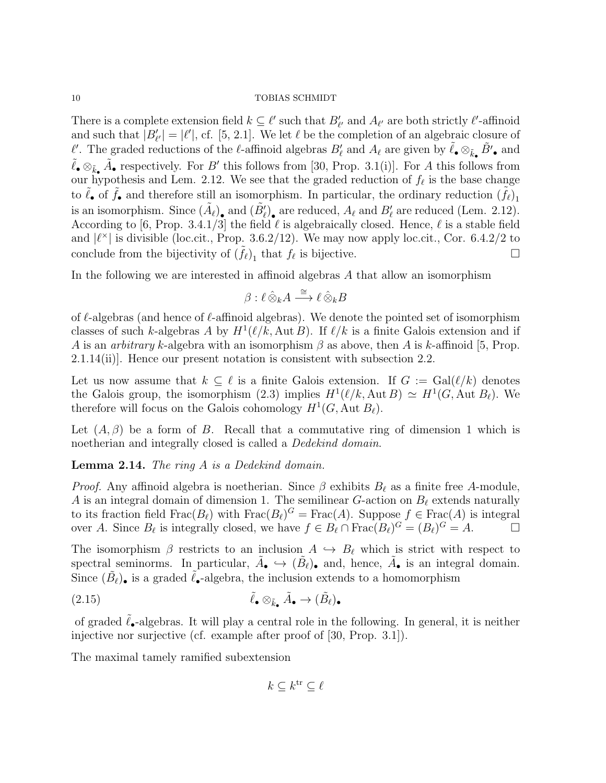There is a complete extension field  $k \subseteq \ell'$  such that  $B'_{\ell'}$  and  $A_{\ell'}$  are both strictly  $\ell'$ -affinoid and such that  $|B'_{\ell'}| = |\ell'|$ , cf. [5, 2.1]. We let  $\ell$  be the completion of an algebraic closure of l'. The graded reductions of the l-affinoid algebras  $B'_\ell$  and  $A_\ell$  are given by  $\tilde{\ell}_\bullet \otimes_{\tilde{k}_\bullet} \tilde{B}'_\bullet$  and  $\tilde{\ell}_{\bullet} \otimes_{\tilde{k}_{\bullet}} \tilde{A}_{\bullet}$  respectively. For B' this follows from [30, Prop. 3.1(i)]. For A this follows from our hypothesis and Lem. 2.12. We see that the graded reduction of  $f_\ell$  is the base change to  $\tilde{\ell}_{\bullet}$  of  $\tilde{f}_{\bullet}$  and therefore still an isomorphism. In particular, the ordinary reduction  $(\tilde{f}_{\ell})_1$ is an isomorphism. Since  $(\tilde{A}_{\ell})_{\bullet}$  and  $(\tilde{B}_{\ell}')_{\bullet}$  are reduced,  $A_{\ell}$  and  $B_{\ell}'$  are reduced (Lem. 2.12). According to [6, Prop. 3.4.1/3] the field  $\ell$  is algebraically closed. Hence,  $\ell$  is a stable field and  $|\ell^{\times}|$  is divisible (loc.cit., Prop. 3.6.2/12). We may now apply loc.cit., Cor. 6.4.2/2 to conclude from the bijectivity of  $(\tilde{f}_{\ell})_1$  that  $f_{\ell}$  is bijective.

In the following we are interested in affinoid algebras A that allow an isomorphism

$$
\beta: \ell \hat{\otimes}_k A \stackrel{\cong}{\longrightarrow} \ell \hat{\otimes}_k B
$$

of  $\ell$ -algebras (and hence of  $\ell$ -affinoid algebras). We denote the pointed set of isomorphism classes of such k-algebras A by  $H^1(\ell/k, \text{Aut }B)$ . If  $\ell/k$  is a finite Galois extension and if A is an *arbitrary k*-algebra with an isomorphism  $\beta$  as above, then A is k-affinoid [5, Prop. 2.1.14(ii)]. Hence our present notation is consistent with subsection 2.2.

Let us now assume that  $k \subset \ell$  is a finite Galois extension. If  $G := \text{Gal}(\ell/k)$  denotes the Galois group, the isomorphism (2.3) implies  $H^1(\ell/k, \text{Aut }B) \simeq H^1(G, \text{Aut }B_\ell)$ . We therefore will focus on the Galois cohomology  $H^1(G, \text{Aut } B_\ell)$ .

Let  $(A, \beta)$  be a form of B. Recall that a commutative ring of dimension 1 which is noetherian and integrally closed is called a *Dedekind domain*.

Lemma 2.14. The ring A is a Dedekind domain.

*Proof.* Any affinoid algebra is noetherian. Since  $\beta$  exhibits  $B_\ell$  as a finite free A-module, A is an integral domain of dimension 1. The semilinear G-action on  $B_\ell$  extends naturally to its fraction field  $\text{Frac}(B_\ell)$  with  $\text{Frac}(B_\ell)^G = \text{Frac}(A)$ . Suppose  $f \in \text{Frac}(A)$  is integral over A. Since  $B_\ell$  is integrally closed, we have  $f \in B_\ell \cap \text{Frac}(B_\ell)^G = (B_\ell)^G = A.$ 

The isomorphism  $\beta$  restricts to an inclusion  $A \hookrightarrow B_\ell$  which is strict with respect to spectral seminorms. In particular,  $\tilde{A}_{\bullet} \hookrightarrow (\tilde{B}_{\ell})_{\bullet}$  and, hence,  $\tilde{A}_{\bullet}$  is an integral domain. Since  $(\tilde{B}_\ell)$  is a graded  $\tilde{\ell}_{\bullet}$ -algebra, the inclusion extends to a homomorphism

(2.15) 
$$
\tilde{\ell}_{\bullet} \otimes_{\tilde{k}_{\bullet}} \tilde{A}_{\bullet} \to (\tilde{B}_{\ell})_{\bullet}
$$

of graded  $\ell_{\bullet}$ -algebras. It will play a central role in the following. In general, it is neither injective nor surjective (cf. example after proof of [30, Prop. 3.1]).

The maximal tamely ramified subextension

 $k \subseteq k^{\text{tr}} \subseteq \ell$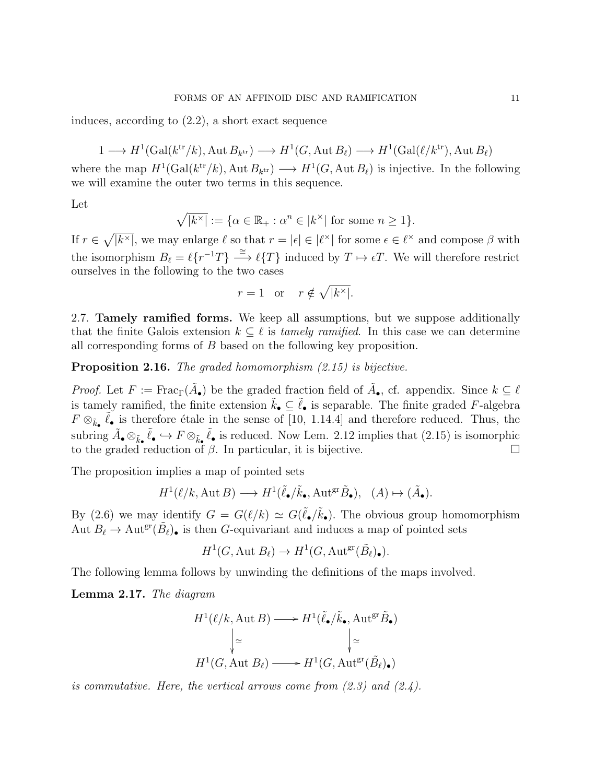induces, according to (2.2), a short exact sequence

 $1 \longrightarrow H^1(\text{Gal}(k^{\text{tr}}/k), \text{Aut }B_{k^{\text{tr}}}) \longrightarrow H^1(G, \text{Aut }B_{\ell}) \longrightarrow H^1(\text{Gal}(\ell/k^{\text{tr}}), \text{Aut }B_{\ell})$ 

where the map  $H^1(\text{Gal}(k^{\text{tr}}/k), \text{Aut }B_{k^{\text{tr}}}) \longrightarrow H^1(G, \text{Aut }B_{\ell})$  is injective. In the following we will examine the outer two terms in this sequence.

Let

$$
\sqrt{|k^\times|} := \{ \alpha \in \mathbb{R}_+ : \alpha^n \in |k^\times| \text{ for some } n \ge 1 \}.
$$

If  $r \in \sqrt{\vert k^\times \vert}$ , we may enlarge  $\ell$  so that  $r = |\epsilon| \in |\ell^\times|$  for some  $\epsilon \in \ell^\times$  and compose  $\beta$  with the isomorphism  $B_\ell = \ell\{r^{-1}T\} \stackrel{\cong}{\longrightarrow} \ell\{T\}$  induced by  $T \mapsto \epsilon T$ . We will therefore restrict ourselves in the following to the two cases

$$
r = 1 \quad \text{or} \quad r \notin \sqrt{|k^{\times}|}.
$$

2.7. Tamely ramified forms. We keep all assumptions, but we suppose additionally that the finite Galois extension  $k \subset \ell$  is tamely ramified. In this case we can determine all corresponding forms of B based on the following key proposition.

Proposition 2.16. The graded homomorphism  $(2.15)$  is bijective.

*Proof.* Let  $F := \text{Frac}_{\Gamma}(\tilde{A}_{\bullet})$  be the graded fraction field of  $\tilde{A}_{\bullet}$ , cf. appendix. Since  $k \subseteq \ell$ is tamely ramified, the finite extension  $\tilde{k}_{\bullet} \subseteq \tilde{\ell}_{\bullet}$  is separable. The finite graded F-algebra  $F \otimes_{\tilde{k}_{\bullet}} \tilde{\ell}_{\bullet}$  is therefore étale in the sense of [10, 1.14.4] and therefore reduced. Thus, the subring  $\tilde{A}_{\bullet}\otimes_{\tilde{k}_{\bullet}}\tilde{\ell}_{\bullet}\hookrightarrow F\otimes_{\tilde{k}_{\bullet}}\tilde{\ell}_{\bullet}$  is reduced. Now Lem. 2.12 implies that  $(2.15)$  is isomorphic to the graded reduction of  $\beta$ . In particular, it is bijective.

The proposition implies a map of pointed sets

$$
H^1(\ell/k, \text{Aut }B) \longrightarrow H^1(\tilde{\ell}_\bullet/\tilde{k}_\bullet, \text{Aut}^{\text{gr}}\tilde{B}_\bullet), \quad (A) \mapsto (\tilde{A}_\bullet).
$$

By (2.6) we may identify  $G = G(\ell/k) \simeq G(\tilde{\ell}_{\bullet}/\tilde{k}_{\bullet})$ . The obvious group homomorphism Aut  $B_\ell \to \text{Aut}^{\text{gr}}(\tilde{B}_\ell)$  is then G-equivariant and induces a map of pointed sets

$$
H^1(G, \text{Aut } B_{\ell}) \to H^1(G, \text{Aut}^{\text{gr}}(\tilde{B}_{\ell})_{\bullet}).
$$

The following lemma follows by unwinding the definitions of the maps involved.

Lemma 2.17. The diagram

$$
H^1(\ell/k, \text{Aut } B) \longrightarrow H^1(\tilde{\ell}_{\bullet}/\tilde{k}_{\bullet}, \text{Aut}^{\text{gr}} \tilde{B}_{\bullet})
$$

$$
\downarrow \simeq \qquad \qquad \downarrow \simeq
$$

$$
H^1(G, \text{Aut } B_{\ell}) \longrightarrow H^1(G, \text{Aut}^{\text{gr}} (\tilde{B}_{\ell})_{\bullet})
$$

is commutative. Here, the vertical arrows come from  $(2.3)$  and  $(2.4)$ .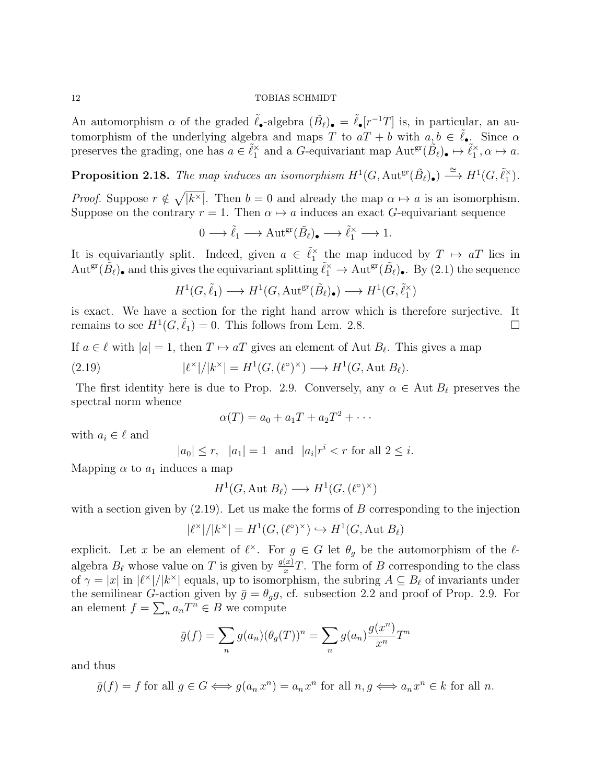An automorphism  $\alpha$  of the graded  $\tilde{\ell}_{\bullet}$ -algebra  $(\tilde{B}_{\ell})_{\bullet} = \tilde{\ell}_{\bullet}[r^{-1}T]$  is, in particular, an automorphism of the underlying algebra and maps T to  $aT + b$  with  $a, b \in \tilde{\ell}_{\bullet}$ . Since  $\alpha$ preserves the grading, one has  $a \in \tilde{\ell}_1^{\times}$  and a G-equivariant map  $\mathrm{Aut}^{\mathrm{gr}}(\tilde{B}_{\ell})_{\bullet} \mapsto \tilde{\ell}_1^{\times}, \alpha \mapsto a$ .

**Proposition 2.18.** The map induces an isomorphism  $H^1(G, \text{Aut}^{\text{gr}}(\tilde{B}_\ell)_{\bullet}) \stackrel{\cong}{\longrightarrow} H^1(G, \tilde{\ell}_1^{\times}).$ 

*Proof.* Suppose  $r \notin \sqrt{[k^{\times}]}$ . Then  $b = 0$  and already the map  $\alpha \mapsto a$  is an isomorphism. Suppose on the contrary  $r = 1$ . Then  $\alpha \mapsto a$  induces an exact G-equivariant sequence

$$
0 \longrightarrow \tilde{\ell}_1 \longrightarrow \text{Aut}^{\text{gr}}(\tilde{B}_{\ell})_{\bullet} \longrightarrow \tilde{\ell}_1^{\times} \longrightarrow 1.
$$

It is equivariantly split. Indeed, given  $a \in \tilde{\ell}_1^{\times}$  the map induced by  $T \mapsto aT$  lies in  $\mathrm{Aut}^{\mathrm{gr}}(\tilde{B}_{\ell})_{\bullet}$  and this gives the equivariant splitting  $\tilde{\ell}_1^{\times} \to \mathrm{Aut}^{\mathrm{gr}}(\tilde{B}_{\ell})_{\bullet}$ . By  $(2.1)$  the sequence

$$
H^1(G,\tilde{\ell}_1) \longrightarrow H^1(G,{\rm Aut}^{\rm gr}(\tilde{B}_{\ell})_\bullet) \longrightarrow H^1(G,\tilde{\ell}_1^\times)
$$

is exact. We have a section for the right hand arrow which is therefore surjective. It remains to see  $H^1(G, \tilde{\ell}_1) = 0$ . This follows from Lem. 2.8.

If  $a \in \ell$  with  $|a| = 1$ , then  $T \mapsto aT$  gives an element of Aut  $B_{\ell}$ . This gives a map

(2.19) 
$$
|\ell^{\times}|/|k^{\times}| = H^{1}(G, (\ell^{\circ})^{\times}) \longrightarrow H^{1}(G, \text{Aut } B_{\ell}).
$$

The first identity here is due to Prop. 2.9. Conversely, any  $\alpha \in \text{Aut } B_\ell$  preserves the spectral norm whence

$$
\alpha(T) = a_0 + a_1T + a_2T^2 + \cdots
$$

with  $a_i \in \ell$  and

$$
|a_0| \le r
$$
,  $|a_1| = 1$  and  $|a_i|r^i < r$  for all  $2 \le i$ .

Mapping  $\alpha$  to  $a_1$  induces a map

$$
H^1(G, \text{Aut } B_{\ell}) \longrightarrow H^1(G, (\ell^{\circ})^{\times})
$$

with a section given by  $(2.19)$ . Let us make the forms of B corresponding to the injection

$$
|\ell^{\times}|/|k^{\times}| = H^1(G, (\ell^{\circ})^{\times}) \hookrightarrow H^1(G, \text{Aut } B_{\ell})
$$

explicit. Let x be an element of  $\ell^{\times}$ . For  $g \in G$  let  $\theta_g$  be the automorphism of the  $\ell$ algebra  $B_\ell$  whose value on T is given by  $\frac{g(x)}{x}T$ . The form of B corresponding to the class of  $\gamma = |x|$  in  $|\ell^*|/|k^*|$  equals, up to isomorphism, the subring  $A \subseteq B_\ell$  of invariants under the semilinear G-action given by  $\bar{g} = \theta_g g$ , cf. subsection 2.2 and proof of Prop. 2.9. For an element  $f = \sum_n a_n T^n \in B$  we compute

$$
\bar{g}(f) = \sum_{n} g(a_n) (\theta_g(T))^n = \sum_{n} g(a_n) \frac{g(x^n)}{x^n} T^n
$$

and thus

$$
\bar{g}(f) = f
$$
 for all  $g \in G \iff g(a_n x^n) = a_n x^n$  for all  $n, g \iff a_n x^n \in k$  for all  $n$ .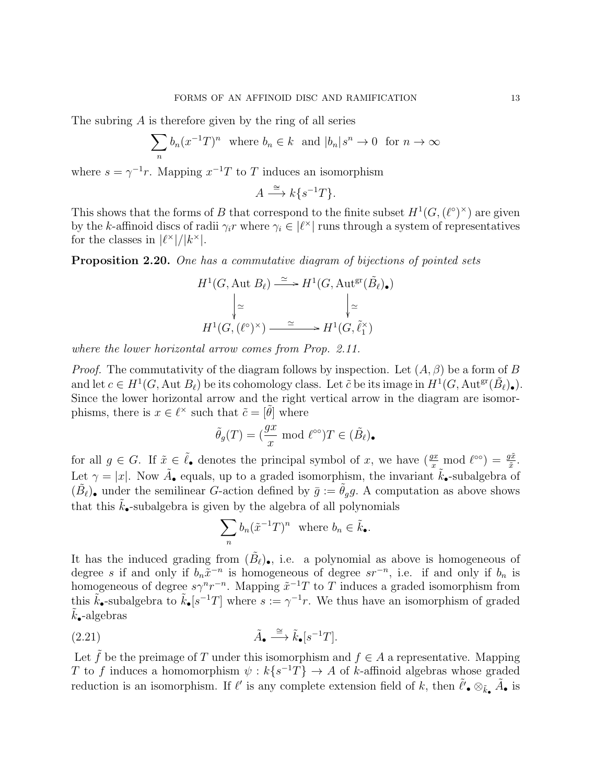The subring A is therefore given by the ring of all series

$$
\sum_{n} b_n (x^{-1}T)^n \text{ where } b_n \in k \text{ and } |b_n|s^n \to 0 \text{ for } n \to \infty
$$

where  $s = \gamma^{-1}r$ . Mapping  $x^{-1}T$  to T induces an isomorphism

$$
A \xrightarrow{\cong} k\{s^{-1}T\}.
$$

This shows that the forms of B that correspond to the finite subset  $H^1(G, (\ell^{\circ})^{\times})$  are given by the k-affinoid discs of radii  $\gamma_i r$  where  $\gamma_i \in |\ell^{\times}|$  runs through a system of representatives for the classes in  $|\ell^{\times}|/|k^{\times}|$ .

Proposition 2.20. One has a commutative diagram of bijections of pointed sets

$$
H^1(G, \text{Aut } B_\ell) \xrightarrow{\simeq} H^1(G, \text{Aut}^{\text{gr}}(\tilde{B}_\ell)_\bullet)
$$

$$
\downarrow \simeq \qquad \qquad \downarrow \simeq
$$

$$
H^1(G, (\ell^\circ)^\times) \xrightarrow{\simeq} H^1(G, \tilde{\ell}_1^\times)
$$

where the lower horizontal arrow comes from Prop. 2.11.

*Proof.* The commutativity of the diagram follows by inspection. Let  $(A, \beta)$  be a form of B and let  $c \in H^1(G, \text{Aut } B_\ell)$  be its cohomology class. Let  $\tilde{c}$  be its image in  $H^1(G, \text{Aut}^{\text{gr}}(\tilde{B}_\ell))$ . Since the lower horizontal arrow and the right vertical arrow in the diagram are isomorphisms, there is  $x \in \ell^{\times}$  such that  $\tilde{c} = [\tilde{\theta}]$  where

$$
\tilde{\theta}_g(T) = (\frac{gx}{x} \mod \ell^{\infty})T \in (\tilde{B}_{\ell})_{\bullet}
$$

for all  $g \in G$ . If  $\tilde{x} \in \tilde{\ell}_{\bullet}$  denotes the principal symbol of x, we have  $(\frac{gx}{x} \mod l^{\infty}) = \frac{g\tilde{x}}{\tilde{x}}$ . Let  $\gamma = |x|$ . Now  $\tilde{A}_{\bullet}$  equals, up to a graded isomorphism, the invariant  $\tilde{k}_{\bullet}$ -subalgebra of  $(\tilde{B}_{\ell})_{\bullet}$  under the semilinear *G*-action defined by  $\bar{g} := \tilde{\theta}_g g$ . A computation as above shows that this  $\tilde{k}_{\bullet}$ -subalgebra is given by the algebra of all polynomials

$$
\sum_n b_n(\tilde{x}^{-1}T)^n \text{ where } b_n \in \tilde{k}_\bullet.
$$

It has the induced grading from  $(\tilde{B}_{\ell})_{\bullet}$ , i.e. a polynomial as above is homogeneous of degree s if and only if  $b_n \tilde{x}^{-n}$  is homogeneous of degree  $sr^{-n}$ , i.e. if and only if  $b_n$  is homogeneous of degree  $s\gamma^n r^{-n}$ . Mapping  $\tilde{x}^{-1}T$  to T induces a graded isomorphism from this  $\tilde{k}_{\bullet}$ -subalgebra to  $\tilde{k}_{\bullet}[s^{-1}T]$  where  $s := \gamma^{-1}r$ . We thus have an isomorphism of graded  $k_{\bullet}$ -algebras

$$
\tilde{A}_{\bullet} \xrightarrow{\cong} \tilde{k}_{\bullet}[s^{-1}T].
$$

Let  $\tilde{f}$  be the preimage of T under this isomorphism and  $f \in A$  a representative. Mapping T to f induces a homomorphism  $\psi : k\{s^{-1}T\} \to A$  of k-affinoid algebras whose graded reduction is an isomorphism. If  $\ell'$  is any complete extension field of k, then  $\tilde{\ell}'$ ,  $\otimes_{\tilde{k}}$ ,  $\tilde{A}$ , is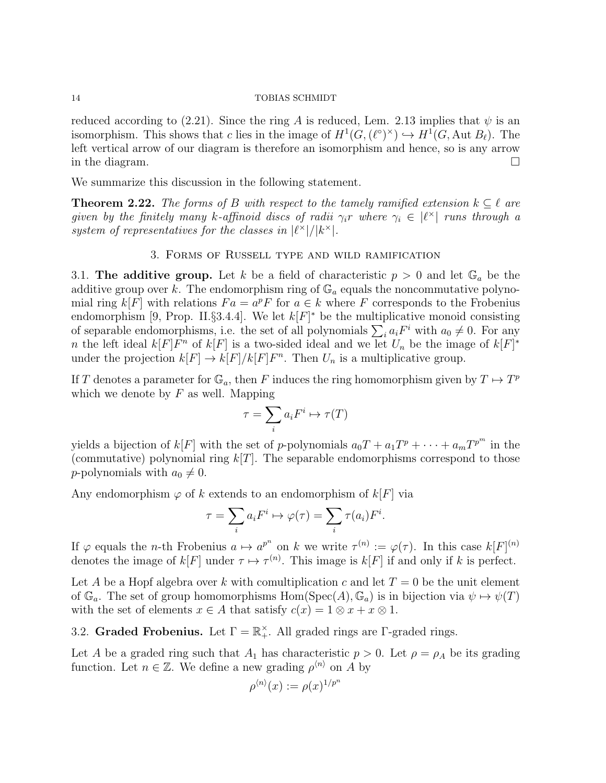reduced according to (2.21). Since the ring A is reduced, Lem. 2.13 implies that  $\psi$  is an isomorphism. This shows that c lies in the image of  $H^1(G,(\ell^{\circ})^{\times}) \hookrightarrow H^1(G,\text{Aut }B_{\ell}).$  The left vertical arrow of our diagram is therefore an isomorphism and hence, so is any arrow in the diagram.  $\square$ 

We summarize this discussion in the following statement.

**Theorem 2.22.** The forms of B with respect to the tamely ramified extension  $k \subseteq \ell$  are given by the finitely many k-affinoid discs of radii  $\gamma_i r$  where  $\gamma_i \in |\ell^{\times}|$  runs through a system of representatives for the classes in  $\lvert \ell^{\times} \rvert / \lvert k^{\times} \rvert$ .

## 3. Forms of Russell type and wild ramification

3.1. The additive group. Let k be a field of characteristic  $p > 0$  and let  $\mathbb{G}_a$  be the additive group over k. The endomorphism ring of  $\mathbb{G}_a$  equals the noncommutative polynomial ring  $k[F]$  with relations  $Fa = a^pF$  for  $a \in k$  where F corresponds to the Frobenius endomorphism [9, Prop. II.§3.4.4]. We let  $k[F]^*$  be the multiplicative monoid consisting of separable endomorphisms, i.e. the set of all polynomials  $\sum_i a_i F^i$  with  $a_0 \neq 0$ . For any n the left ideal  $k[F]F^n$  of  $k[F]$  is a two-sided ideal and we let  $U_n$  be the image of  $k[F]^*$ under the projection  $k[F] \to k[F]/k[F]F^n$ . Then  $U_n$  is a multiplicative group.

If T denotes a parameter for  $\mathbb{G}_a$ , then F induces the ring homomorphism given by  $T \mapsto T^p$ which we denote by  $F$  as well. Mapping

$$
\tau = \sum_i a_i F^i \mapsto \tau(T)
$$

yields a bijection of  $k[F]$  with the set of p-polynomials  $a_0T + a_1T^p + \cdots + a_mT^{p^m}$  in the (commutative) polynomial ring  $k[T]$ . The separable endomorphisms correspond to those p-polynomials with  $a_0 \neq 0$ .

Any endomorphism  $\varphi$  of k extends to an endomorphism of  $k[F]$  via

$$
\tau = \sum_i a_i F^i \mapsto \varphi(\tau) = \sum_i \tau(a_i) F^i.
$$

If  $\varphi$  equals the *n*-th Frobenius  $a \mapsto a^{p^n}$  on k we write  $\tau^{(n)} := \varphi(\tau)$ . In this case  $k[F]^{(n)}$ denotes the image of  $k[F]$  under  $\tau \mapsto \tau^{(n)}$ . This image is  $k[F]$  if and only if k is perfect.

Let A be a Hopf algebra over k with comultiplication c and let  $T = 0$  be the unit element of  $\mathbb{G}_a$ . The set of group homomorphisms Hom(Spec(A),  $\mathbb{G}_a$ ) is in bijection via  $\psi \mapsto \psi(T)$ with the set of elements  $x \in A$  that satisfy  $c(x) = 1 \otimes x + x \otimes 1$ .

3.2. Graded Frobenius. Let  $\Gamma = \mathbb{R}^{\times}_+$ . All graded rings are  $\Gamma$ -graded rings.

Let A be a graded ring such that  $A_1$  has characteristic  $p > 0$ . Let  $\rho = \rho_A$  be its grading function. Let  $n \in \mathbb{Z}$ . We define a new grading  $\rho^{\langle n \rangle}$  on A by

$$
\rho^{\langle n \rangle}(x) := \rho(x)^{1/p^n}
$$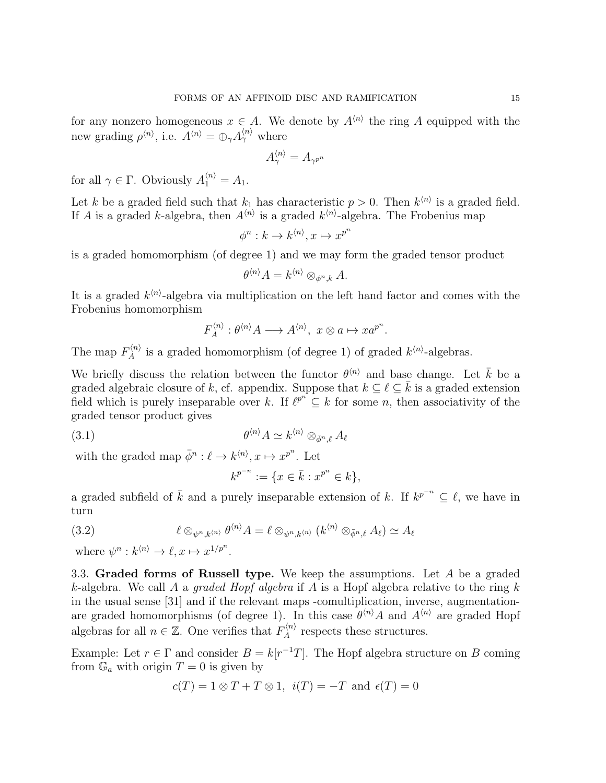for any nonzero homogeneous  $x \in A$ . We denote by  $A^{\langle n \rangle}$  the ring A equipped with the new grading  $\rho^{\langle n \rangle}$ , i.e.  $A^{\langle n \rangle} = \bigoplus_{\gamma} A^{\langle n \rangle}_{\gamma}$  where

$$
A_\gamma^{\langle n \rangle} = A_{\gamma^{p^n}}
$$

for all  $\gamma \in \Gamma$ . Obviously  $A_1^{\langle n \rangle} = A_1$ .

Let k be a graded field such that  $k_1$  has characteristic  $p > 0$ . Then  $k^{(n)}$  is a graded field. If A is a graded k-algebra, then  $A^{\langle n \rangle}$  is a graded  $k^{\langle n \rangle}$ -algebra. The Frobenius map

$$
\phi^n : k \to k^{\langle n \rangle}, x \mapsto x^{p^n}
$$

is a graded homomorphism (of degree 1) and we may form the graded tensor product

$$
\theta^{\langle n \rangle} A = k^{\langle n \rangle} \otimes_{\phi^n, k} A.
$$

It is a graded  $k^{\langle n \rangle}$ -algebra via multiplication on the left hand factor and comes with the Frobenius homomorphism

$$
F_A^{\langle n \rangle} : \theta^{\langle n \rangle} A \longrightarrow A^{\langle n \rangle}, \ x \otimes a \mapsto x a^{p^n}.
$$

The map  $F_A^{\langle n \rangle}$  $\chi_A^{(n)}$  is a graded homomorphism (of degree 1) of graded  $k^{(n)}$ -algebras.

We briefly discuss the relation between the functor  $\theta^{(n)}$  and base change. Let  $\overline{k}$  be a graded algebraic closure of k, cf. appendix. Suppose that  $k \subset \ell \subset \overline{k}$  is a graded extension field which is purely inseparable over k. If  $\ell^{p^n} \subseteq k$  for some n, then associativity of the graded tensor product gives

$$
\theta^{\langle n \rangle} A \simeq k^{\langle n \rangle} \otimes_{\bar{\phi}^n, \ell} A_{\ell}
$$

with the graded map  $\bar{\phi}^n : \ell \to k^{\langle n \rangle}, x \mapsto x^{p^n}$ . Let

$$
k^{p^{-n}} := \{ x \in \bar{k} : x^{p^n} \in k \},\
$$

a graded subfield of  $\bar{k}$  and a purely inseparable extension of k. If  $k^{p^{-n}} \subseteq \ell$ , we have in turn

(3.2) 
$$
\ell \otimes_{\psi^n,k^{(n)}} \theta^{(n)} A = \ell \otimes_{\psi^n,k^{(n)}} (k^{(n)} \otimes_{\bar{\phi}^n,\ell} A_{\ell}) \simeq A_{\ell}
$$

where  $\psi^n : k^{\langle n \rangle} \to \ell, x \mapsto x^{1/p^n}$ .

3.3. Graded forms of Russell type. We keep the assumptions. Let A be a graded k-algebra. We call A a graded Hopf algebra if A is a Hopf algebra relative to the ring k in the usual sense [31] and if the relevant maps -comultiplication, inverse, augmentationare graded homomorphisms (of degree 1). In this case  $\theta^{n} A$  and  $A^{n}$  are graded Hopf algebras for all  $n \in \mathbb{Z}$ . One verifies that  $F_A^{(n)}$  $A^{(n)}$  respects these structures.

Example: Let  $r \in \Gamma$  and consider  $B = k[r^{-1}T]$ . The Hopf algebra structure on B coming from  $\mathbb{G}_a$  with origin  $T = 0$  is given by

$$
c(T) = 1 \otimes T + T \otimes 1
$$
,  $i(T) = -T$  and  $\epsilon(T) = 0$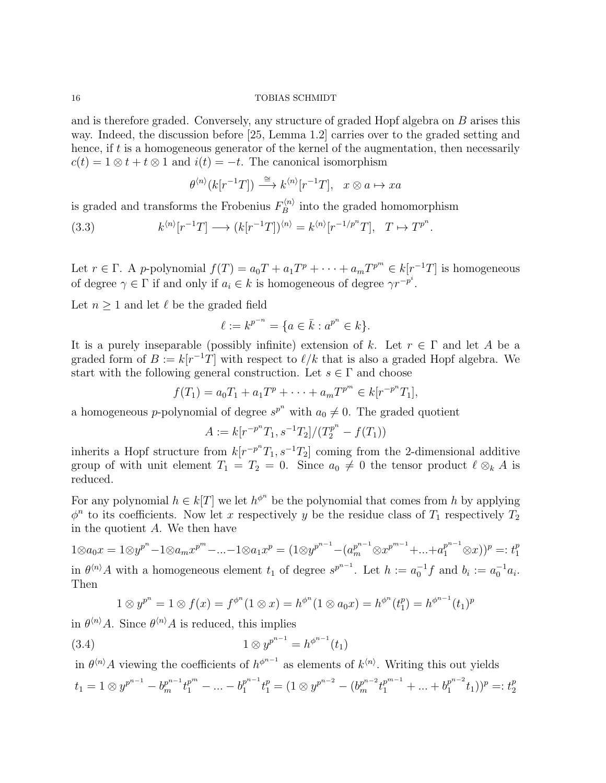and is therefore graded. Conversely, any structure of graded Hopf algebra on B arises this way. Indeed, the discussion before [25, Lemma 1.2] carries over to the graded setting and hence, if t is a homogeneous generator of the kernel of the augmentation, then necessarily  $c(t) = 1 \otimes t + t \otimes 1$  and  $i(t) = -t$ . The canonical isomorphism

$$
\theta^{\langle n\rangle}(k[r^{-1}T]) \xrightarrow{\cong} k^{\langle n\rangle}[r^{-1}T], \quad x \otimes a \mapsto xa
$$

is graded and transforms the Frobenius  $F_B^{(n)}$  $B_B^{\langle n \rangle}$  into the graded homomorphism

(3.3) 
$$
k^{\langle n \rangle} [r^{-1} T] \longrightarrow (k[r^{-1}T])^{\langle n \rangle} = k^{\langle n \rangle} [r^{-1/p^n} T], \quad T \mapsto T^{p^n}.
$$

Let  $r \in \Gamma$ . A p-polynomial  $f(T) = a_0T + a_1T^p + \cdots + a_mT^{p^m} \in k[r^{-1}T]$  is homogeneous of degree  $\gamma \in \Gamma$  if and only if  $a_i \in k$  is homogeneous of degree  $\gamma r^{-p^i}$ .

Let  $n \geq 1$  and let  $\ell$  be the graded field

$$
\ell := k^{p^{-n}} = \{ a \in \bar{k} : a^{p^n} \in k \}.
$$

It is a purely inseparable (possibly infinite) extension of k. Let  $r \in \Gamma$  and let A be a graded form of  $B := k[r^{-1}T]$  with respect to  $\ell/k$  that is also a graded Hopf algebra. We start with the following general construction. Let  $s \in \Gamma$  and choose

$$
f(T_1) = a_0 T_1 + a_1 T^p + \cdots + a_m T^{p^m} \in k[r^{-p^n}T_1],
$$

a homogeneous *p*-polynomial of degree  $s^{p^n}$  with  $a_0 \neq 0$ . The graded quotient

$$
A := k[r^{-p^n}T_1, s^{-1}T_2]/(T_2^{p^n} - f(T_1))
$$

inherits a Hopf structure from  $k[r^{-p^n}T_1, s^{-1}T_2]$  coming from the 2-dimensional additive group of with unit element  $T_1 = T_2 = 0$ . Since  $a_0 \neq 0$  the tensor product  $\ell \otimes_k A$  is reduced.

For any polynomial  $h \in k[T]$  we let  $h^{\phi^n}$  be the polynomial that comes from h by applying  $\phi^n$  to its coefficients. Now let x respectively y be the residue class of  $T_1$  respectively  $T_2$ in the quotient A. We then have

$$
1 \otimes a_0 x = 1 \otimes y^{p^n} - 1 \otimes a_m x^{p^m} - \dots - 1 \otimes a_1 x^p = (1 \otimes y^{p^{n-1}} - (a_m^{p^{n-1}} \otimes x^{p^{m-1}} + \dots + a_1^{p^{n-1}} \otimes x))^p =: t_1^p
$$
  
in  $\theta^{\langle n \rangle} A$  with a homogeneous element  $t_1$  of degree  $s^{p^{n-1}}$ . Let  $h := a_0^{-1} f$  and  $b_i := a_0^{-1} a_i$ .

Then 
$$
e^{n^h} \left(1 + e^{n^h} \left(1 + e^{-n}\right)\right) = e^{n^h} \left(1 + e^{-n^h} \left(1 + e^{-n}\right)\right)
$$

$$
1 \otimes y^{p^n} = 1 \otimes f(x) = f^{\phi^n}(1 \otimes x) = h^{\phi^n}(1 \otimes a_0 x) = h^{\phi^n}(t_1^p) = h^{\phi^{n-1}}(t_1)^p
$$

in  $\theta^{\langle n \rangle} A$ . Since  $\theta^{\langle n \rangle} A$  is reduced, this implies

(3.4) 
$$
1 \otimes y^{p^{n-1}} = h^{\phi^{n-1}}(t_1)
$$

in  $\theta^{n}$  as elements of  $h^{\phi^{n-1}}$  as elements of  $k^{n}$ . Writing this out yields  $t_1 = 1 \otimes y^{p^{n-1}} - b_m^{p^{n-1}} t_1^{p^m} - ... - b_1^{p^{n-1}}$  $\begin{split} p^{n-1} t_1^p &= (1 \otimes y^{p^{n-2}} - (b_m^{p^{n-2}} t_1^{p^{m-1}} + ... + b_1^{p^{n-2}}) \end{split}$  $(t_1^{p^{n-2}}t_1)^p =: t_2^p$ 2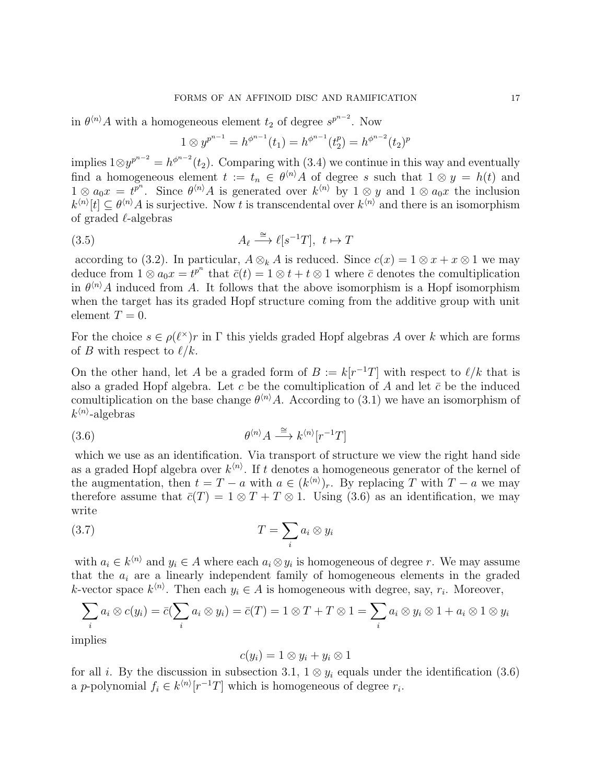in  $\theta^{n}$  A with a homogeneous element  $t_2$  of degree  $s^{p^{n-2}}$ . Now

$$
1 \otimes y^{p^{n-1}} = h^{\phi^{n-1}}(t_1) = h^{\phi^{n-1}}(t_2^p) = h^{\phi^{n-2}}(t_2)^p
$$

implies  $1⊗y^{p^{n-2}} = h^{\phi^{n-2}}(t_2)$ . Comparing with (3.4) we continue in this way and eventually find a homogeneous element  $t := t_n \in \theta^{(n)} A$  of degree s such that  $1 \otimes y = h(t)$  and  $1 \otimes a_0x = t^{p^n}$ . Since  $\theta^{\langle n \rangle} A$  is generated over  $k^{\langle n \rangle}$  by  $1 \otimes y$  and  $1 \otimes a_0x$  the inclusion  $k^{\langle n \rangle}[t] \subseteq \theta^{\langle n \rangle} A$  is surjective. Now t is transcendental over  $k^{\langle n \rangle}$  and there is an isomorphism of graded  $\ell$ -algebras

(3.5) 
$$
A_{\ell} \stackrel{\cong}{\longrightarrow} \ell[s^{-1}T], \ t \mapsto T
$$

according to (3.2). In particular,  $A \otimes_k A$  is reduced. Since  $c(x) = 1 \otimes x + x \otimes 1$  we may deduce from  $1 \otimes a_0 x = t^{p^n}$  that  $\bar{c}(t) = 1 \otimes t + t \otimes 1$  where  $\bar{c}$  denotes the comultiplication in  $\theta^{(n)}A$  induced from A. It follows that the above isomorphism is a Hopf isomorphism when the target has its graded Hopf structure coming from the additive group with unit element  $T=0$ .

For the choice  $s \in \rho(\ell^{\times})r$  in  $\Gamma$  this yields graded Hopf algebras A over k which are forms of B with respect to  $\ell/k$ .

On the other hand, let A be a graded form of  $B := k[r^{-1}T]$  with respect to  $\ell/k$  that is also a graded Hopf algebra. Let c be the comultiplication of A and let  $\bar{c}$  be the induced comultiplication on the base change  $\theta^{\langle n \rangle} A$ . According to (3.1) we have an isomorphism of  $k^{\langle n \rangle}$ -algebras

$$
\theta^{\langle n \rangle} A \stackrel{\cong}{\longrightarrow} k^{\langle n \rangle} [r^{-1}T]
$$

which we use as an identification. Via transport of structure we view the right hand side as a graded Hopf algebra over  $k^{\langle n \rangle}$ . If t denotes a homogeneous generator of the kernel of the augmentation, then  $t = T - a$  with  $a \in (k^{(n)})_r$ . By replacing T with  $T - a$  we may therefore assume that  $\bar{c}(T) = 1 \otimes T + T \otimes 1$ . Using (3.6) as an identification, we may write

$$
(3.7) \t\t T = \sum_{i} a_i \otimes y_i
$$

with  $a_i \in k^{\langle n \rangle}$  and  $y_i \in A$  where each  $a_i \otimes y_i$  is homogeneous of degree r. We may assume that the  $a_i$  are a linearly independent family of homogeneous elements in the graded k-vector space  $k^{\langle n \rangle}$ . Then each  $y_i \in A$  is homogeneous with degree, say,  $r_i$ . Moreover,

$$
\sum_i a_i \otimes c(y_i) = \overline{c}(\sum_i a_i \otimes y_i) = \overline{c}(T) = 1 \otimes T + T \otimes 1 = \sum_i a_i \otimes y_i \otimes 1 + a_i \otimes 1 \otimes y_i
$$

implies

$$
c(y_i) = 1 \otimes y_i + y_i \otimes 1
$$

for all *i*. By the discussion in subsection 3.1,  $1 \otimes y_i$  equals under the identification (3.6) a p-polynomial  $f_i \in k^{\langle n \rangle}[r^{-1}T]$  which is homogeneous of degree  $r_i$ .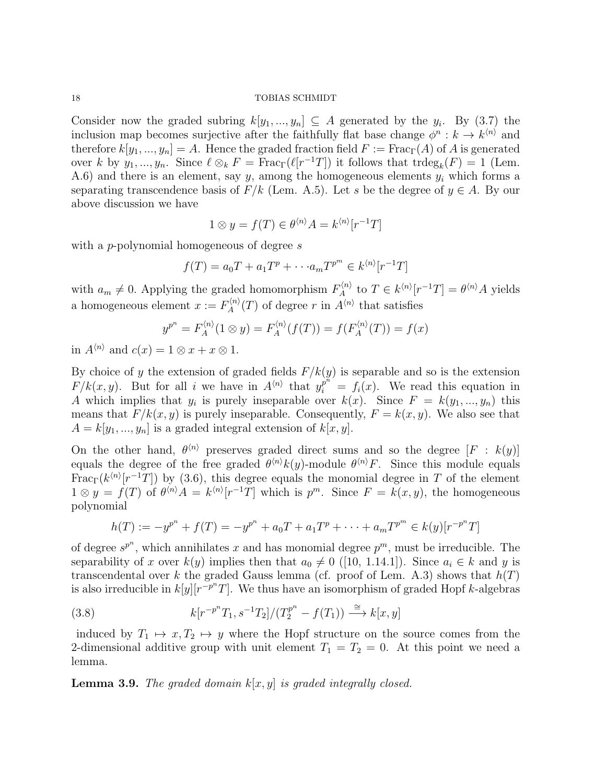Consider now the graded subring  $k[y_1, ..., y_n] \subseteq A$  generated by the  $y_i$ . By (3.7) the inclusion map becomes surjective after the faithfully flat base change  $\phi^n : k \to k^{\langle n \rangle}$  and therefore  $k[y_1, ..., y_n] = A$ . Hence the graded fraction field  $F := \text{Frac}_{\Gamma}(A)$  of A is generated over k by  $y_1, ..., y_n$ . Since  $\ell \otimes_k F = \text{Frac}_{\Gamma}(\ell[r^{-1}T])$  it follows that  $\text{trdeg}_k(F) = 1$  (Lem. A.6) and there is an element, say  $y$ , among the homogeneous elements  $y_i$  which forms a separating transcendence basis of  $F/k$  (Lem. A.5). Let s be the degree of  $y \in A$ . By our above discussion we have

$$
1 \otimes y = f(T) \in \theta^{\langle n \rangle} A = k^{\langle n \rangle} [r^{-1}T]
$$

with a *p*-polynomial homogeneous of degree s

$$
f(T) = a_0 T + a_1 T^p + \cdots + a_m T^{p^m} \in k^{\langle n \rangle} [r^{-1}T]
$$

with  $a_m \neq 0$ . Applying the graded homomorphism  $F_A^{(n)}$  $A^{\langle n\rangle}$  to  $T \in k^{\langle n\rangle}[r^{-1}T] = \theta^{\langle n\rangle}A$  yields a homogeneous element  $x := F_A^{\langle n \rangle}$  $A^{(n)}(T)$  of degree r in  $A^{(n)}$  that satisfies

$$
y^{p^n} = F_A^{\langle n \rangle}(1 \otimes y) = F_A^{\langle n \rangle}(f(T)) = f(F_A^{\langle n \rangle}(T)) = f(x)
$$

in  $A^{\langle n \rangle}$  and  $c(x) = 1 \otimes x + x \otimes 1$ .

By choice of y the extension of graded fields  $F/k(y)$  is separable and so is the extension  $F/k(x, y)$ . But for all i we have in  $A^{(n)}$  that  $y_i^{p^n} = f_i(x)$ . We read this equation in A which implies that  $y_i$  is purely inseparable over  $k(x)$ . Since  $F = k(y_1, ..., y_n)$  this means that  $F/k(x, y)$  is purely inseparable. Consequently,  $F = k(x, y)$ . We also see that  $A = k[y_1, ..., y_n]$  is a graded integral extension of  $k[x, y]$ .

On the other hand,  $\theta^{(n)}$  preserves graded direct sums and so the degree  $[F : k(y)]$ equals the degree of the free graded  $\theta^{(n)}k(y)$ -module  $\theta^{(n)}F$ . Since this module equals  $\text{Frac}_{\Gamma}(k^{(n)}[r^{-1}T])$  by (3.6), this degree equals the monomial degree in T of the element  $1 \otimes y = f(T)$  of  $\theta^{n} A = k^{n} [r^{-1}T]$  which is  $p^m$ . Since  $F = k(x, y)$ , the homogeneous polynomial

$$
h(T) := -y^{p^{n}} + f(T) = -y^{p^{n}} + a_0T + a_1T^{p} + \cdots + a_mT^{p^{m}} \in k(y)[r^{-p^{n}}T]
$$

of degree  $s^{p^n}$ , which annihilates x and has monomial degree  $p^m$ , must be irreducible. The separability of x over  $k(y)$  implies then that  $a_0 \neq 0$  ([10, 1.14.1]). Since  $a_i \in k$  and y is transcendental over k the graded Gauss lemma (cf. proof of Lem. A.3) shows that  $h(T)$ is also irreducible in  $k[y][r^{-p^n}T]$ . We thus have an isomorphism of graded Hopf k-algebras

(3.8) 
$$
k[r^{-p^n}T_1, s^{-1}T_2]/(T_2^{p^n} - f(T_1)) \xrightarrow{\cong} k[x, y]
$$

induced by  $T_1 \mapsto x, T_2 \mapsto y$  where the Hopf structure on the source comes from the 2-dimensional additive group with unit element  $T_1 = T_2 = 0$ . At this point we need a lemma.

**Lemma 3.9.** The graded domain  $k[x, y]$  is graded integrally closed.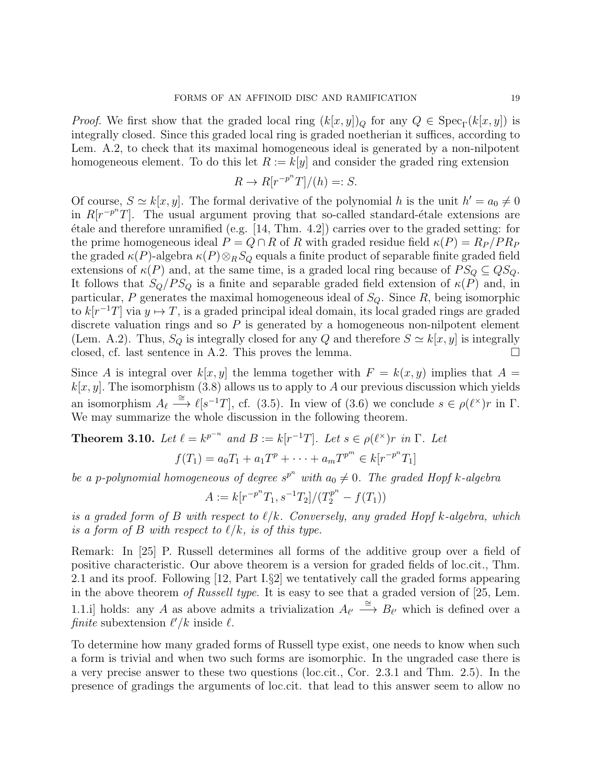*Proof.* We first show that the graded local ring  $(k[x, y])_Q$  for any  $Q \in \text{Spec}_{\Gamma}(k[x, y])$  is integrally closed. Since this graded local ring is graded noetherian it suffices, according to Lem. A.2, to check that its maximal homogeneous ideal is generated by a non-nilpotent homogeneous element. To do this let  $R := k[y]$  and consider the graded ring extension

$$
R \to R[r^{-p^n}T]/(h) =: S.
$$

Of course,  $S \simeq k[x, y]$ . The formal derivative of the polynomial h is the unit  $h' = a_0 \neq 0$ in  $R[r^{-p^n}T]$ . The usual argument proving that so-called standard-étale extensions are  $\alpha$  etale and therefore unramified (e.g. [14, Thm. 4.2]) carries over to the graded setting: for the prime homogeneous ideal  $P = Q \cap R$  of R with graded residue field  $\kappa(P) = R_P/P_R_P$ the graded  $\kappa(P)$ -algebra  $\kappa(P) \otimes_R S_Q$  equals a finite product of separable finite graded field extensions of  $\kappa(P)$  and, at the same time, is a graded local ring because of  $PS_Q \subseteq QS_Q$ . It follows that  $S_Q/PS_Q$  is a finite and separable graded field extension of  $\kappa(P)$  and, in particular, P generates the maximal homogeneous ideal of  $S_Q$ . Since R, being isomorphic to  $k[r^{-1}T]$  via  $y \mapsto T$ , is a graded principal ideal domain, its local graded rings are graded discrete valuation rings and so  $P$  is generated by a homogeneous non-nilpotent element (Lem. A.2). Thus,  $S_Q$  is integrally closed for any Q and therefore  $S \simeq k[x, y]$  is integrally closed, cf. last sentence in A.2. This proves the lemma.  $\square$ 

Since A is integral over  $k[x, y]$  the lemma together with  $F = k(x, y)$  implies that  $A =$  $k[x, y]$ . The isomorphism (3.8) allows us to apply to A our previous discussion which yields an isomorphism  $A_{\ell} \stackrel{\cong}{\longrightarrow} \ell[s^{-1}T]$ , cf. (3.5). In view of (3.6) we conclude  $s \in \rho(\ell^{\times})r$  in  $\Gamma$ . We may summarize the whole discussion in the following theorem.

**Theorem 3.10.** Let 
$$
\ell = k^{p^{-n}}
$$
 and  $B := k[r^{-1}T]$ . Let  $s \in \rho(\ell^{\times})r$  in  $\Gamma$ . Let  $f(T_1) = a_0T_1 + a_1T^p + \cdots + a_mT^{p^m} \in k[r^{-p^n}T_1]$ 

be a p-polynomial homogeneous of degree  $s^{p^n}$  with  $a_0 \neq 0$ . The graded Hopf k-algebra

$$
A:=k[r^{-p^n}T_1,s^{-1}T_2]/(T_2^{p^n}-f(T_1))
$$

is a graded form of B with respect to  $\ell/k$ . Conversely, any graded Hopf k-algebra, which is a form of B with respect to  $\ell/k$ , is of this type.

Remark: In [25] P. Russell determines all forms of the additive group over a field of positive characteristic. Our above theorem is a version for graded fields of loc.cit., Thm. 2.1 and its proof. Following [12, Part I.§2] we tentatively call the graded forms appearing in the above theorem of Russell type. It is easy to see that a graded version of [25, Lem. 1.1.i] holds: any A as above admits a trivialization  $A_{\ell'} \stackrel{\cong}{\longrightarrow} B_{\ell'}$  which is defined over a finite subextension  $\ell'/k$  inside  $\ell$ .

To determine how many graded forms of Russell type exist, one needs to know when such a form is trivial and when two such forms are isomorphic. In the ungraded case there is a very precise answer to these two questions (loc.cit., Cor. 2.3.1 and Thm. 2.5). In the presence of gradings the arguments of loc.cit. that lead to this answer seem to allow no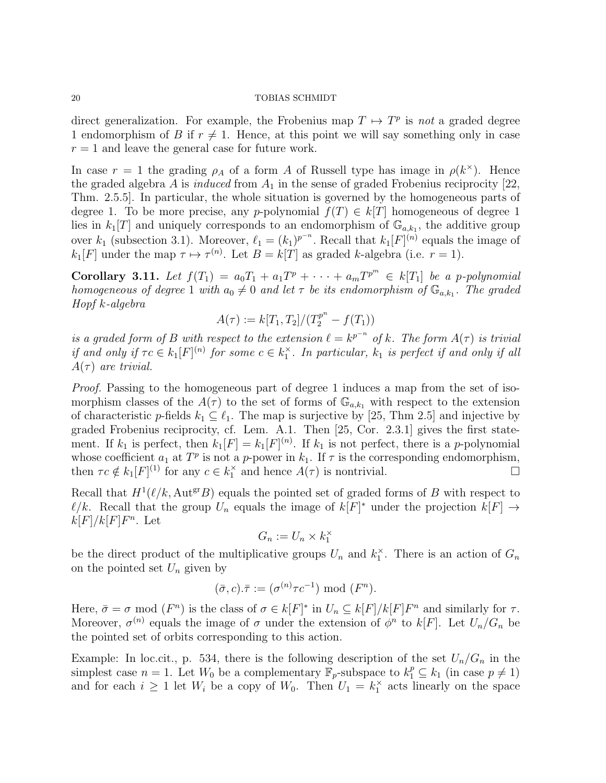direct generalization. For example, the Frobenius map  $T \mapsto T^p$  is not a graded degree 1 endomorphism of B if  $r \neq 1$ . Hence, at this point we will say something only in case  $r = 1$  and leave the general case for future work.

In case  $r = 1$  the grading  $\rho_A$  of a form A of Russell type has image in  $\rho(k^{\times})$ . Hence the graded algebra A is *induced* from  $A_1$  in the sense of graded Frobenius reciprocity [22, Thm. 2.5.5]. In particular, the whole situation is governed by the homogeneous parts of degree 1. To be more precise, any p-polynomial  $f(T) \in k[T]$  homogeneous of degree 1 lies in  $k_1[T]$  and uniquely corresponds to an endomorphism of  $\mathbb{G}_{a,k_1}$ , the additive group over  $k_1$  (subsection 3.1). Moreover,  $\ell_1 = (k_1)^{p^{-n}}$ . Recall that  $k_1[F]^{(n)}$  equals the image of  $k_1[F]$  under the map  $\tau \mapsto \tau^{(n)}$ . Let  $B = k[T]$  as graded k-algebra (i.e.  $r = 1$ ).

Corollary 3.11. Let  $f(T_1) = a_0T_1 + a_1T^p + \cdots + a_mT^{p^m} \in k[T_1]$  be a p-polynomial homogeneous of degree 1 with  $a_0 \neq 0$  and let  $\tau$  be its endomorphism of  $\mathbb{G}_{a,k_1}$ . The graded Hopf k-algebra

$$
A(\tau) := k[T_1, T_2]/(T_2^{p^n} - f(T_1))
$$

is a graded form of B with respect to the extension  $\ell = k^{p^{-n}}$  of k. The form  $A(\tau)$  is trivial if and only if  $\tau c \in k_1[F]^{(n)}$  for some  $c \in k_1^{\times}$ . In particular,  $k_1$  is perfect if and only if all  $A(\tau)$  are trivial.

Proof. Passing to the homogeneous part of degree 1 induces a map from the set of isomorphism classes of the  $A(\tau)$  to the set of forms of  $\mathbb{G}_{a,k_1}$  with respect to the extension of characteristic p-fields  $k_1 \subseteq \ell_1$ . The map is surjective by [25, Thm 2.5] and injective by graded Frobenius reciprocity, cf. Lem. A.1. Then [25, Cor. 2.3.1] gives the first statement. If  $k_1$  is perfect, then  $k_1[F] = k_1[F]^{(n)}$ . If  $k_1$  is not perfect, there is a p-polynomial whose coefficient  $a_1$  at  $T^p$  is not a p-power in  $k_1$ . If  $\tau$  is the corresponding endomorphism, then  $\tau c \notin k_1[F]^{(1)}$  for any  $c \in k_1^{\times}$  and hence  $A(\tau)$  is nontrivial.

Recall that  $H^1(\ell/k, \text{Aut}^{\text{gr}}B)$  equals the pointed set of graded forms of B with respect to  $\ell/k$ . Recall that the group  $U_n$  equals the image of  $k[F]^*$  under the projection  $k[F] \to$  $k[F]/k[F]F^n$ . Let

$$
G_n := U_n \times k_1^{\times}
$$

be the direct product of the multiplicative groups  $U_n$  and  $k_1^{\times}$ . There is an action of  $G_n$ on the pointed set  $U_n$  given by

$$
(\bar{\sigma}, c).\bar{\tau} := (\sigma^{(n)} \tau c^{-1}) \bmod (F^n).
$$

Here,  $\bar{\sigma} = \sigma \mod (F^n)$  is the class of  $\sigma \in k[F]^*$  in  $U_n \subseteq k[F]/k[F]F^n$  and similarly for  $\tau$ . Moreover,  $\sigma^{(n)}$  equals the image of  $\sigma$  under the extension of  $\phi^n$  to  $k[F]$ . Let  $U_n/G_n$  be the pointed set of orbits corresponding to this action.

Example: In loc.cit., p. 534, there is the following description of the set  $U_n/G_n$  in the simplest case  $n = 1$ . Let  $W_0$  be a complementary  $\mathbb{F}_p$ -subspace to  $k_1^p \subseteq k_1$  (in case  $p \neq 1$ ) and for each  $i \geq 1$  let  $W_i$  be a copy of  $W_0$ . Then  $U_1 = k_1^{\times}$  acts linearly on the space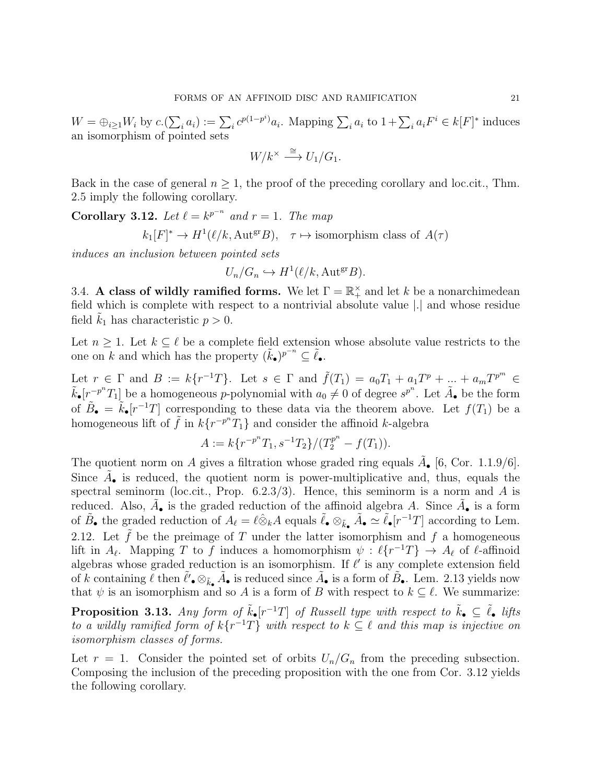$W = \bigoplus_{i \geq 1} W_i$  by  $c \cdot (\sum_i a_i) := \sum_i c^{p(1-p^i)} a_i$ . Mapping  $\sum_i a_i$  to  $1 + \sum_i a_i F^i \in k[F]^*$  induces an isomorphism of pointed sets

$$
W/k^{\times} \stackrel{\cong}{\longrightarrow} U_1/G_1.
$$

Back in the case of general  $n \geq 1$ , the proof of the preceding corollary and loc.cit., Thm. 2.5 imply the following corollary.

Corollary 3.12. Let  $\ell = k^{p^{-n}}$  and  $r = 1$ . The map  $k_1[F]^* \to H^1(\ell/k, \text{Aut}^{\text{gr}}B), \quad \tau \mapsto \text{isomorphism class of } A(\tau)$ 

induces an inclusion between pointed sets

$$
U_n/G_n \hookrightarrow H^1(\ell/k, \text{Aut}^{\text{gr}} B).
$$

3.4. A class of wildly ramified forms. We let  $\Gamma = \mathbb{R}_+^{\times}$  and let k be a nonarchimedean field which is complete with respect to a nontrivial absolute value |.| and whose residue field  $k_1$  has characteristic  $p > 0$ .

Let  $n \geq 1$ . Let  $k \subseteq \ell$  be a complete field extension whose absolute value restricts to the one on k and which has the property  $(\tilde{k}_\bullet)^{p^{-n}} \subseteq \tilde{\ell}_\bullet$ .

Let  $r \in \Gamma$  and  $B := k\{r^{-1}T\}$ . Let  $s \in \Gamma$  and  $\tilde{f}(T_1) = a_0T_1 + a_1T^p + ... + a_mT^{p^m} \in$  $\tilde{k}_\bullet[r^{-p^n}T_1]$  be a homogeneous p-polynomial with  $a_0 \neq 0$  of degree  $s^{p^n}$ . Let  $\tilde{A}_\bullet$  be the form of  $\tilde{B}_{\bullet} = \tilde{k}_{\bullet}[r^{-1}T]$  corresponding to these data via the theorem above. Let  $f(T_1)$  be a homogeneous lift of  $\tilde{f}$  in  $k\{r^{-p^n}T_1\}$  and consider the affinoid k-algebra

$$
A := k\{r^{-p^n}T_1, s^{-1}T_2\}/(T_2^{p^n} - f(T_1)).
$$

The quotient norm on A gives a filtration whose graded ring equals  $\tilde{A}_{\bullet}$  [6, Cor. 1.1.9/6]. Since  $\tilde{A}_{\bullet}$  is reduced, the quotient norm is power-multiplicative and, thus, equals the spectral seminorm (loc.cit., Prop.  $6.2.3/3$ ). Hence, this seminorm is a norm and A is reduced. Also,  $\tilde{A}_{\bullet}$  is the graded reduction of the affinoid algebra A. Since  $\tilde{A}_{\bullet}$  is a form of  $\tilde{B}_{\bullet}$  the graded reduction of  $A_{\ell} = \ell \hat{\otimes}_k A$  equals  $\tilde{\ell}_{\bullet} \otimes_{\tilde{k}_{\bullet}} \tilde{A}_{\bullet} \simeq \tilde{\ell}_{\bullet}[r^{-1}T]$  according to Lem. 2.12. Let  $\tilde{f}$  be the preimage of T under the latter isomorphism and f a homogeneous lift in  $A_{\ell}$ . Mapping T to f induces a homomorphism  $\psi : \ell\{r^{-1}T\} \to A_{\ell}$  of  $\ell$ -affinoid algebras whose graded reduction is an isomorphism. If  $\ell'$  is any complete extension field of k containing  $\ell$  then  $\ell'_{\bullet} \otimes_{\tilde{k}_{\bullet}} \tilde{A}_{\bullet}$  is reduced since  $\tilde{A}_{\bullet}$  is a form of  $\tilde{B}_{\bullet}$ . Lem. 2.13 yields now that  $\psi$  is an isomorphism and so A is a form of B with respect to  $k \subseteq \ell$ . We summarize:

**Proposition 3.13.** Any form of  $\tilde{k}_\bullet[r^{-1}T]$  of Russell type with respect to  $\tilde{k}_\bullet \subseteq \tilde{\ell}_\bullet$  lifts to a wildly ramified form of  $k\{r^{-1}T\}$  with respect to  $k \subseteq \ell$  and this map is injective on isomorphism classes of forms.

Let  $r = 1$ . Consider the pointed set of orbits  $U_n/G_n$  from the preceding subsection. Composing the inclusion of the preceding proposition with the one from Cor. 3.12 yields the following corollary.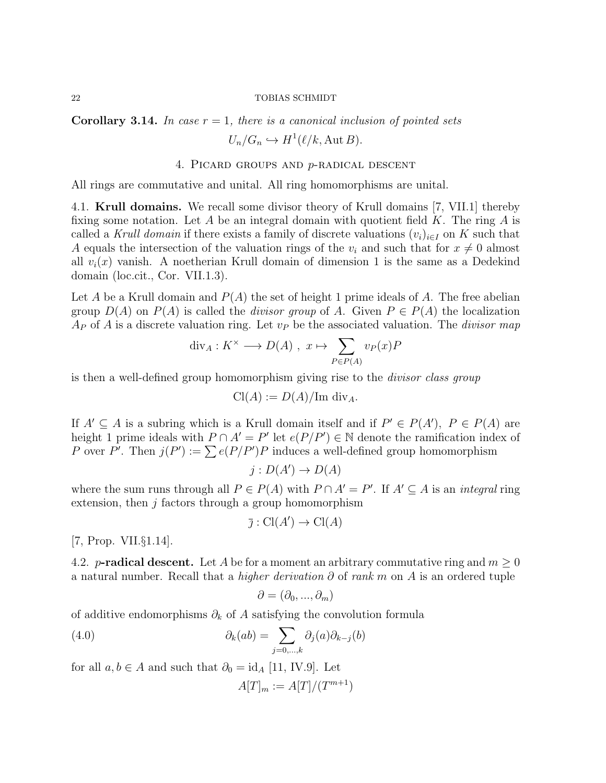Corollary 3.14. In case  $r = 1$ , there is a canonical inclusion of pointed sets  $U_n/G_n \hookrightarrow H^1(\ell/k, \text{Aut }B).$ 

# 4. Picard groups and p-radical descent

All rings are commutative and unital. All ring homomorphisms are unital.

4.1. Krull domains. We recall some divisor theory of Krull domains [7, VII.1] thereby fixing some notation. Let A be an integral domain with quotient field K. The ring A is called a Krull domain if there exists a family of discrete valuations  $(v_i)_{i\in I}$  on K such that A equals the intersection of the valuation rings of the  $v_i$  and such that for  $x \neq 0$  almost all  $v_i(x)$  vanish. A noetherian Krull domain of dimension 1 is the same as a Dedekind domain (loc.cit., Cor. VII.1.3).

Let A be a Krull domain and  $P(A)$  the set of height 1 prime ideals of A. The free abelian group  $D(A)$  on  $P(A)$  is called the *divisor group* of A. Given  $P \in P(A)$  the localization  $A_P$  of A is a discrete valuation ring. Let  $v_P$  be the associated valuation. The *divisor map* 

$$
\operatorname{div}_A: K^\times \longrightarrow D(A) , x \mapsto \sum_{P \in P(A)} v_P(x)P
$$

is then a well-defined group homomorphism giving rise to the divisor class group

$$
\operatorname{Cl}(A) := D(A)/\mathrm{Im} \, \operatorname{div}_A.
$$

If  $A' \subseteq A$  is a subring which is a Krull domain itself and if  $P' \in P(A')$ ,  $P \in P(A)$  are height 1 prime ideals with  $P \cap A' = P'$  let  $e(P/P') \in \mathbb{N}$  denote the ramification index of P over P'. Then  $j(P') := \sum e(P/P')P$  induces a well-defined group homomorphism

$$
j: D(A') \to D(A)
$$

where the sum runs through all  $P \in P(A)$  with  $P \cap A' = P'$ . If  $A' \subseteq A$  is an *integral* ring extension, then  $j$  factors through a group homomorphism

$$
\overline{\jmath} : \operatorname{Cl}(A') \to \operatorname{Cl}(A)
$$

[7, Prop. VII.§1.14].

4.2. **p-radical descent.** Let A be for a moment an arbitrary commutative ring and  $m > 0$ a natural number. Recall that a *higher derivation*  $\partial$  of rank m on A is an ordered tuple

$$
\partial=(\partial_0,...,\partial_m)
$$

of additive endomorphisms  $\partial_k$  of A satisfying the convolution formula

(4.0) 
$$
\partial_k(ab) = \sum_{j=0,\dots,k} \partial_j(a)\partial_{k-j}(b)
$$

for all  $a, b \in A$  and such that  $\partial_0 = id_A [11, IV.9]$ . Let

$$
A[T]_m := A[T]/(T^{m+1})
$$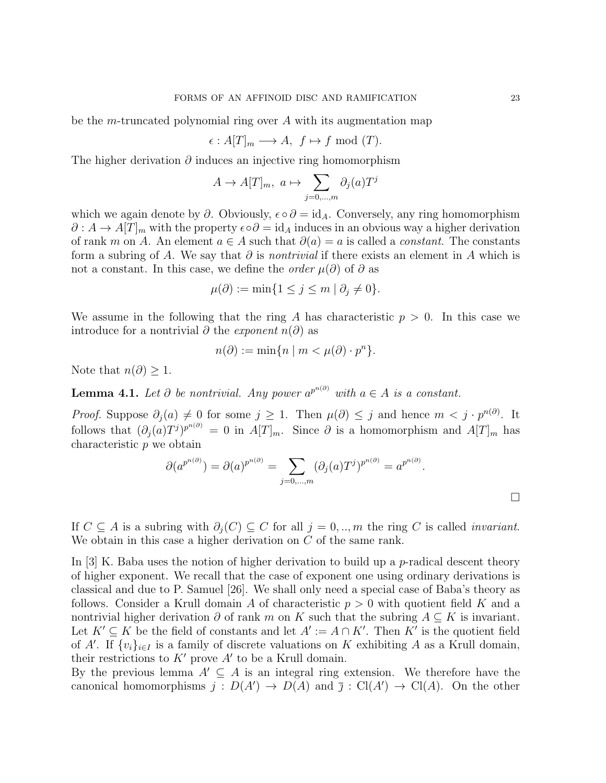be the *m*-truncated polynomial ring over  $A$  with its augmentation map

$$
\epsilon: A[T]_m \longrightarrow A, f \mapsto f \bmod(T).
$$

The higher derivation  $\partial$  induces an injective ring homomorphism

$$
A \to A[T]_m, \ a \mapsto \sum_{j=0,\dots,m} \partial_j(a)T^j
$$

which we again denote by  $\partial$ . Obviously,  $\epsilon \circ \partial = id_A$ . Conversely, any ring homomorphism  $\partial: A \to A[T]_m$  with the property  $\epsilon \circ \partial = id_A$  induces in an obvious way a higher derivation of rank m on A. An element  $a \in A$  such that  $\partial(a) = a$  is called a *constant*. The constants form a subring of A. We say that  $\partial$  is *nontrivial* if there exists an element in A which is not a constant. In this case, we define the *order*  $\mu(\partial)$  of  $\partial$  as

$$
\mu(\partial) := \min\{1 \le j \le m \mid \partial_j \ne 0\}.
$$

We assume in the following that the ring A has characteristic  $p > 0$ . In this case we introduce for a nontrivial  $\partial$  the *exponent*  $n(\partial)$  as

$$
n(\partial) := \min\{n \mid m < \mu(\partial) \cdot p^n\}.
$$

Note that  $n(\partial) \geq 1$ .

**Lemma 4.1.** Let  $\partial$  be nontrivial. Any power  $a^{p^{n(\partial)}}$  with  $a \in A$  is a constant.

*Proof.* Suppose  $\partial_j(a) \neq 0$  for some  $j \geq 1$ . Then  $\mu(\partial) \leq j$  and hence  $m < j \cdot p^{n(\partial)}$ . It follows that  $(\partial_j(a)T^j)^{p^{n(\partial)}} = 0$  in  $A[T]_m$ . Since  $\partial$  is a homomorphism and  $A[T]_m$  has characteristic p we obtain

$$
\partial(a^{p^{n(\partial)}}) = \partial(a)^{p^{n(\partial)}} = \sum_{j=0,\dots,m} (\partial_j(a)T^j)^{p^{n(\partial)}} = a^{p^{n(\partial)}}.
$$

If  $C \subseteq A$  is a subring with  $\partial_i(C) \subseteq C$  for all  $j = 0, ..., m$  the ring C is called *invariant*. We obtain in this case a higher derivation on C of the same rank.

In [3] K. Baba uses the notion of higher derivation to build up a  $p$ -radical descent theory of higher exponent. We recall that the case of exponent one using ordinary derivations is classical and due to P. Samuel [26]. We shall only need a special case of Baba's theory as follows. Consider a Krull domain A of characteristic  $p > 0$  with quotient field K and a nontrivial higher derivation  $\partial$  of rank m on K such that the subring  $A \subseteq K$  is invariant. Let  $K' \subseteq K$  be the field of constants and let  $A' := A \cap K'$ . Then K' is the quotient field of A'. If  $\{v_i\}_{i\in I}$  is a family of discrete valuations on K exhibiting A as a Krull domain, their restrictions to  $K'$  prove  $A'$  to be a Krull domain.

By the previous lemma  $A' \subseteq A$  is an integral ring extension. We therefore have the canonical homomorphisms  $j: D(A') \to D(A)$  and  $\overline{j}: Cl(A') \to Cl(A)$ . On the other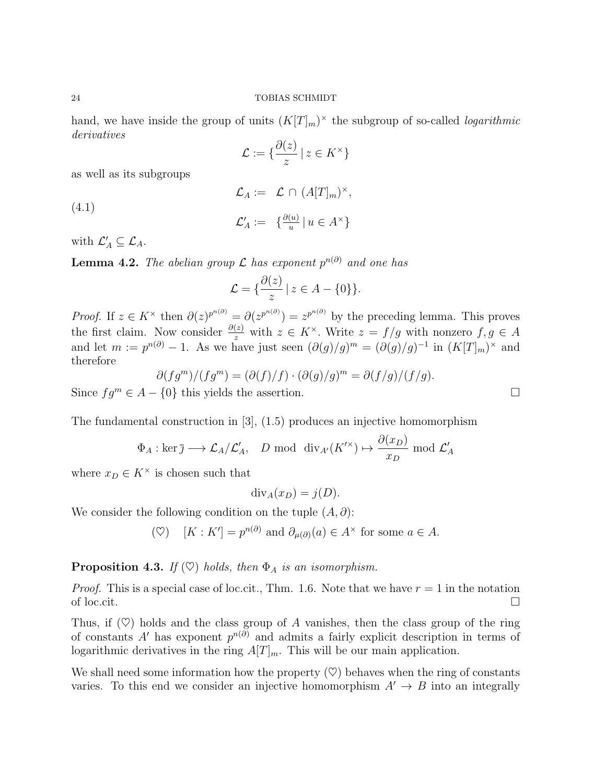hand, we have inside the group of units  $(K[T]_m)^\times$  the subgroup of so-called *logarithmic* derivatives

$$
\mathcal{L} := \{ \frac{\partial(z)}{z} \mid z \in K^{\times} \}
$$

as well as its subgroups

(4.1)  
\n
$$
\mathcal{L}_A := \mathcal{L} \cap (A[T]_m)^{\times},
$$
\n
$$
\mathcal{L}'_A := \{ \frac{\partial^{(u)}}{u} | u \in A^{\times} \}
$$

with  $\mathcal{L}'_A \subseteq \mathcal{L}_A$ .

**Lemma 4.2.** The abelian group  $\mathcal L$  has exponent  $p^{n(\partial)}$  and one has

$$
\mathcal{L} = \{ \frac{\partial(z)}{z} \mid z \in A - \{0\} \}.
$$

*Proof.* If  $z \in K^{\times}$  then  $\partial(z)^{p^{n(\partial)}} = \partial(z^{p^{n(\partial)}}) = z^{p^{n(\partial)}}$  by the preceding lemma. This proves the first claim. Now consider  $\frac{\partial(z)}{z}$  with  $z \in K^{\times}$ . Write  $z = f/g$  with nonzero  $f, g \in A$ and let  $m := p^{n(\partial)} - 1$ . As we have just seen  $(\partial(g)/g)^m = (\partial(g)/g)^{-1}$  in  $(K[T]_m)^\times$  and therefore

$$
\partial (fg^m)/(fg^m) = (\partial (f)/f) \cdot (\partial (g)/g)^m = \partial (f/g)/(f/g).
$$

Since  $fg^m \in A - \{0\}$  this yields the assertion.

The fundamental construction in [3], (1.5) produces an injective homomorphism

$$
\Phi_A: \ker \overline{\jmath} \longrightarrow \mathcal{L}_A/\mathcal{L}'_A
$$
, *D* mod  $\text{div}_{A'}(K'^{\times}) \mapsto \frac{\partial(x_D)}{x_D}$  mod  $\mathcal{L}'_A$ 

where  $x_D \in K^{\times}$  is chosen such that

$$
\mathrm{div}_A(x_D) = j(D).
$$

We consider the following condition on the tuple  $(A, \partial)$ :

 $(\heartsuit) \quad [K : K'] = p^{n(\partial)} \text{ and } \partial_{\mu(\partial)}(a) \in A^{\times} \text{ for some } a \in A.$ 

# **Proposition 4.3.** If  $(\heartsuit)$  holds, then  $\Phi_A$  is an isomorphism.

*Proof.* This is a special case of loc.cit., Thm. 1.6. Note that we have  $r = 1$  in the notation of loc.cit.  $\Box$ 

Thus, if  $(\heartsuit)$  holds and the class group of A vanishes, then the class group of the ring of constants A' has exponent  $p^{n(\partial)}$  and admits a fairly explicit description in terms of logarithmic derivatives in the ring  $A[T]_m$ . This will be our main application.

We shall need some information how the property  $(\heartsuit)$  behaves when the ring of constants varies. To this end we consider an injective homomorphism  $A' \rightarrow B$  into an integrally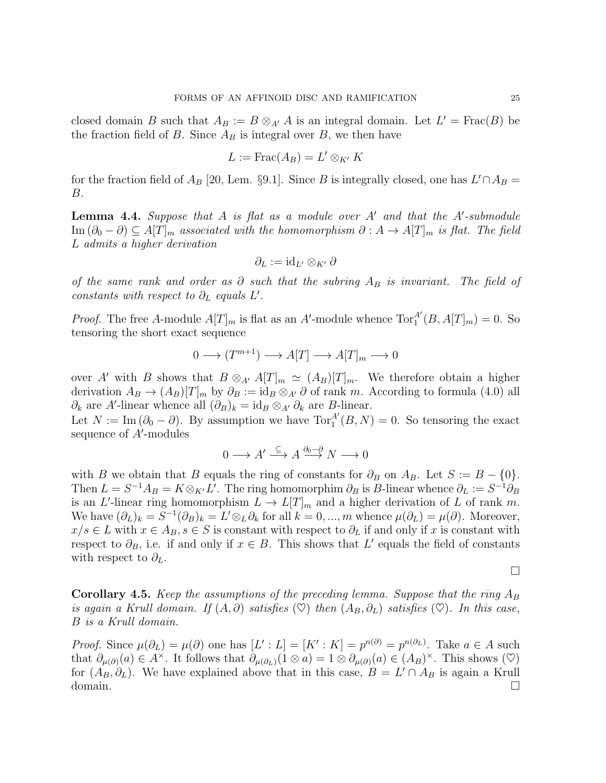closed domain B such that  $A_B := B \otimes_{A'} A$  is an integral domain. Let  $L' = \text{Frac}(B)$  be the fraction field of B. Since  $A_B$  is integral over B, we then have

$$
L := \operatorname{Frac}(A_B) = L' \otimes_{K'} K
$$

for the fraction field of  $A_B$  [20, Lem. §9.1]. Since B is integrally closed, one has  $L' \cap A_B =$ B.

**Lemma 4.4.** Suppose that  $A$  is flat as a module over  $A'$  and that the  $A'$ -submodule  $\text{Im}(\partial_0 - \partial) \subseteq A[T]_m$  associated with the homomorphism  $\partial : A \to A[T]_m$  is flat. The field L admits a higher derivation

$$
\partial_L:=\mathrm{id}_{L'}\otimes_{K'}\partial
$$

of the same rank and order as  $\partial$  such that the subring  $A_B$  is invariant. The field of constants with respect to  $\partial_L$  equals  $L'$ .

*Proof.* The free A-module  $A[T]_m$  is flat as an A'-module whence  $Tor_1^{A'}(B, A[T]_m) = 0$ . So tensoring the short exact sequence

$$
0 \longrightarrow (T^{m+1}) \longrightarrow A[T] \longrightarrow A[T]_m \longrightarrow 0
$$

over A' with B shows that  $B \otimes_{A'} A[T]_m \simeq (A_B)[T]_m$ . We therefore obtain a higher derivation  $A_B \to (A_B)[T]_m$  by  $\partial_B := id_B \otimes_{A'} \partial$  of rank m. According to formula (4.0) all  $\partial_k$  are A'-linear whence all  $(\partial_B)_k = \mathrm{id}_B \otimes_{A'} \partial_k$  are B-linear.

Let  $N := \text{Im}(\partial_0 - \partial)$ . By assumption we have  $\text{Tor}_1^{A'}(B, N) = 0$ . So tensoring the exact sequence of A'-modules

$$
0 \longrightarrow A' \stackrel{\subseteq}{\longrightarrow} A \stackrel{\partial_0 - \partial}{\longrightarrow} N \longrightarrow 0
$$

with B we obtain that B equals the ring of constants for  $\partial_B$  on  $A_B$ . Let  $S := B - \{0\}$ . Then  $L = S^{-1}A_B = K \otimes_{K'} L'$ . The ring homomorphim  $\partial_B$  is B-linear whence  $\partial_L := S^{-1} \partial_B$ is an L'-linear ring homomorphism  $L \to L[T]_m$  and a higher derivation of L of rank m. We have  $(\partial_L)_k = S^{-1}(\partial_B)_k = L' \otimes_L \partial_k$  for all  $k = 0, ..., m$  whence  $\mu(\partial_L) = \mu(\partial)$ . Moreover,  $x/s \in L$  with  $x \in A_B$ ,  $s \in S$  is constant with respect to  $\partial_L$  if and only if x is constant with respect to  $\partial_B$ , i.e. if and only if  $x \in B$ . This shows that L' equals the field of constants with respect to  $\partial_L$ .

 $\Box$ 

**Corollary 4.5.** Keep the assumptions of the preceding lemma. Suppose that the ring  $A_B$ is again a Krull domain. If  $(A, \partial)$  satisfies  $(\heartsuit)$  then  $(A_B, \partial_L)$  satisfies  $(\heartsuit)$ . In this case, B is a Krull domain.

*Proof.* Since  $\mu(\partial_L) = \mu(\partial)$  one has  $[L': L] = [K': K] = p^{n(\partial)} = p^{n(\partial_L)}$ . Take  $a \in A$  such that  $\partial_{\mu(\partial)}(a) \in A^{\times}$ . It follows that  $\partial_{\mu(\partial_{L})}(1 \otimes a) = 1 \otimes \partial_{\mu(\partial)}(a) \in (A_{B})^{\times}$ . This shows  $(\heartsuit)$ for  $(A_B, \partial_L)$ . We have explained above that in this case,  $B = L' \cap A_B$  is again a Krull domain.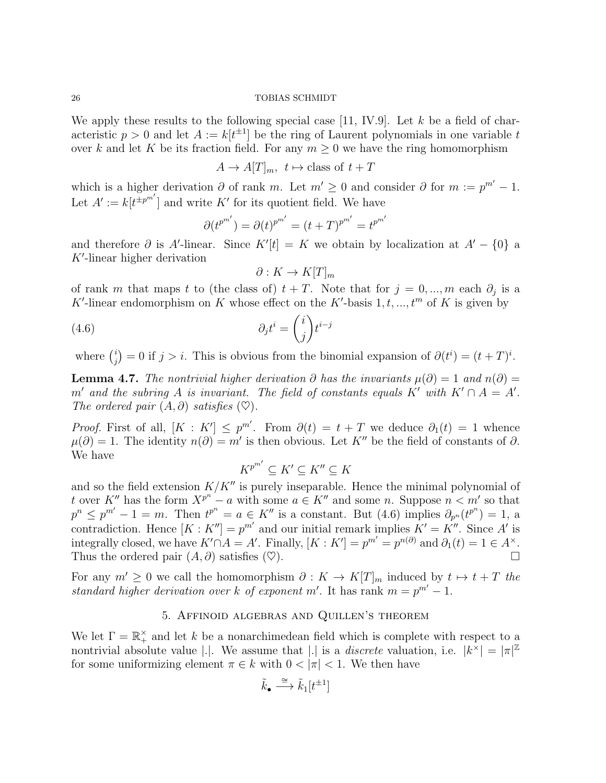We apply these results to the following special case [11, IV.9]. Let  $k$  be a field of characteristic  $p > 0$  and let  $A := k[t^{\pm 1}]$  be the ring of Laurent polynomials in one variable t over k and let K be its fraction field. For any  $m \geq 0$  we have the ring homomorphism

$$
A \to A[T]_m
$$
,  $t \mapsto$  class of  $t + T$ 

which is a higher derivation  $\partial$  of rank m. Let  $m' \geq 0$  and consider  $\partial$  for  $m := p^{m'} - 1$ . Let  $A' := k[t^{\pm p^{m'}}]$  and write K' for its quotient field. We have

$$
\partial (t^{p^{m'}}) = \partial (t)^{p^{m'}} = (t+T)^{p^{m'}} = t^{p^{m'}}
$$

and therefore  $\partial$  is A'-linear. Since  $K'[t] = K$  we obtain by localization at  $A' - \{0\}$  a  $K'$ -linear higher derivation

$$
\partial: K \to K[T]_m
$$

of rank m that maps t to (the class of)  $t + T$ . Note that for  $j = 0, ..., m$  each  $\partial_j$  is a K'-linear endomorphism on K whose effect on the K'-basis  $1, t, ..., t^m$  of K is given by

(4.6) 
$$
\partial_j t^i = \binom{i}{j} t^{i-j}
$$

where  $\binom{i}{i}$  $j_j^{(i)} = 0$  if  $j > i$ . This is obvious from the binomial expansion of  $\partial(t^i) = (t+T)^i$ .

**Lemma 4.7.** The nontrivial higher derivation  $\partial$  has the invariants  $\mu(\partial) = 1$  and  $n(\partial) =$ m' and the subring A is invariant. The field of constants equals K' with  $K' \cap A = A'$ . The ordered pair  $(A, \partial)$  satisfies  $(\heartsuit)$ .

*Proof.* First of all,  $[K: K'] \leq p^{m'}$ . From  $\partial(t) = t + T$  we deduce  $\partial_1(t) = 1$  whence  $\mu(\partial) = 1$ . The identity  $n(\partial) = m'$  is then obvious. Let K'' be the field of constants of  $\partial$ . We have

$$
K^{p^{m'}} \subseteq K' \subseteq K'' \subseteq K
$$

and so the field extension  $K/K''$  is purely inseparable. Hence the minimal polynomial of t over K<sup>n</sup> has the form  $X^{p^n} - a$  with some  $a \in K^n$  and some n. Suppose  $n < m'$  so that  $p^{n} \leq p^{m'} - 1 = m$ . Then  $t^{p^{n}} = a \in K''$  is a constant. But (4.6) implies  $\partial_{p^{n}}(t^{p^{n}}) = 1$ , a contradiction. Hence  $[K: K''] = p^{m'}$  and our initial remark implies  $K' = K''$ . Since A' is integrally closed, we have  $K' \cap A = A'$ . Finally,  $[K: K'] = p^{m'} = p^{n(\partial)}$  and  $\partial_1(t) = 1 \in A^{\times}$ . Thus the ordered pair  $(A, \partial)$  satisfies  $(\heartsuit)$ .

For any  $m' \geq 0$  we call the homomorphism  $\partial : K \to K[T]_m$  induced by  $t \mapsto t + T$  the standard higher derivation over k of exponent m'. It has rank  $m = p^{m'} - 1$ .

### 5. Affinoid algebras and Quillen's theorem

We let  $\Gamma = \mathbb{R}_+^{\times}$  and let k be a nonarchimedean field which is complete with respect to a nontrivial absolute value |.|. We assume that |.| is a *discrete* valuation, i.e.  $|k^{\times}| = |\pi|^{\mathbb{Z}}$ for some uniformizing element  $\pi \in k$  with  $0 < |\pi| < 1$ . We then have

$$
\tilde{k}_{\bullet} \stackrel{\cong}{\longrightarrow} \tilde{k}_{1}[t^{\pm 1}]
$$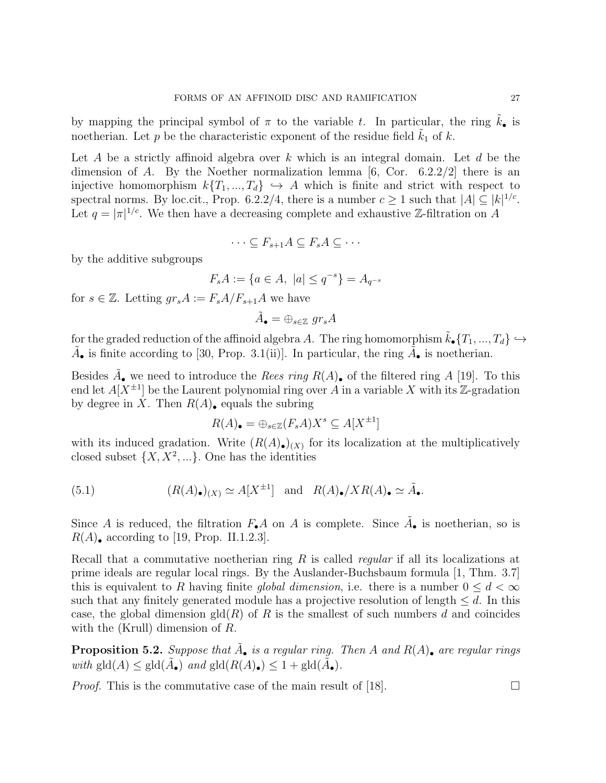by mapping the principal symbol of  $\pi$  to the variable t. In particular, the ring  $k_{\bullet}$  is noetherian. Let p be the characteristic exponent of the residue field  $k_1$  of k.

Let A be a strictly affinoid algebra over k which is an integral domain. Let  $d$  be the dimension of A. By the Noether normalization lemma  $[6, \text{Cor. } 6.2.2/2]$  there is an injective homomorphism  $k\{T_1, ..., T_d\} \hookrightarrow A$  which is finite and strict with respect to spectral norms. By loc.cit., Prop. 6.2.2/4, there is a number  $c \geq 1$  such that  $|A| \subseteq |k|^{1/c}$ . Let  $q = |\pi|^{1/c}$ . We then have a decreasing complete and exhaustive Z-filtration on A

$$
\cdots \subseteq F_{s+1}A \subseteq F_sA \subseteq \cdots
$$

by the additive subgroups

$$
F_s A := \{ a \in A, \ |a| \le q^{-s} \} = A_{q^{-s}}
$$

for  $s \in \mathbb{Z}$ . Letting  $gr_s A := F_s A/F_{s+1}A$  we have

$$
\tilde{A}_{\bullet} = \oplus_{s \in \mathbb{Z}} \; gr_{s}A
$$

for the graded reduction of the affinoid algebra A. The ring homomorphism  $\tilde{k}_{\bullet}\{T_1, ..., T_d\} \hookrightarrow$  $\tilde{A}_{\bullet}$  is finite according to [30, Prop. 3.1(ii)]. In particular, the ring  $\tilde{A}_{\bullet}$  is noetherian.

Besides  $\tilde{A}_{\bullet}$  we need to introduce the *Rees ring*  $R(A)_{\bullet}$  of the filtered ring A [19]. To this end let  $A[X^{\pm 1}]$  be the Laurent polynomial ring over A in a variable X with its Z-gradation by degree in X. Then  $R(A)$ , equals the subring

$$
R(A)_{\bullet} = \bigoplus_{s \in \mathbb{Z}} (F_s A) X^s \subseteq A[X^{\pm 1}]
$$

with its induced gradation. Write  $(R(A))_{(X)}$  for its localization at the multiplicatively closed subset  $\{X, X^2, ...\}$ . One has the identities

(5.1) 
$$
(R(A)_{\bullet})_{(X)} \simeq A[X^{\pm 1}] \text{ and } R(A)_{\bullet}/XR(A)_{\bullet} \simeq \tilde{A}_{\bullet}.
$$

Since A is reduced, the filtration  $F_{\bullet}A$  on A is complete. Since  $\tilde{A}_{\bullet}$  is noetherian, so is  $R(A)$ , according to [19, Prop. II.1.2.3].

Recall that a commutative noetherian ring  $R$  is called *regular* if all its localizations at prime ideals are regular local rings. By the Auslander-Buchsbaum formula [1, Thm. 3.7] this is equivalent to R having finite global dimension, i.e. there is a number  $0 \leq d \leq \infty$ such that any finitely generated module has a projective resolution of length  $\leq d$ . In this case, the global dimension  $\text{gld}(R)$  of R is the smallest of such numbers d and coincides with the (Krull) dimension of R.

**Proposition 5.2.** Suppose that  $\tilde{A}_{\bullet}$  is a regular ring. Then A and  $R(A)_{\bullet}$  are regular rings with  $\text{gld}(A) \leq \text{gld}(\tilde{A}_{\bullet})$  and  $\text{gld}(R(A)_{\bullet}) \leq 1 + \text{gld}(\tilde{A}_{\bullet}).$ 

*Proof.* This is the commutative case of the main result of [18].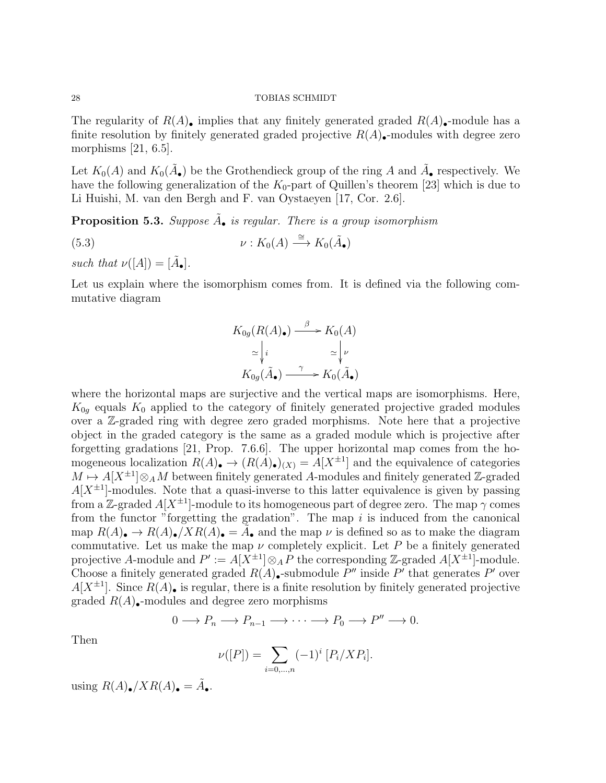The regularity of  $R(A)$ , implies that any finitely generated graded  $R(A)$ , module has a finite resolution by finitely generated graded projective  $R(A)$ . modules with degree zero morphisms  $[21, 6.5]$ .

Let  $K_0(A)$  and  $K_0(\tilde{A}_{\bullet})$  be the Grothendieck group of the ring A and  $\tilde{A}_{\bullet}$  respectively. We have the following generalization of the  $K_0$ -part of Quillen's theorem [23] which is due to Li Huishi, M. van den Bergh and F. van Oystaeyen [17, Cor. 2.6].

**Proposition 5.3.** Suppose  $\tilde{A}_{\bullet}$  is regular. There is a group isomorphism

(5.3) 
$$
\nu: K_0(A) \stackrel{\cong}{\longrightarrow} K_0(\tilde{A}_{\bullet})
$$

such that  $\nu([A]) = [\tilde{A}_\bullet].$ 

Let us explain where the isomorphism comes from. It is defined via the following commutative diagram

$$
K_{0g}(R(A•) \xrightarrow{\beta} K_0(A)
$$
  
\n
$$
\simeq \begin{vmatrix} i & \simeq \end{vmatrix} \nu
$$
  
\n
$$
K_{0g}(\tilde{A}_{\bullet}) \xrightarrow{\gamma} K_0(\tilde{A}_{\bullet})
$$

where the horizontal maps are surjective and the vertical maps are isomorphisms. Here,  $K_{0q}$  equals  $K_0$  applied to the category of finitely generated projective graded modules over a Z-graded ring with degree zero graded morphisms. Note here that a projective object in the graded category is the same as a graded module which is projective after forgetting gradations [21, Prop. 7.6.6]. The upper horizontal map comes from the homogeneous localization  $R(A)_{\bullet} \to (R(A)_{\bullet})_{(X)} = A[X^{\pm 1}]$  and the equivalence of categories  $M \mapsto A[X^{\pm 1}] \otimes_A M$  between finitely generated A-modules and finitely generated Z-graded  $A[X^{\pm 1}]$ -modules. Note that a quasi-inverse to this latter equivalence is given by passing from a Z-graded  $A[X^{\pm 1}]$ -module to its homogeneous part of degree zero. The map  $\gamma$  comes from the functor "forgetting the gradation". The map  $i$  is induced from the canonical map  $R(A)$   $\rightarrow R(A)$   $\rightarrow$   $\overline{X}R(A)$   $\rightarrow$   $\overline{A}$  and the map  $\nu$  is defined so as to make the diagram commutative. Let us make the map  $\nu$  completely explicit. Let P be a finitely generated projective A-module and  $P' := A[\tilde{X}^{\pm 1}] \otimes_A \tilde{P}$  the corresponding Z-graded  $A[X^{\pm 1}]$ -module. Choose a finitely generated graded  $R(A)$ . submodule P'' inside P' that generates P' over  $A[X^{\pm 1}]$ . Since  $R(A)$ , is regular, there is a finite resolution by finitely generated projective graded  $R(A)$ . modules and degree zero morphisms

$$
0 \longrightarrow P_n \longrightarrow P_{n-1} \longrightarrow \cdots \longrightarrow P_0 \longrightarrow P'' \longrightarrow 0.
$$

Then

$$
\nu([P]) = \sum_{i=0,\dots,n} (-1)^i [P_i/XP_i].
$$

using  $R(A)_\bullet / X R(A)_\bullet = \tilde{A}_\bullet$ .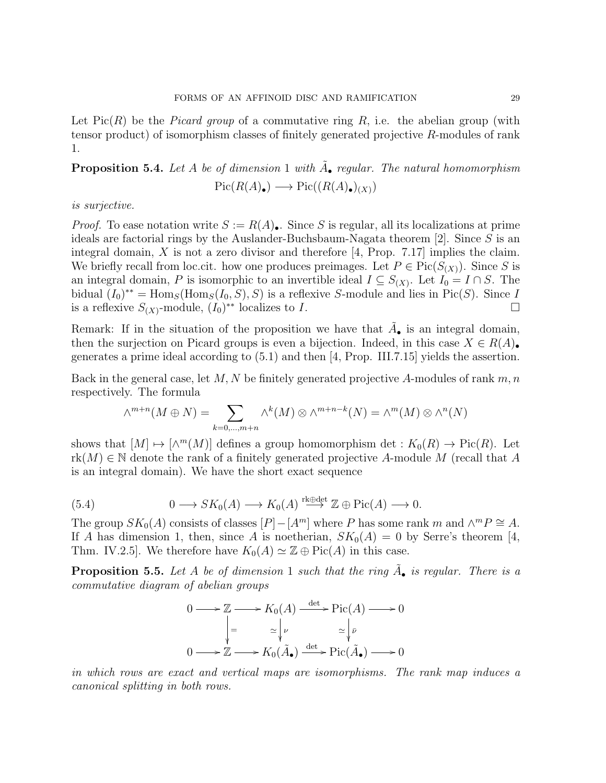Let  $Pic(R)$  be the *Picard group* of a commutative ring R, i.e. the abelian group (with tensor product) of isomorphism classes of finitely generated projective R-modules of rank 1.

# **Proposition 5.4.** Let A be of dimension 1 with  $\tilde{A}_{\bullet}$  regular. The natural homomorphism  $Pic(R(A_{\bullet}) \longrightarrow Pic((R(A_{\bullet})_{(X)})$

is surjective.

*Proof.* To ease notation write  $S := R(A)$ . Since S is regular, all its localizations at prime ideals are factorial rings by the Auslander-Buchsbaum-Nagata theorem  $[2]$ . Since S is an integral domain,  $X$  is not a zero divisor and therefore [4, Prop. 7.17] implies the claim. We briefly recall from loc.cit. how one produces preimages. Let  $P \in Pic(S(X))$ . Since S is an integral domain, P is isomorphic to an invertible ideal  $I \subseteq S_{(X)}$ . Let  $I_0 = I \cap S$ . The bidual  $(I_0)^{**} = \text{Hom}_S(\text{Hom}_S(I_0, S), S)$  is a reflexive S-module and lies in Pic(S). Since I is a reflexive  $S_{(X)}$ -module,  $(I_0)^{**}$  localizes to I.

Remark: If in the situation of the proposition we have that  $\tilde{A}_{\bullet}$  is an integral domain, then the surjection on Picard groups is even a bijection. Indeed, in this case  $X \in R(A)$ . generates a prime ideal according to (5.1) and then [4, Prop. III.7.15] yields the assertion.

Back in the general case, let M, N be finitely generated projective A-modules of rank  $m, n$ respectively. The formula

$$
\wedge^{m+n}(M \oplus N) = \sum_{k=0,\dots,m+n} \wedge^k(M) \otimes \wedge^{m+n-k}(N) = \wedge^m(M) \otimes \wedge^n(N)
$$

shows that  $[M] \mapsto [\wedge^m(M)]$  defines a group homomorphism det :  $K_0(R) \to Pic(R)$ . Let  $rk(M) \in \mathbb{N}$  denote the rank of a finitely generated projective A-module M (recall that A is an integral domain). We have the short exact sequence

(5.4) 
$$
0 \longrightarrow SK_0(A) \longrightarrow K_0(A) \stackrel{\text{rk}\oplus\text{det}}{\longrightarrow} \mathbb{Z} \oplus \text{Pic}(A) \longrightarrow 0.
$$

The group  $SK_0(A)$  consists of classes  $[P] - [A^m]$  where P has some rank m and  $\wedge^m P \cong A$ . If A has dimension 1, then, since A is noetherian,  $SK_0(A) = 0$  by Serre's theorem [4, Thm. IV.2.5]. We therefore have  $K_0(A) \simeq \mathbb{Z} \oplus Pic(A)$  in this case.

**Proposition 5.5.** Let A be of dimension 1 such that the ring  $\tilde{A}_{\bullet}$  is regular. There is a commutative diagram of abelian groups

$$
0 \longrightarrow \mathbb{Z} \longrightarrow K_0(A) \xrightarrow{\det} Pic(A) \longrightarrow 0
$$

$$
\Big| = \Bigg|_{\mathcal{L}} \Bigg|_{\mathcal{V}} \cong \Bigg|_{\bar{\mathcal{V}}} \cong \Bigg|_{\bar{\mathcal{V}}} \cong 0
$$

$$
0 \longrightarrow \mathbb{Z} \longrightarrow K_0(\tilde{A}_{\bullet}) \xrightarrow{\det} Pic(\tilde{A}_{\bullet}) \longrightarrow 0
$$

in which rows are exact and vertical maps are isomorphisms. The rank map induces a canonical splitting in both rows.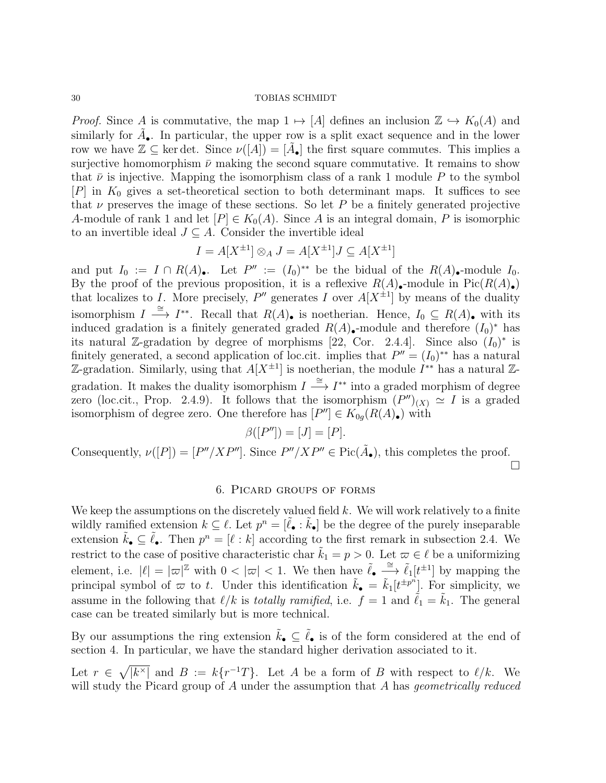*Proof.* Since A is commutative, the map  $1 \mapsto [A]$  defines an inclusion  $\mathbb{Z} \hookrightarrow K_0(A)$  and similarly for  $\tilde{A}_{\bullet}$ . In particular, the upper row is a split exact sequence and in the lower row we have  $\mathbb{Z} \subseteq \text{ker det. Since } \nu([A]) = [\tilde{A}_{\bullet}]$  the first square commutes. This implies a surjective homomorphism  $\bar{\nu}$  making the second square commutative. It remains to show that  $\bar{\nu}$  is injective. Mapping the isomorphism class of a rank 1 module P to the symbol  $[P]$  in  $K_0$  gives a set-theoretical section to both determinant maps. It suffices to see that  $\nu$  preserves the image of these sections. So let P be a finitely generated projective A-module of rank 1 and let  $[P] \in K_0(A)$ . Since A is an integral domain, P is isomorphic to an invertible ideal  $J \subseteq A$ . Consider the invertible ideal

$$
I = A[X^{\pm 1}] \otimes_A J = A[X^{\pm 1}]J \subseteq A[X^{\pm 1}]
$$

and put  $I_0 := I \cap R(A)$ . Let  $P'' := (I_0)^{**}$  be the bidual of the  $R(A)$ . module  $I_0$ . By the proof of the previous proposition, it is a reflexive  $R(A)$ . module in Pic $(R(A))$ . that localizes to I. More precisely,  $P''$  generates I over  $A[X^{\pm 1}]$  by means of the duality isomorphism  $I \stackrel{\cong}{\longrightarrow} I^{**}$ . Recall that  $R(A)_{\bullet}$  is noetherian. Hence,  $I_0 \subseteq R(A)_{\bullet}$  with its induced gradation is a finitely generated graded  $R(A)$ -module and therefore  $(I_0)^*$  has its natural Z-gradation by degree of morphisms [22, Cor. 2.4.4]. Since also  $(I_0)^*$  is finitely generated, a second application of loc.cit. implies that  $P'' = (I_0)^{**}$  has a natural Z-gradation. Similarly, using that  $A[X^{\pm 1}]$  is noetherian, the module  $I^{**}$  has a natural Zgradation. It makes the duality isomorphism  $I \stackrel{\cong}{\longrightarrow} I^{**}$  into a graded morphism of degree zero (loc.cit., Prop. 2.4.9). It follows that the isomorphism  $(P'')_{(X)} \simeq I$  is a graded isomorphism of degree zero. One therefore has  $[P''] \in K_{0g}(R(A_{\bullet}))$  with

$$
\beta([P'']) = [J] = [P].
$$

Consequently,  $\nu([P]) = [P''/XP'']$ . Since  $P''/XP'' \in Pic(\tilde{A}_{\bullet})$ , this completes the proof.  $\Box$ 

## 6. Picard groups of forms

We keep the assumptions on the discretely valued field  $k$ . We will work relatively to a finite wildly ramified extension  $k \subseteq \ell$ . Let  $p^n = [\tilde{\ell}_\bullet : \tilde{k}_\bullet]$  be the degree of the purely inseparable extension  $\tilde{k}_\bullet \subseteq \tilde{\ell}_\bullet$ . Then  $p^n = [\ell : k]$  according to the first remark in subsection 2.4. We restrict to the case of positive characteristic char  $\tilde{k}_1 = p > 0$ . Let  $\varpi \in \ell$  be a uniformizing element, i.e.  $|\ell| = |\varpi|^{\mathbb{Z}}$  with  $0 < |\varpi| < 1$ . We then have  $\tilde{\ell}_{\bullet} \stackrel{\cong}{\longrightarrow} \tilde{\ell}_{1}[t^{\pm 1}]$  by mapping the principal symbol of  $\varpi$  to t. Under this identification  $\tilde{k}_{\bullet} = \tilde{k}_{1}[t^{\pm p^{n}}]$ . For simplicity, we assume in the following that  $\ell/k$  is totally ramified, i.e.  $f = 1$  and  $\tilde{\ell}_1 = \tilde{k}_1$ . The general case can be treated similarly but is more technical.

By our assumptions the ring extension  $\tilde{k}_\bullet \subseteq \tilde{\ell}_\bullet$  is of the form considered at the end of section 4. In particular, we have the standard higher derivation associated to it.

Let  $r \in \sqrt{\vert k^\times \vert}$  and  $B := k\{r^{-1}T\}$ . Let A be a form of B with respect to  $\ell/k$ . We will study the Picard group of A under the assumption that A has *geometrically reduced*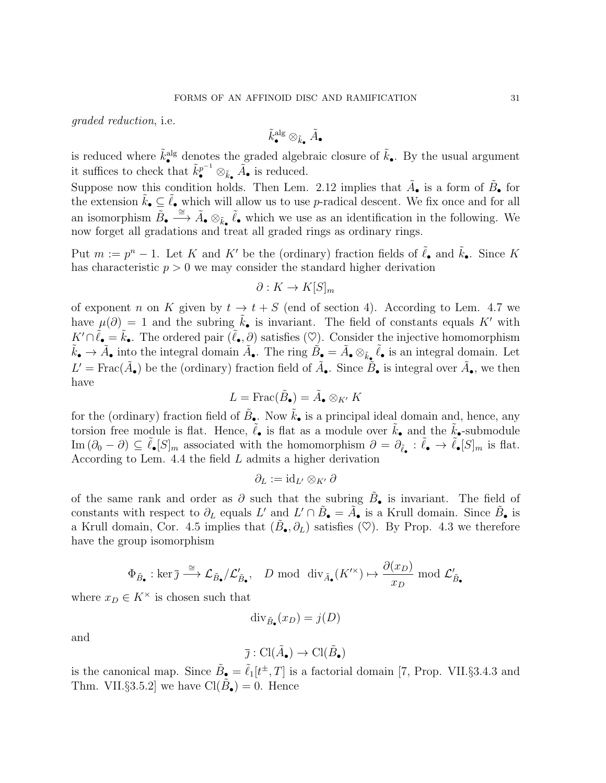graded reduction, i.e.

$$
\tilde{k}^{\mathrm{alg}}_{\bullet} \otimes_{\tilde{k}_{\bullet}} \tilde{A}_{\bullet}
$$

is reduced where  $\tilde{k}^{\text{alg}}_{\bullet}$  denotes the graded algebraic closure of  $\tilde{k}_{\bullet}$ . By the usual argument it suffices to check that  $\tilde{k}_{\bullet}^{p^{-1}} \otimes_{\tilde{k}_{\bullet}} \tilde{A}_{\bullet}$  is reduced.

Suppose now this condition holds. Then Lem. 2.12 implies that  $\tilde{A}_{\bullet}$  is a form of  $\tilde{B}_{\bullet}$  for the extension  $\tilde{k}_{\bullet} \subseteq \tilde{\ell}_{\bullet}$  which will allow us to use p-radical descent. We fix once and for all an isomorphism  $\overline{\tilde{B}}_{\bullet} \stackrel{\cong}{\longrightarrow} \tilde{A}_{\bullet} \otimes_{\tilde{k}_{\bullet}} \tilde{\ell}_{\bullet}$  which we use as an identification in the following. We now forget all gradations and treat all graded rings as ordinary rings.

Put  $m := p^n - 1$ . Let K and K' be the (ordinary) fraction fields of  $\tilde{\ell}_{\bullet}$  and  $\tilde{k}_{\bullet}$ . Since K has characteristic  $p > 0$  we may consider the standard higher derivation

$$
\partial: K \to K[S]_m
$$

of exponent n on K given by  $t \to t + S$  (end of section 4). According to Lem. 4.7 we have  $\mu(\partial) = 1$  and the subring  $\tilde{k}_{\bullet}$  is invariant. The field of constants equals K' with  $K' \cap \tilde{\ell}_{\bullet} = \tilde{k}_{\bullet}$ . The ordered pair  $(\tilde{\ell}_{\bullet}, \partial)$  satisfies  $(\heartsuit)$ . Consider the injective homomorphism  $\tilde{k}_{\bullet} \to \tilde{A}_{\bullet}$  into the integral domain  $\tilde{A}_{\bullet}$ . The ring  $\tilde{B}_{\bullet} = \tilde{A}_{\bullet} \otimes_{\tilde{k}_{\bullet}} \tilde{\ell}_{\bullet}$  is an integral domain. Let  $L' = \text{Frac}(\tilde{A}_{\bullet})$  be the (ordinary) fraction field of  $\tilde{A}_{\bullet}$ . Since  $\tilde{B}_{\bullet}$  is integral over  $\tilde{A}_{\bullet}$ , we then have

$$
L = \operatorname{Frac}(\tilde{B}_{\bullet}) = \tilde{A}_{\bullet} \otimes_{K'} K
$$

for the (ordinary) fraction field of  $\tilde{B}_{\bullet}$ . Now  $\tilde{k}_{\bullet}$  is a principal ideal domain and, hence, any torsion free module is flat. Hence,  $\tilde{\ell}_{\bullet}$  is flat as a module over  $\tilde{k}_{\bullet}$  and the  $\tilde{k}_{\bullet}$ -submodule  $\text{Im}(\partial_0 - \partial) \subseteq \tilde{\ell}_{\bullet}[S]_m$  associated with the homomorphism  $\partial = \partial_{\tilde{\ell}_{\bullet}} : \tilde{\ell}_{\bullet} \to \tilde{\ell}_{\bullet}[S]_m$  is flat. According to Lem. 4.4 the field  $L$  admits a higher derivation

$$
\partial_L := \mathrm{id}_{L'} \otimes_{K'} \partial
$$

of the same rank and order as  $\partial$  such that the subring  $\tilde{B}_{\bullet}$  is invariant. The field of constants with respect to  $\partial_L$  equals L' and  $L' \cap \tilde{B}_\bullet = \tilde{A}_\bullet$  is a Krull domain. Since  $\tilde{B}_\bullet$  is a Krull domain, Cor. 4.5 implies that  $(\tilde{B}_{\bullet}, \partial_L)$  satisfies  $(\heartsuit)$ . By Prop. 4.3 we therefore have the group isomorphism

$$
\Phi_{\tilde{B}_{\bullet}} : \ker \bar{\jmath} \xrightarrow{\cong} \mathcal{L}_{\tilde{B}_{\bullet}} / \mathcal{L}'_{\tilde{B}_{\bullet}}, \quad D \text{ mod } \text{div}_{\tilde{A}_{\bullet}}(K'^{\times}) \mapsto \frac{\partial(x_D)}{x_D} \text{ mod } \mathcal{L}'_{\tilde{B}_{\bullet}}
$$

where  $x_D \in K^\times$  is chosen such that

$$
\mathrm{div}_{\tilde{B}_{\bullet}}(x_D) = j(D)
$$

and

$$
\overline{\jmath} : \text{Cl}(\tilde{A}_{\bullet}) \to \text{Cl}(\tilde{B}_{\bullet})
$$

is the canonical map. Since  $\tilde{B}_{\bullet} = \tilde{\ell}_1[t^{\pm}, T]$  is a factorial domain [7, Prop. VII.§3.4.3 and Thm. VII. $\S 3.5.2$  we have  $\text{Cl}(\tilde{B}_{\bullet}) = 0$ . Hence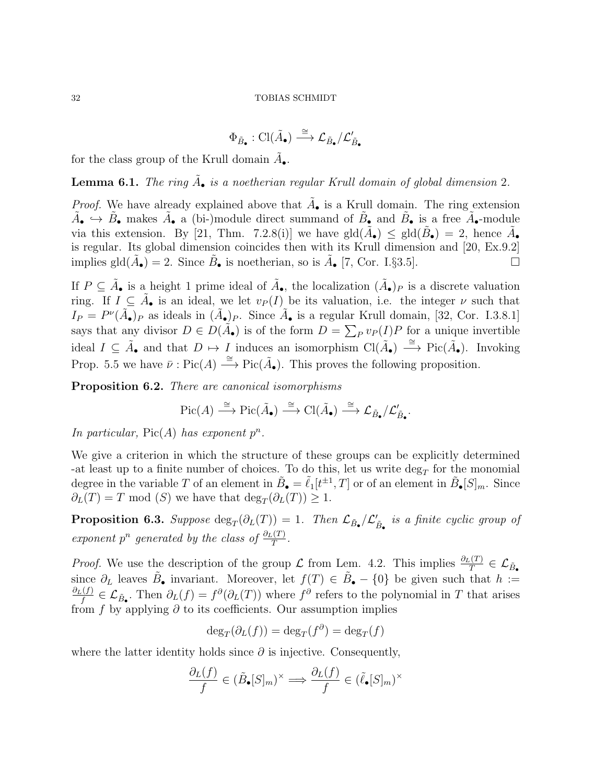$$
\Phi_{\tilde{B}_\bullet}: \mathrm{Cl}(\tilde{A}_\bullet) \stackrel{\cong}{\longrightarrow} \mathcal{L}_{\tilde{B}_\bullet}/\mathcal{L}'_{\tilde{B}_\bullet}
$$

for the class group of the Krull domain  $\tilde{A}_{\bullet}$ .

**Lemma 6.1.** The ring  $\tilde{A}_{\bullet}$  is a noetherian regular Krull domain of global dimension 2.

*Proof.* We have already explained above that  $\tilde{A}_{\bullet}$  is a Krull domain. The ring extension  $\tilde{A}_{\bullet} \to \tilde{B}_{\bullet}$  makes  $\tilde{A}_{\bullet}$  a (bi-)module direct summand of  $\tilde{B}_{\bullet}$  and  $\tilde{B}_{\bullet}$  is a free  $\tilde{A}_{\bullet}$ -module via this extension. By [21, Thm. 7.2.8(i)] we have  $\text{gld}(\tilde{A}_{\bullet}) \leq \text{gld}(\tilde{B}_{\bullet}) = 2$ , hence  $\tilde{A}_{\bullet}$ is regular. Its global dimension coincides then with its Krull dimension and [20, Ex.9.2] implies gld $(\tilde{A}_{\bullet}) = 2$ . Since  $\tilde{B}_{\bullet}$  is noetherian, so is  $\tilde{A}_{\bullet}$  [7, Cor. I.§3.5].

If  $P \subseteq \tilde{A}_{\bullet}$  is a height 1 prime ideal of  $\tilde{A}_{\bullet}$ , the localization  $(\tilde{A}_{\bullet})_P$  is a discrete valuation ring. If  $I \subseteq \tilde{A}_{\bullet}$  is an ideal, we let  $v_P(I)$  be its valuation, i.e. the integer  $\nu$  such that  $I_P = P^{\nu}(\tilde{A}_{\bullet})_P$  as ideals in  $(\tilde{A}_{\bullet})_P$ . Since  $\tilde{A}_{\bullet}$  is a regular Krull domain, [32, Cor. I.3.8.1] says that any divisor  $D \in D(\tilde{A}_{\bullet})$  is of the form  $D = \sum_{P} v_P(I)P$  for a unique invertible ideal  $I \subseteq \tilde{A}_{\bullet}$  and that  $D \mapsto I$  induces an isomorphism  $\text{Cl}(\tilde{A}_{\bullet}) \stackrel{\cong}{\longrightarrow} \text{Pic}(\tilde{A}_{\bullet})$ . Invoking Prop. 5.5 we have  $\bar{\nu}$ : Pic(A)  $\xrightarrow{\cong}$  Pic( $\tilde{A}_{\bullet}$ ). This proves the following proposition.

Proposition 6.2. There are canonical isomorphisms

$$
\operatorname{Pic}(A) \xrightarrow{\cong} \operatorname{Pic}(\tilde{A}_{\bullet}) \xrightarrow{\cong} \operatorname{Cl}(\tilde{A}_{\bullet}) \xrightarrow{\cong} \mathcal{L}_{\tilde{B}_{\bullet}}/\mathcal{L}'_{\tilde{B}_{\bullet}}.
$$

In particular,  $Pic(A)$  has exponent  $p^n$ .

We give a criterion in which the structure of these groups can be explicitly determined -at least up to a finite number of choices. To do this, let us write  $\deg_T$  for the monomial degree in the variable T of an element in  $\tilde{B}_{\bullet} = \tilde{\ell}_1[t^{\pm 1}, T]$  or of an element in  $\tilde{B}_{\bullet}[S]_m$ . Since  $\partial_L(T) = T$  mod (S) we have that  $\deg_T(\partial_L(T)) \geq 1$ .

**Proposition 6.3.** Suppose  $\text{deg}_T(\partial_L(T)) = 1$ . Then  $\mathcal{L}_{\tilde{B}_{\bullet}}/\mathcal{L}'_{\tilde{B}_{\bullet}}$  is a finite cyclic group of exponent  $p^n$  generated by the class of  $\frac{\partial_L(T)}{T}$ .

*Proof.* We use the description of the group  $\mathcal L$  from Lem. 4.2. This implies  $\frac{\partial_L(T)}{T} \in \mathcal L_{\tilde{B}_{\bullet}}$ since  $\partial_L$  leaves  $\tilde{B}_\bullet$  invariant. Moreover, let  $f(T) \in \tilde{B}_\bullet - \{0\}$  be given such that  $h :=$  $\partial_L(f)$  $f_f^{(f)} \in \mathcal{L}_{\tilde{B}_{\bullet}}$ . Then  $\partial_L(f) = f^{\partial}(\partial_L(T))$  where  $f^{\partial}$  refers to the polynomial in T that arises from  $f$  by applying  $\partial$  to its coefficients. Our assumption implies

$$
\deg_T(\partial_L(f)) = \deg_T(f^{\partial}) = \deg_T(f)
$$

where the latter identity holds since  $\partial$  is injective. Consequently,

$$
\frac{\partial_L(f)}{f} \in (\tilde{B}_{\bullet}[S]_m)^{\times} \Longrightarrow \frac{\partial_L(f)}{f} \in (\tilde{\ell}_{\bullet}[S]_m)^{\times}
$$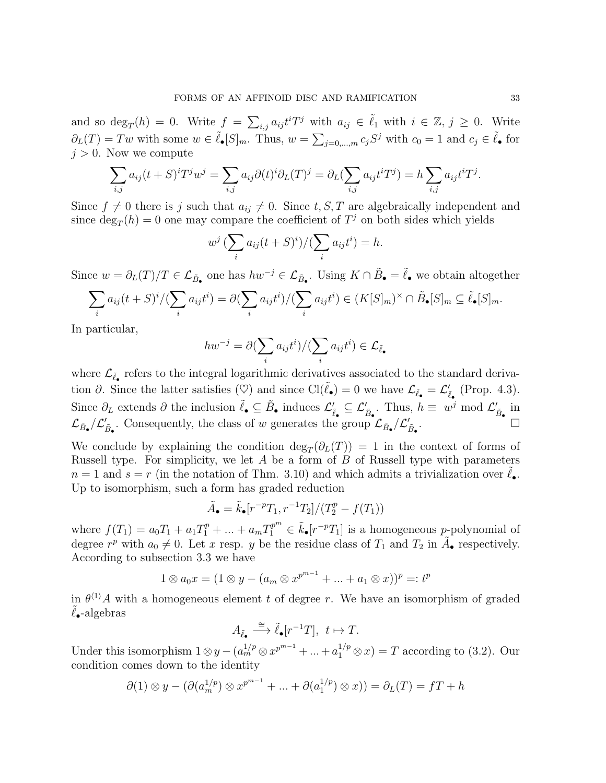and so  $\deg_T(h) = 0$ . Write  $f = \sum_{i,j} a_{ij} t^i T^j$  with  $a_{ij} \in \tilde{\ell}_1$  with  $i \in \mathbb{Z}, j \geq 0$ . Write  $\partial_L(T) = Tw$  with some  $w \in \tilde{\ell}_\bullet[S]_m$ . Thus,  $w = \sum_{j=0,\dots,m} c_j S^j$  with  $c_0 = 1$  and  $c_j \in \tilde{\ell}_\bullet$  for  $j > 0$ . Now we compute

$$
\sum_{i,j} a_{ij}(t+S)^{i}T^{j}w^{j} = \sum_{i,j} a_{ij}\partial(t)^{i}\partial_{L}(T)^{j} = \partial_{L}(\sum_{i,j} a_{ij}t^{i}T^{j}) = h\sum_{i,j} a_{ij}t^{i}T^{j}.
$$

Since  $f \neq 0$  there is j such that  $a_{ij} \neq 0$ . Since  $t, S, T$  are algebraically independent and since  $\deg_T(h) = 0$  one may compare the coefficient of  $T^j$  on both sides which yields

$$
w^j \left(\sum_i a_{ij}(t+S)^i\right) / \left(\sum_i a_{ij}t^i\right) = h.
$$

Since  $w = \partial_L(T)/T \in \mathcal{L}_{\tilde{B}_{\bullet}}$  one has  $hw^{-j} \in \mathcal{L}_{\tilde{B}_{\bullet}}$ . Using  $K \cap \tilde{B}_{\bullet} = \tilde{\ell}_{\bullet}$  we obtain altogether

$$
\sum_i a_{ij}(t+S)^i / (\sum_i a_{ij}t^i) = \partial (\sum_i a_{ij}t^i) / (\sum_i a_{ij}t^i) \in (K[S]_m)^\times \cap \tilde{B}_{\bullet}[S]_m \subseteq \tilde{\ell}_{\bullet}[S]_m.
$$

In particular,

$$
hw^{-j} = \partial (\sum_i a_{ij} t^i) / (\sum_i a_{ij} t^i) \in \mathcal{L}_{\tilde{\ell}_{\bullet}}
$$

where  $\mathcal{L}_{\tilde{\ell}_{\bullet}}$  refers to the integral logarithmic derivatives associated to the standard derivation  $\partial$ . Since the latter satisfies (♡) and since Cl( $\tilde{\ell}_{\bullet}$ ) = 0 we have  $\mathcal{L}_{\tilde{\ell}_{\bullet}} = \mathcal{L}'_{\tilde{\ell}_{\bullet}}$  (Prop. 4.3). Since  $\partial_L$  extends  $\partial$  the inclusion  $\tilde{\ell}_\bullet \subseteq \tilde{B}_\bullet$  induces  $\mathcal{L}'_{\tilde{\ell}_\bullet} \subseteq \mathcal{L}'_{\tilde{B}_\bullet}$ . Thus,  $h \equiv w^j \mod \mathcal{L}'_{\tilde{B}_\bullet}$  in  $\mathcal{L}_{\tilde{B}_{\bullet}}/\mathcal{L}'_{\tilde{B}_{\bullet}}$ . Consequently, the class of w generates the group  $\mathcal{L}_{\tilde{B}_{\bullet}}/\mathcal{L}'_{\tilde{B}_{\bullet}}$ .

We conclude by explaining the condition  $deg_T(\partial_L(T)) = 1$  in the context of forms of Russell type. For simplicity, we let  $A$  be a form of  $B$  of Russell type with parameters  $n = 1$  and  $s = r$  (in the notation of Thm. 3.10) and which admits a trivialization over  $\ell_{\bullet}$ . Up to isomorphism, such a form has graded reduction

$$
\tilde{A}_{\bullet} = \tilde{k}_{\bullet}[r^{-p}T_1, r^{-1}T_2]/(T_2^p - f(T_1))
$$

where  $f(T_1) = a_0 T_1 + a_1 T_1^p + \ldots + a_m T_1^{p^m} \in \tilde{k}_\bullet[r^{-p}T_1]$  is a homogeneous p-polynomial of degree  $r^p$  with  $a_0 \neq 0$ . Let x resp. y be the residue class of  $T_1$  and  $T_2$  in  $\tilde{A}_{\bullet}$  respectively. According to subsection 3.3 we have

$$
1 \otimes a_0 x = (1 \otimes y - (a_m \otimes x^{p^{m-1}} + ... + a_1 \otimes x))^p =: t^p
$$

in  $\theta^{(1)}A$  with a homogeneous element t of degree r. We have an isomorphism of graded  $\ell_{\bullet}$ -algebras

$$
A_{\tilde{\ell}_{\bullet}} \xrightarrow{\cong} \tilde{\ell}_{\bullet}[r^{-1}T], \ t \mapsto T.
$$

Under this isomorphism  $1 \otimes y - (a_m^{1/p} \otimes x^{p^{m-1}} + ... + a_1^{1/p} \otimes x) = T$  according to (3.2). Our condition comes down to the identity

$$
\partial(1) \otimes y - (\partial(a_m^{1/p}) \otimes x^{p^{m-1}} + \dots + \partial(a_1^{1/p}) \otimes x)) = \partial_L(T) = fT + h
$$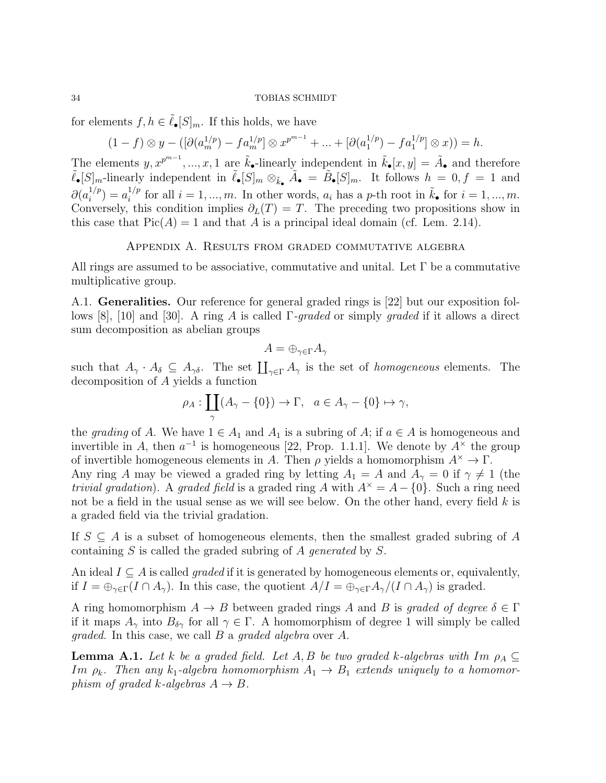for elements  $f, h \in \tilde{\ell}_{\bullet}[S]_m$ . If this holds, we have

a graded field via the trivial gradation.

$$
(1-f) \otimes y - ([\partial (a_m^{1/p}) - fa_m^{1/p}] \otimes x^{p^{m-1}} + \dots + [\partial (a_1^{1/p}) - fa_1^{1/p}] \otimes x)) = h.
$$

The elements  $y, x^{p^{m-1}}, ..., x, 1$  are  $\tilde{k}_\bullet$ -linearly independent in  $\tilde{k}_\bullet[x, y] = \tilde{A}_\bullet$  and therefore  $\tilde{\ell}_{\bullet}[S]_m$ -linearly independent in  $\tilde{\ell}_{\bullet}[S]_m \otimes_{\tilde{k}_{\bullet}} \tilde{A}_{\bullet} = \tilde{B}_{\bullet}[S]_m$ . It follows  $h = 0, f = 1$  and  $\partial(a_i^{1/p}$  $i^{1/p}$ ) =  $a_i^{1/p}$  $i^{1/p}$  for all  $i = 1, ..., m$ . In other words,  $a_i$  has a p-th root in  $\tilde{k}_{\bullet}$  for  $i = 1, ..., m$ . Conversely, this condition implies  $\partial_L(T) = T$ . The preceding two propositions show in this case that  $Pic(A) = 1$  and that A is a principal ideal domain (cf. Lem. 2.14).

### Appendix A. Results from graded commutative algebra

All rings are assumed to be associative, commutative and unital. Let  $\Gamma$  be a commutative multiplicative group.

A.1. Generalities. Our reference for general graded rings is [22] but our exposition follows [8], [10] and [30]. A ring A is called  $\Gamma$ -graded or simply graded if it allows a direct sum decomposition as abelian groups

$$
A = \oplus_{\gamma \in \Gamma} A_{\gamma}
$$

such that  $A_{\gamma} \cdot A_{\delta} \subseteq A_{\gamma\delta}$ . The set  $\prod_{\gamma \in \Gamma} A_{\gamma}$  is the set of *homogeneous* elements. The decomposition of A yields a function

$$
\rho_A: \coprod_{\gamma} (A_{\gamma} - \{0\}) \to \Gamma, \quad a \in A_{\gamma} - \{0\} \mapsto \gamma,
$$

the grading of A. We have  $1 \in A_1$  and  $A_1$  is a subring of A; if  $a \in A$  is homogeneous and invertible in A, then  $a^{-1}$  is homogeneous [22, Prop. 1.1.1]. We denote by  $A^{\times}$  the group of invertible homogeneous elements in A. Then  $\rho$  yields a homomorphism  $A^* \to \Gamma$ . Any ring A may be viewed a graded ring by letting  $A_1 = A$  and  $A_\gamma = 0$  if  $\gamma \neq 1$  (the *trivial gradation*). A *graded field* is a graded ring A with  $A^{\times} = A - \{0\}$ . Such a ring need not be a field in the usual sense as we will see below. On the other hand, every field  $k$  is

If  $S \subseteq A$  is a subset of homogeneous elements, then the smallest graded subring of A containing  $S$  is called the graded subring of  $A$  generated by  $S$ .

An ideal  $I \subseteq A$  is called *graded* if it is generated by homogeneous elements or, equivalently, if  $I = \bigoplus_{\gamma \in \Gamma} (I \cap A_{\gamma})$ . In this case, the quotient  $A/I = \bigoplus_{\gamma \in \Gamma} A_{\gamma}/(I \cap A_{\gamma})$  is graded.

A ring homomorphism  $A \to B$  between graded rings A and B is graded of degree  $\delta \in \Gamma$ if it maps  $A_{\gamma}$  into  $B_{\delta\gamma}$  for all  $\gamma \in \Gamma$ . A homomorphism of degree 1 will simply be called graded. In this case, we call B a graded algebra over A.

**Lemma A.1.** Let k be a graded field. Let A, B be two graded k-algebras with  $Im \rho_A \subseteq$ Im  $\rho_k$ . Then any  $k_1$ -algebra homomorphism  $A_1 \rightarrow B_1$  extends uniquely to a homomorphism of graded k-algebras  $A \rightarrow B$ .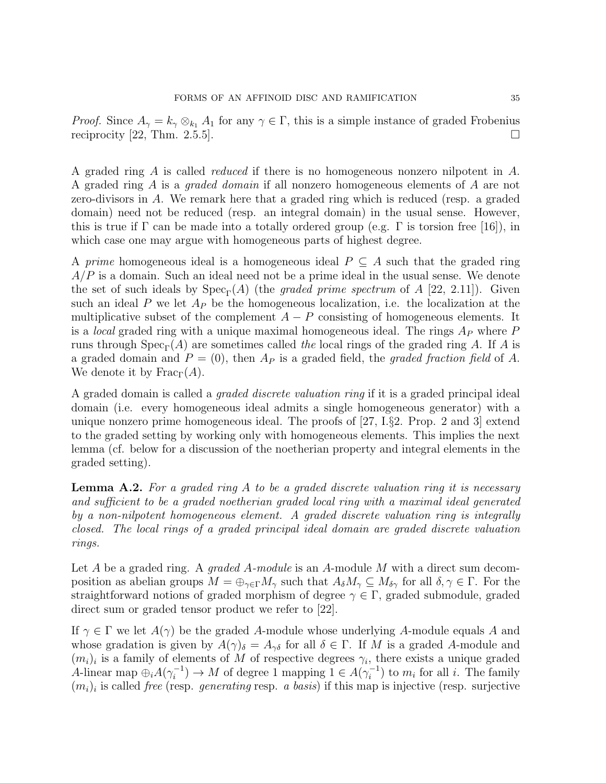*Proof.* Since  $A_{\gamma} = k_{\gamma} \otimes_{k_1} A_1$  for any  $\gamma \in \Gamma$ , this is a simple instance of graded Frobenius reciprocity [22, Thm. 2.5.5].

A graded ring A is called reduced if there is no homogeneous nonzero nilpotent in A. A graded ring A is a graded domain if all nonzero homogeneous elements of A are not zero-divisors in A. We remark here that a graded ring which is reduced (resp. a graded domain) need not be reduced (resp. an integral domain) in the usual sense. However, this is true if  $\Gamma$  can be made into a totally ordered group (e.g.  $\Gamma$  is torsion free [16]), in which case one may argue with homogeneous parts of highest degree.

A prime homogeneous ideal is a homogeneous ideal  $P \subseteq A$  such that the graded ring  $A/P$  is a domain. Such an ideal need not be a prime ideal in the usual sense. We denote the set of such ideals by  $Spec_{\Gamma}(A)$  (the *graded prime spectrum* of A [22, 2.11]). Given such an ideal P we let  $A_P$  be the homogeneous localization, i.e. the localization at the multiplicative subset of the complement  $A - P$  consisting of homogeneous elements. It is a *local* graded ring with a unique maximal homogeneous ideal. The rings  $A_P$  where  $P$ runs through  $Spec_{\Gamma}(A)$  are sometimes called the local rings of the graded ring A. If A is a graded domain and  $P = (0)$ , then  $A_P$  is a graded field, the graded fraction field of A. We denote it by  $\text{Frac}_{\Gamma}(A)$ .

A graded domain is called a graded discrete valuation ring if it is a graded principal ideal domain (i.e. every homogeneous ideal admits a single homogeneous generator) with a unique nonzero prime homogeneous ideal. The proofs of [27, I.§2. Prop. 2 and 3] extend to the graded setting by working only with homogeneous elements. This implies the next lemma (cf. below for a discussion of the noetherian property and integral elements in the graded setting).

**Lemma A.2.** For a graded ring A to be a graded discrete valuation ring it is necessary and sufficient to be a graded noetherian graded local ring with a maximal ideal generated by a non-nilpotent homogeneous element. A graded discrete valuation ring is integrally closed. The local rings of a graded principal ideal domain are graded discrete valuation rings.

Let A be a graded ring. A *graded A-module* is an A-module M with a direct sum decomposition as abelian groups  $M = \bigoplus_{\gamma \in \Gamma} M_{\gamma}$  such that  $A_{\delta} M_{\gamma} \subseteq M_{\delta_{\gamma}}$  for all  $\delta, \gamma \in \Gamma$ . For the straightforward notions of graded morphism of degree  $\gamma \in \Gamma$ , graded submodule, graded direct sum or graded tensor product we refer to [22].

If  $\gamma \in \Gamma$  we let  $A(\gamma)$  be the graded A-module whose underlying A-module equals A and whose gradation is given by  $A(\gamma)_{\delta} = A_{\gamma\delta}$  for all  $\delta \in \Gamma$ . If M is a graded A-module and  $(m_i)_i$  is a family of elements of M of respective degrees  $\gamma_i$ , there exists a unique graded A-linear map  $\bigoplus_i A(\gamma_i^{-1})$  $i_i^{-1}) \to M$  of degree 1 mapping  $1 \in A(\gamma_i^{-1})$  $i_i^{-1}$ ) to  $m_i$  for all i. The family  $(m_i)_i$  is called *free* (resp. *generating* resp. *a basis*) if this map is injective (resp. surjective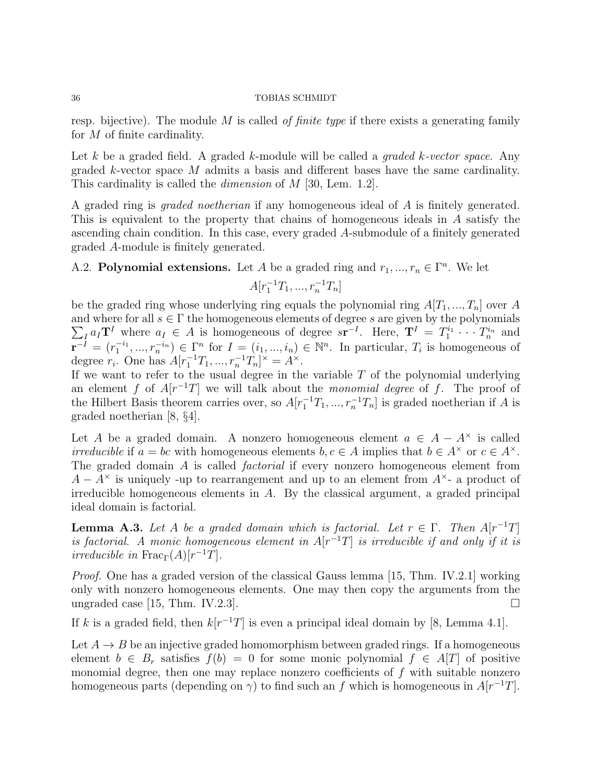resp. bijective). The module  $M$  is called *of finite type* if there exists a generating family for M of finite cardinality.

Let k be a graded field. A graded k-module will be called a *graded k-vector space*. Any graded  $k$ -vector space  $M$  admits a basis and different bases have the same cardinality. This cardinality is called the *dimension* of M [30, Lem. 1.2].

A graded ring is graded noetherian if any homogeneous ideal of A is finitely generated. This is equivalent to the property that chains of homogeneous ideals in A satisfy the ascending chain condition. In this case, every graded A-submodule of a finitely generated graded A-module is finitely generated.

A.2. Polynomial extensions. Let A be a graded ring and  $r_1, ..., r_n \in \Gamma^n$ . We let

$$
A[r_1^{-1}T_1, ..., r_n^{-1}T_n]
$$

be the graded ring whose underlying ring equals the polynomial ring  $A[T_1, ..., T_n]$  over A and where for all  $s \in \Gamma$  the homogeneous elements of degree s are given by the polynomials  $\sum_{I} a_I \mathbf{T}^I$  where  $a_I \in A$  is homogeneous of degree  $s\mathbf{r}^{-I}$ . Here,  $\mathbf{T}^I = T_1^{i_1} \cdots T_n^{i_n}$  and  $\overline{\mathbf{r}}^{-1} = (r_1^{-i_1}, ..., r_n^{-i_n}) \in \Gamma^n$  for  $I = (i_1, ..., i_n) \in \mathbb{N}^n$ . In particular,  $T_i$  is homogeneous of degree  $r_i$ . One has  $A[r_1^{-1}T_1, ..., r_n^{-1}T_n]^{\times} = A^{\times}$ .

If we want to refer to the usual degree in the variable  $T$  of the polynomial underlying an element f of  $A[r^{-1}T]$  we will talk about the *monomial degree* of f. The proof of the Hilbert Basis theorem carries over, so  $A[r_1^{-1}T_1, ..., r_n^{-1}T_n]$  is graded noetherian if A is graded noetherian [8, §4].

Let A be a graded domain. A nonzero homogeneous element  $a \in A - A^*$  is called *irreducible* if  $a = bc$  with homogeneous elements  $b, c \in A$  implies that  $b \in A^{\times}$  or  $c \in A^{\times}$ . The graded domain A is called factorial if every nonzero homogeneous element from  $A - A^{\times}$  is uniquely -up to rearrangement and up to an element from  $A^{\times}$ - a product of irreducible homogeneous elements in A. By the classical argument, a graded principal ideal domain is factorial.

**Lemma A.3.** Let A be a graded domain which is factorial. Let  $r \in \Gamma$ . Then  $A[r^{-1}T]$ is factorial. A monic homogeneous element in  $A[r^{-1}T]$  is irreducible if and only if it is *irreducible in*  $\text{Frac}_{\Gamma}(A)[r^{-1}T]$ .

Proof. One has a graded version of the classical Gauss lemma [15, Thm. IV.2.1] working only with nonzero homogeneous elements. One may then copy the arguments from the ungraded case [15, Thm. IV.2.3].

If k is a graded field, then  $k[r^{-1}T]$  is even a principal ideal domain by [8, Lemma 4.1].

Let  $A \rightarrow B$  be an injective graded homomorphism between graded rings. If a homogeneous element  $b \in B_r$  satisfies  $f(b) = 0$  for some monic polynomial  $f \in A[T]$  of positive monomial degree, then one may replace nonzero coefficients of  $f$  with suitable nonzero homogeneous parts (depending on  $\gamma$ ) to find such an f which is homogeneous in  $A[r^{-1}T]$ .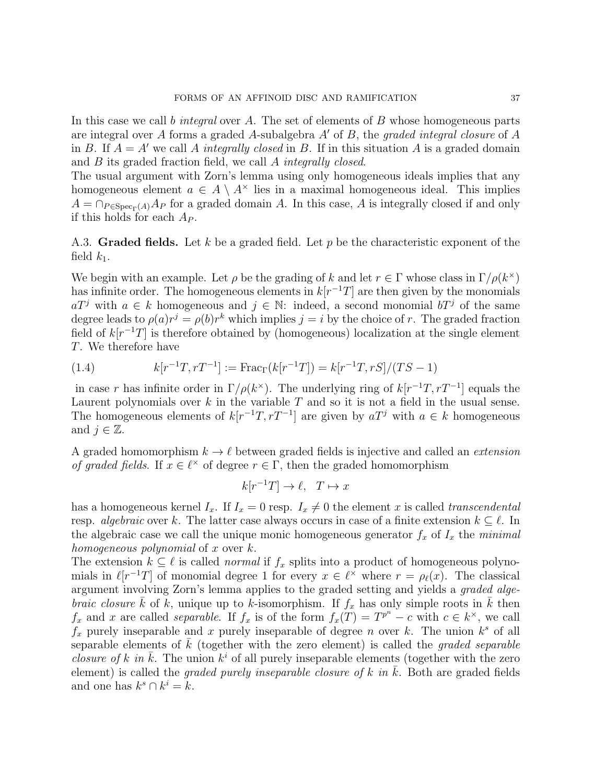In this case we call b integral over A. The set of elements of B whose homogeneous parts are integral over A forms a graded A-subalgebra  $A'$  of B, the graded integral closure of A in B. If  $A = A'$  we call A integrally closed in B. If in this situation A is a graded domain and B its graded fraction field, we call A integrally closed.

The usual argument with Zorn's lemma using only homogeneous ideals implies that any homogeneous element  $a \in A \setminus A^*$  lies in a maximal homogeneous ideal. This implies  $A = \bigcap_{P \in \text{Spec}_{\Gamma}(A)} A_P$  for a graded domain A. In this case, A is integrally closed if and only if this holds for each  $A_P$ .

A.3. Graded fields. Let k be a graded field. Let p be the characteristic exponent of the field  $k_1$ .

We begin with an example. Let  $\rho$  be the grading of k and let  $r \in \Gamma$  whose class in  $\Gamma/\rho(k^{\times})$ has infinite order. The homogeneous elements in  $k[r^{-1}T]$  are then given by the monomials  $aT^j$  with  $a \in k$  homogeneous and  $j \in \mathbb{N}$ : indeed, a second monomial  $bT^j$  of the same degree leads to  $\rho(a)r^j = \rho(b)r^k$  which implies  $j = i$  by the choice of r. The graded fraction field of  $k[r^{-1}T]$  is therefore obtained by (homogeneous) localization at the single element T. We therefore have

(1.4) 
$$
k[r^{-1}T, rT^{-1}] := \text{Frac}_{\Gamma}(k[r^{-1}T]) = k[r^{-1}T, rS]/(TS - 1)
$$

in case r has infinite order in  $\Gamma/\rho(k^{\times})$ . The underlying ring of  $k[r^{-1}T, rT^{-1}]$  equals the Laurent polynomials over  $k$  in the variable  $T$  and so it is not a field in the usual sense. The homogeneous elements of  $k[r^{-1}T, rT^{-1}]$  are given by  $aT^j$  with  $a \in k$  homogeneous and  $j \in \mathbb{Z}$ .

A graded homomorphism  $k \to \ell$  between graded fields is injective and called an *extension* of graded fields. If  $x \in \ell^{\times}$  of degree  $r \in \Gamma$ , then the graded homomorphism

$$
k[r^{-1}T] \to \ell, \ T \mapsto x
$$

has a homogeneous kernel  $I_x$ . If  $I_x = 0$  resp.  $I_x \neq 0$  the element x is called transcendental resp. algebraic over k. The latter case always occurs in case of a finite extension  $k \subseteq \ell$ . In the algebraic case we call the unique monic homogeneous generator  $f_x$  of  $I_x$  the minimal homogeneous polynomial of  $x$  over  $k$ .

The extension  $k \subseteq \ell$  is called *normal* if  $f_x$  splits into a product of homogeneous polynomials in  $\ell[r^{-1}T]$  of monomial degree 1 for every  $x \in \ell^{\times}$  where  $r = \rho_{\ell}(x)$ . The classical argument involving Zorn's lemma applies to the graded setting and yields a graded alge*braic closure*  $\bar{k}$  of k, unique up to k-isomorphism. If  $f_x$  has only simple roots in  $\bar{k}$  then  $f_x$  and x are called *separable*. If  $f_x$  is of the form  $f_x(T) = T^{p^n} - c$  with  $c \in k^{\times}$ , we call  $f_x$  purely inseparable and x purely inseparable of degree n over k. The union  $k^s$  of all separable elements of  $k$  (together with the zero element) is called the *graded separable closure of k in*  $\overline{k}$ . The union  $k^i$  of all purely inseparable elements (together with the zero element) is called the *graded purely inseparable closure of k in k*. Both are graded fields and one has  $k^s \cap k^i = k$ .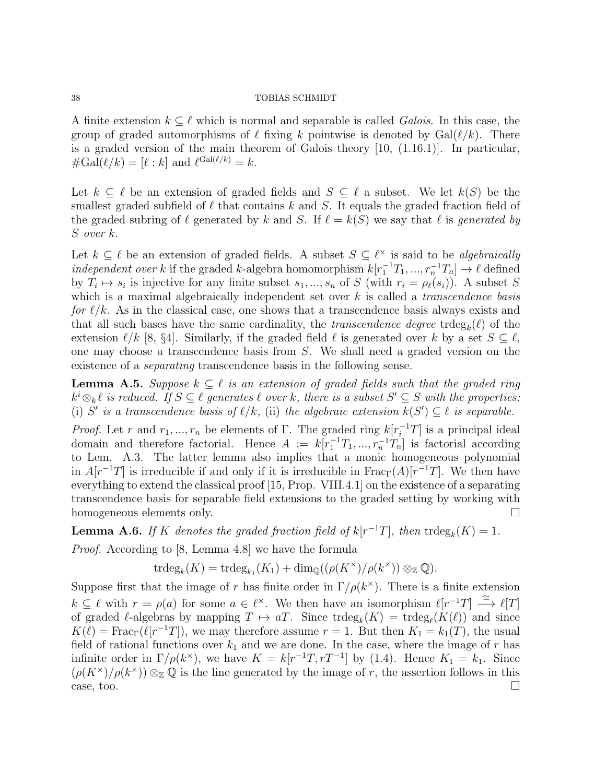A finite extension  $k \subseteq \ell$  which is normal and separable is called *Galois*. In this case, the group of graded automorphisms of  $\ell$  fixing k pointwise is denoted by  $Gal(\ell/k)$ . There is a graded version of the main theorem of Galois theory [10, (1.16.1)]. In particular,  $\#\text{Gal}(\ell/k) = [\ell : k] \text{ and } \ell^{\text{Gal}(\ell/k)} = k.$ 

Let  $k \subseteq \ell$  be an extension of graded fields and  $S \subseteq \ell$  a subset. We let  $k(S)$  be the smallest graded subfield of  $\ell$  that contains k and S. It equals the graded fraction field of the graded subring of  $\ell$  generated by k and S. If  $\ell = k(S)$  we say that  $\ell$  is generated by S over k.

Let  $k \subseteq \ell$  be an extension of graded fields. A subset  $S \subseteq \ell^{\times}$  is said to be *algebraically* independent over k if the graded k-algebra homomorphism  $k[r_1^{-1}T_1, ..., r_n^{-1}T_n] \to \ell$  defined by  $T_i \mapsto s_i$  is injective for any finite subset  $s_1, ..., s_n$  of S (with  $r_i = \rho_\ell(s_i)$ ). A subset S which is a maximal algebraically independent set over  $k$  is called a *transcendence basis* for  $\ell/k$ . As in the classical case, one shows that a transcendence basis always exists and that all such bases have the same cardinality, the *transcendence degree* trdeg<sub>k</sub> $(\ell)$  of the extension  $\ell/k$  [8, §4]. Similarly, if the graded field  $\ell$  is generated over k by a set  $S \subseteq \ell$ , one may choose a transcendence basis from S. We shall need a graded version on the existence of a separating transcendence basis in the following sense.

**Lemma A.5.** Suppose  $k \subseteq \ell$  is an extension of graded fields such that the graded ring  $k^i \otimes_k \ell$  is reduced. If  $S \subseteq \ell$  generates  $\ell$  over k, there is a subset  $S' \subseteq S$  with the properties: (i) S' is a transcendence basis of  $\ell/k$ , (ii) the algebraic extension  $k(S') \subseteq \ell$  is separable.

*Proof.* Let r and  $r_1, ..., r_n$  be elements of Γ. The graded ring  $k[r_i^{-1}T]$  is a principal ideal domain and therefore factorial. Hence  $A := k[r_1^{-1}T_1, ..., r_n^{-1}T_n]$  is factorial according to Lem. A.3. The latter lemma also implies that a monic homogeneous polynomial in  $A[r^{-1}T]$  is irreducible if and only if it is irreducible in  $\text{Frac}_{\Gamma}(A)[r^{-1}T]$ . We then have everything to extend the classical proof [15, Prop. VIII.4.1] on the existence of a separating transcendence basis for separable field extensions to the graded setting by working with homogeneous elements only.

**Lemma A.6.** If K denotes the graded fraction field of  $k[r^{-1}T]$ , then  $\text{trdeg}_k(K) = 1$ .

Proof. According to [8, Lemma 4.8] we have the formula

$$
\operatorname{trdeg}_k(K) = \operatorname{trdeg}_{k_1}(K_1) + \dim_{\mathbb{Q}}((\rho(K^{\times})/\rho(k^{\times})) \otimes_{\mathbb{Z}} \mathbb{Q}).
$$

Suppose first that the image of r has finite order in  $\Gamma/\rho(k^{\times})$ . There is a finite extension  $k \subseteq \ell$  with  $r = \rho(a)$  for some  $a \in \ell^\times$ . We then have an isomorphism  $\ell[r^{-1}T] \stackrel{\cong}{\longrightarrow} \ell[T]$ of graded  $\ell$ -algebras by mapping  $T \mapsto aT$ . Since  $trdeg_k(K) = trdeg_{\ell}(K(\ell))$  and since  $K(\ell) = \text{Frac}_{\Gamma}(\ell[r^{-1}T])$ , we may therefore assume  $r = 1$ . But then  $K_1 = k_1(T)$ , the usual field of rational functions over  $k_1$  and we are done. In the case, where the image of r has infinite order in  $\Gamma/\rho(k^{\times})$ , we have  $K = k[r^{-1}T, rT^{-1}]$  by (1.4). Hence  $K_1 = k_1$ . Since  $(\rho(K^{\times})/\rho(k^{\times}))\otimes_{\mathbb{Z}}\mathbb{Q}$  is the line generated by the image of r, the assertion follows in this  $\Box$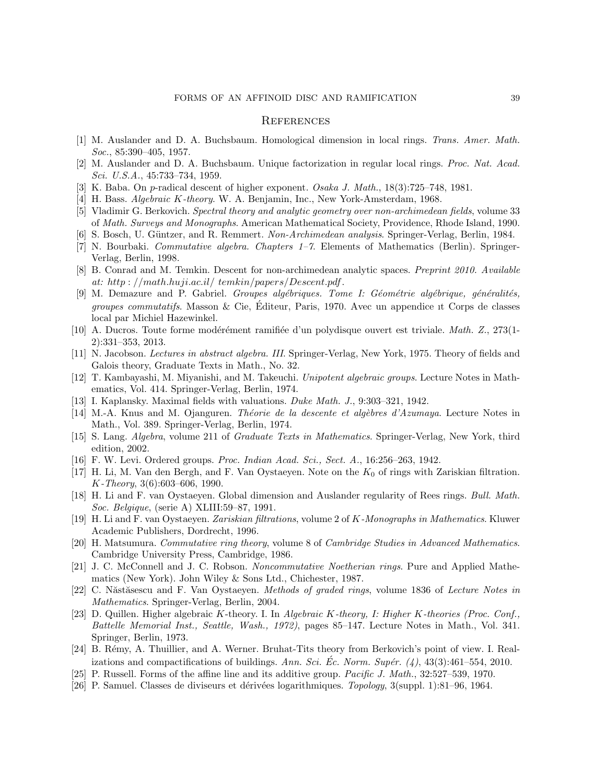### **REFERENCES**

- [1] M. Auslander and D. A. Buchsbaum. Homological dimension in local rings. Trans. Amer. Math. Soc., 85:390–405, 1957.
- [2] M. Auslander and D. A. Buchsbaum. Unique factorization in regular local rings. Proc. Nat. Acad. Sci. U.S.A., 45:733–734, 1959.
- [3] K. Baba. On p-radical descent of higher exponent. Osaka J. Math., 18(3):725–748, 1981.
- [4] H. Bass. Algebraic K-theory. W. A. Benjamin, Inc., New York-Amsterdam, 1968.
- [5] Vladimir G. Berkovich. Spectral theory and analytic geometry over non-archimedean fields, volume 33 of Math. Surveys and Monographs. American Mathematical Society, Providence, Rhode Island, 1990.
- [6] S. Bosch, U. Güntzer, and R. Remmert. Non-Archimedean analysis. Springer-Verlag, Berlin, 1984.
- [7] N. Bourbaki. Commutative algebra. Chapters 1–7. Elements of Mathematics (Berlin). Springer-Verlag, Berlin, 1998.
- [8] B. Conrad and M. Temkin. Descent for non-archimedean analytic spaces. Preprint 2010. Available at: http : //math.huji.ac.il/ temkin/papers/Descent.pdf .
- [9] M. Demazure and P. Gabriel. Groupes algébriques. Tome I: Géométrie algébrique, généralités, groupes commutatifs. Masson & Cie, Editeur, Paris, 1970. Avec un appendice ıt Corps de classes ´ local par Michiel Hazewinkel.
- [10] A. Ducros. Toute forme modérément ramifiée d'un polydisque ouvert est triviale. Math. Z., 273(1-2):331–353, 2013.
- [11] N. Jacobson. Lectures in abstract algebra. III. Springer-Verlag, New York, 1975. Theory of fields and Galois theory, Graduate Texts in Math., No. 32.
- [12] T. Kambayashi, M. Miyanishi, and M. Takeuchi. Unipotent algebraic groups. Lecture Notes in Mathematics, Vol. 414. Springer-Verlag, Berlin, 1974.
- [13] I. Kaplansky. Maximal fields with valuations. Duke Math. J., 9:303–321, 1942.
- [14] M.-A. Knus and M. Ojanguren. Théorie de la descente et algèbres d'Azumaya. Lecture Notes in Math., Vol. 389. Springer-Verlag, Berlin, 1974.
- [15] S. Lang. Algebra, volume 211 of Graduate Texts in Mathematics. Springer-Verlag, New York, third edition, 2002.
- [16] F. W. Levi. Ordered groups. Proc. Indian Acad. Sci., Sect. A., 16:256–263, 1942.
- [17] H. Li, M. Van den Bergh, and F. Van Oystaeyen. Note on the  $K_0$  of rings with Zariskian filtration. K-Theory, 3(6):603–606, 1990.
- [18] H. Li and F. van Oystaeyen. Global dimension and Auslander regularity of Rees rings. Bull. Math. Soc. Belgique, (serie A) XLIII:59–87, 1991.
- [19] H. Li and F. van Oystaeyen. Zariskian filtrations, volume 2 of K-Monographs in Mathematics. Kluwer Academic Publishers, Dordrecht, 1996.
- [20] H. Matsumura. Commutative ring theory, volume 8 of Cambridge Studies in Advanced Mathematics. Cambridge University Press, Cambridge, 1986.
- [21] J. C. McConnell and J. C. Robson. Noncommutative Noetherian rings. Pure and Applied Mathematics (New York). John Wiley & Sons Ltd., Chichester, 1987.
- [22] C. Năstăsescu and F. Van Oystaeyen. Methods of graded rings, volume 1836 of Lecture Notes in Mathematics. Springer-Verlag, Berlin, 2004.
- [23] D. Quillen. Higher algebraic K-theory. I. In Algebraic K-theory, I: Higher K-theories (Proc. Conf., Battelle Memorial Inst., Seattle, Wash., 1972), pages 85–147. Lecture Notes in Math., Vol. 341. Springer, Berlin, 1973.
- [24] B. Rémy, A. Thuillier, and A. Werner. Bruhat-Tits theory from Berkovich's point of view. I. Realizations and compactifications of buildings. Ann. Sci. Ec. Norm. Supér. (4),  $43(3):461-554$ , 2010.
- [25] P. Russell. Forms of the affine line and its additive group. Pacific J. Math., 32:527–539, 1970.
- [26] P. Samuel. Classes de diviseurs et dérivées logarithmiques. Topology, 3(suppl. 1):81–96, 1964.